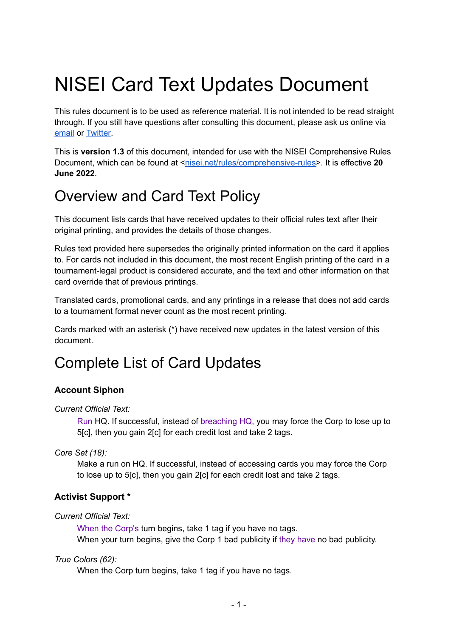# NISEI Card Text Updates Document

This rules document is to be used as reference material. It is not intended to be read straight through. If you still have questions after consulting this document, please ask us online via [email](mailto:rules@nisei.net) or [Twitter.](https://twitter.com/NISEI_Rules)

This is **version 1.3** of this document, intended for use with the NISEI Comprehensive Rules Document, which can be found at <[nisei.net/rules/comprehensive-rules>](http://nisei.net/rules/comprehensive-rules). It is effective 20 **June 2022**.

# Overview and Card Text Policy

This document lists cards that have received updates to their official rules text after their original printing, and provides the details of those changes.

Rules text provided here supersedes the originally printed information on the card it applies to. For cards not included in this document, the most recent English printing of the card in a tournament-legal product is considered accurate, and the text and other information on that card override that of previous printings.

Translated cards, promotional cards, and any printings in a release that does not add cards to a tournament format never count as the most recent printing.

Cards marked with an asterisk (\*) have received new updates in the latest version of this document.

# Complete List of Card Updates

# **Account Siphon**

*Current Official Text:*

Run HQ. If successful, instead of breaching HQ, you may force the Corp to lose up to 5[c], then you gain 2[c] for each credit lost and take 2 tags.

*Core Set (18):*

Make a run on HQ. If successful, instead of accessing cards you may force the Corp to lose up to 5[c], then you gain 2[c] for each credit lost and take 2 tags.

# **Activist Support \***

*Current Official Text:*

When the Corp's turn begins, take 1 tag if you have no tags. When your turn begins, give the Corp 1 bad publicity if they have no bad publicity.

# *True Colors (62):*

When the Corp turn begins, take 1 tag if you have no tags.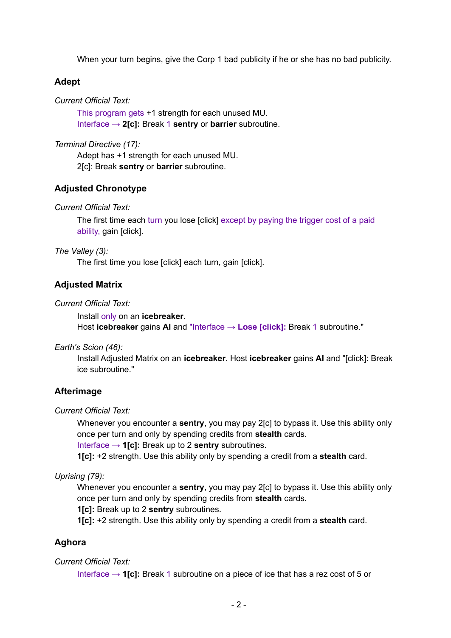When your turn begins, give the Corp 1 bad publicity if he or she has no bad publicity.

## **Adept**

*Current Official Text:*

This program gets +1 strength for each unused MU. Interface → **2[c]:** Break 1 **sentry** or **barrier** subroutine.

*Terminal Directive (17):*

Adept has +1 strength for each unused MU. 2[c]: Break **sentry** or **barrier** subroutine.

## **Adjusted Chronotype**

*Current Official Text:*

The first time each turn you lose [click] except by paying the trigger cost of a paid ability, gain [click].

*The Valley (3):*

The first time you lose [click] each turn, gain [click].

## **Adjusted Matrix**

*Current Official Text:*

Install only on an **icebreaker**. Host **icebreaker** gains **AI** and "Interface → **Lose [click]:** Break 1 subroutine."

*Earth's Scion (46):*

Install Adjusted Matrix on an **icebreaker**. Host **icebreaker** gains **AI** and "[click]: Break ice subroutine."

#### **Afterimage**

*Current Official Text:*

Whenever you encounter a **sentry**, you may pay 2[c] to bypass it. Use this ability only once per turn and only by spending credits from **stealth** cards.

Interface → **1[c]:** Break up to 2 **sentry** subroutines.

**1[c]:** +2 strength. Use this ability only by spending a credit from a **stealth** card.

*Uprising (79):*

Whenever you encounter a **sentry**, you may pay 2[c] to bypass it. Use this ability only once per turn and only by spending credits from **stealth** cards.

**1[c]:** Break up to 2 **sentry** subroutines.

**1[c]:** +2 strength. Use this ability only by spending a credit from a **stealth** card.

## **Aghora**

#### *Current Official Text:*

Interface → **1[c]:** Break 1 subroutine on a piece of ice that has a rez cost of 5 or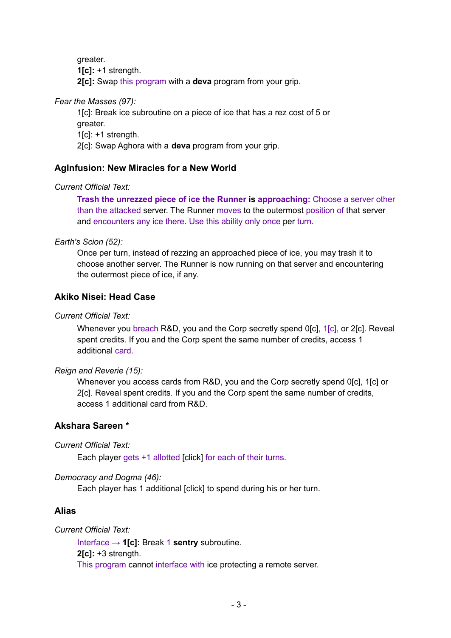greater. **1[c]:** +1 strength. **2[c]:** Swap this program with a **deva** program from your grip.

*Fear the Masses (97):*

1[c]: Break ice subroutine on a piece of ice that has a rez cost of 5 or greater. 1[c]: +1 strength. 2[c]: Swap Aghora with a **deva** program from your grip.

## **AgInfusion: New Miracles for a New World**

## *Current Official Text:*

**Trash the unrezzed piece of ice the Runner is approaching:** Choose a server other than the attacked server. The Runner moves to the outermost position of that server and encounters any ice there. Use this ability only once per turn.

## *Earth's Scion (52):*

Once per turn, instead of rezzing an approached piece of ice, you may trash it to choose another server. The Runner is now running on that server and encountering the outermost piece of ice, if any.

## **Akiko Nisei: Head Case**

## *Current Official Text:*

Whenever you breach R&D, you and the Corp secretly spend 0[c], 1[c], or 2[c]. Reveal spent credits. If you and the Corp spent the same number of credits, access 1 additional card.

#### *Reign and Reverie (15):*

Whenever you access cards from R&D, you and the Corp secretly spend 0[c], 1[c] or 2[c]. Reveal spent credits. If you and the Corp spent the same number of credits, access 1 additional card from R&D.

## **Akshara Sareen \***

*Current Official Text:*

Each player gets +1 allotted [click] for each of their turns.

#### *Democracy and Dogma (46):*

Each player has 1 additional [click] to spend during his or her turn.

## **Alias**

## *Current Official Text:*

Interface → **1[c]:** Break 1 **sentry** subroutine. **2[c]:** +3 strength. This program cannot interface with ice protecting a remote server.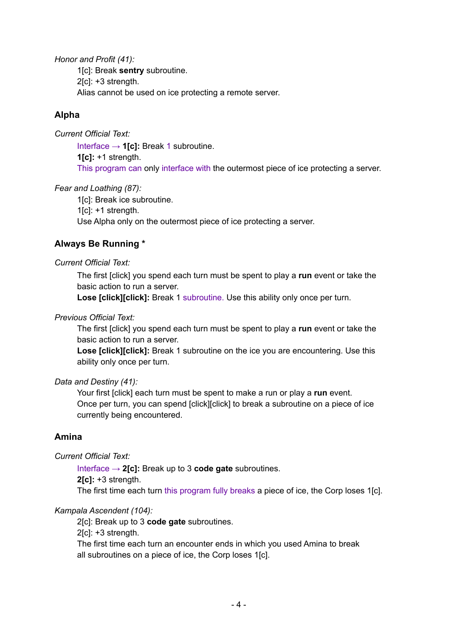*Honor and Profit (41):* 1[c]: Break **sentry** subroutine. 2[c]: +3 strength. Alias cannot be used on ice protecting a remote server.

# **Alpha**

*Current Official Text:*

Interface → **1[c]:** Break 1 subroutine. **1[c]:** +1 strength. This program can only interface with the outermost piece of ice protecting a server.

## *Fear and Loathing (87):*

1[c]: Break ice subroutine.

 $1[c]$ : +1 strength.

Use Alpha only on the outermost piece of ice protecting a server.

# **Always Be Running \***

## *Current Official Text:*

The first [click] you spend each turn must be spent to play a **run** event or take the basic action to run a server.

**Lose [click][click]:** Break 1 subroutine. Use this ability only once per turn.

## *Previous Official Text:*

The first [click] you spend each turn must be spent to play a **run** event or take the basic action to run a server.

**Lose [click][click]:** Break 1 subroutine on the ice you are encountering. Use this ability only once per turn.

## *Data and Destiny (41):*

Your first [click] each turn must be spent to make a run or play a **run** event. Once per turn, you can spend [click][click] to break a subroutine on a piece of ice currently being encountered.

# **Amina**

*Current Official Text:*

Interface → **2[c]:** Break up to 3 **code gate** subroutines. **2[c]:** +3 strength. The first time each turn this program fully breaks a piece of ice, the Corp loses 1[c].

## *Kampala Ascendent (104):*

2[c]: Break up to 3 **code gate** subroutines. 2[c]: +3 strength. The first time each turn an encounter ends in which you used Amina to break all subroutines on a piece of ice, the Corp loses 1[c].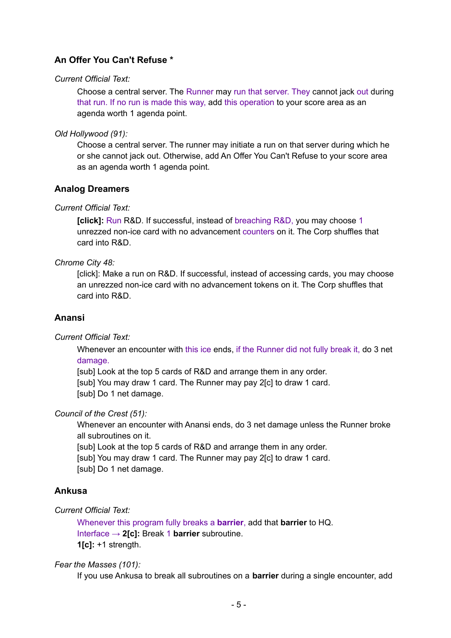# **An Offer You Can't Refuse \***

## *Current Official Text:*

Choose a central server. The Runner may run that server. They cannot jack out during that run. If no run is made this way, add this operation to your score area as an agenda worth 1 agenda point.

*Old Hollywood (91):*

Choose a central server. The runner may initiate a run on that server during which he or she cannot jack out. Otherwise, add An Offer You Can't Refuse to your score area as an agenda worth 1 agenda point.

## **Analog Dreamers**

## *Current Official Text:*

**[click]:** Run R&D. If successful, instead of breaching R&D, you may choose 1 unrezzed non-ice card with no advancement counters on it. The Corp shuffles that card into R&D.

## *Chrome City 48:*

[click]: Make a run on R&D. If successful, instead of accessing cards, you may choose an unrezzed non-ice card with no advancement tokens on it. The Corp shuffles that card into R&D.

## **Anansi**

*Current Official Text:*

Whenever an encounter with this ice ends, if the Runner did not fully break it, do 3 net damage.

[sub] Look at the top 5 cards of R&D and arrange them in any order. [sub] You may draw 1 card. The Runner may pay 2[c] to draw 1 card. [sub] Do 1 net damage.

## *Council of the Crest (51):*

Whenever an encounter with Anansi ends, do 3 net damage unless the Runner broke all subroutines on it.

[sub] Look at the top 5 cards of R&D and arrange them in any order. [sub] You may draw 1 card. The Runner may pay 2[c] to draw 1 card. [sub] Do 1 net damage.

## **Ankusa**

## *Current Official Text:*

Whenever this program fully breaks a **barrier**, add that **barrier** to HQ. Interface → **2[c]:** Break 1 **barrier** subroutine. **1[c]:** +1 strength.

#### *Fear the Masses (101):*

If you use Ankusa to break all subroutines on a **barrier** during a single encounter, add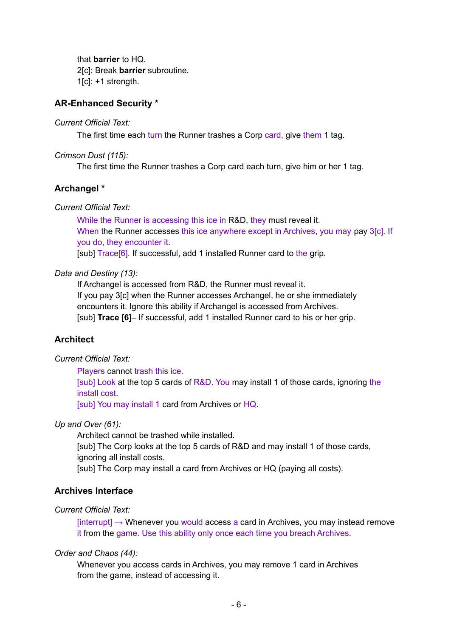that **barrier** to HQ. 2[c]: Break **barrier** subroutine. 1[c]: +1 strength.

## **AR-Enhanced Security \***

#### *Current Official Text:*

The first time each turn the Runner trashes a Corp card, give them 1 tag.

*Crimson Dust (115):*

The first time the Runner trashes a Corp card each turn, give him or her 1 tag.

## **Archangel \***

*Current Official Text:*

While the Runner is accessing this ice in R&D, they must reveal it. When the Runner accesses this ice anywhere except in Archives, you may pay 3[c]. If you do, they encounter it.

[sub] Trace[6]. If successful, add 1 installed Runner card to the grip.

#### *Data and Destiny (13):*

If Archangel is accessed from R&D, the Runner must reveal it. If you pay 3[c] when the Runner accesses Archangel, he or she immediately encounters it. Ignore this ability if Archangel is accessed from Archives. [sub] **Trace [6]**– If successful, add 1 installed Runner card to his or her grip.

## **Architect**

#### *Current Official Text:*

Players cannot trash this ice.

[sub] Look at the top 5 cards of R&D. You may install 1 of those cards, ignoring the install cost.

[sub] You may install 1 card from Archives or HQ.

#### *Up and Over (61):*

Architect cannot be trashed while installed.

[sub] The Corp looks at the top 5 cards of R&D and may install 1 of those cards, ignoring all install costs.

[sub] The Corp may install a card from Archives or HQ (paying all costs).

#### **Archives Interface**

#### *Current Official Text:*

 $[interrupt] \rightarrow Whenever$  you would access a card in Archives, you may instead remove it from the game. Use this ability only once each time you breach Archives.

#### *Order and Chaos (44):*

Whenever you access cards in Archives, you may remove 1 card in Archives from the game, instead of accessing it.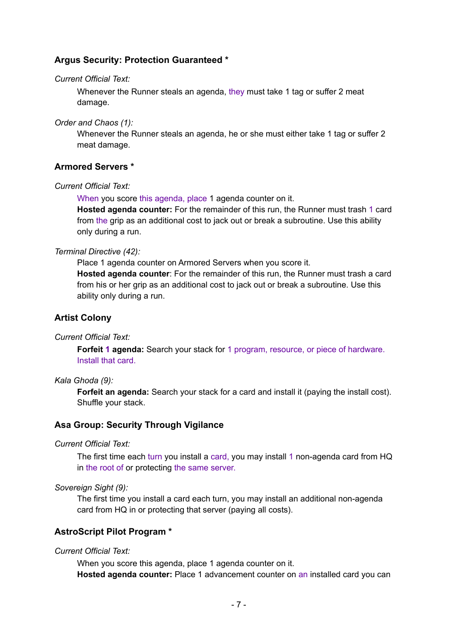## **Argus Security: Protection Guaranteed \***

#### *Current Official Text:*

Whenever the Runner steals an agenda, they must take 1 tag or suffer 2 meat damage.

*Order and Chaos (1):*

Whenever the Runner steals an agenda, he or she must either take 1 tag or suffer 2 meat damage.

## **Armored Servers \***

#### *Current Official Text:*

When you score this agenda, place 1 agenda counter on it. **Hosted agenda counter:** For the remainder of this run, the Runner must trash 1 card from the grip as an additional cost to jack out or break a subroutine. Use this ability only during a run.

#### *Terminal Directive (42):*

Place 1 agenda counter on Armored Servers when you score it. **Hosted agenda counter**: For the remainder of this run, the Runner must trash a card from his or her grip as an additional cost to jack out or break a subroutine. Use this ability only during a run.

## **Artist Colony**

#### *Current Official Text:*

**Forfeit 1 agenda:** Search your stack for 1 program, resource, or piece of hardware. Install that card.

#### *Kala Ghoda (9):*

**Forfeit an agenda:** Search your stack for a card and install it (paying the install cost). Shuffle your stack.

#### **Asa Group: Security Through Vigilance**

*Current Official Text:*

The first time each turn you install a card, you may install 1 non-agenda card from HQ in the root of or protecting the same server.

*Sovereign Sight (9):*

The first time you install a card each turn, you may install an additional non-agenda card from HQ in or protecting that server (paying all costs).

## **AstroScript Pilot Program \***

## *Current Official Text:*

When you score this agenda, place 1 agenda counter on it. **Hosted agenda counter:** Place 1 advancement counter on an installed card you can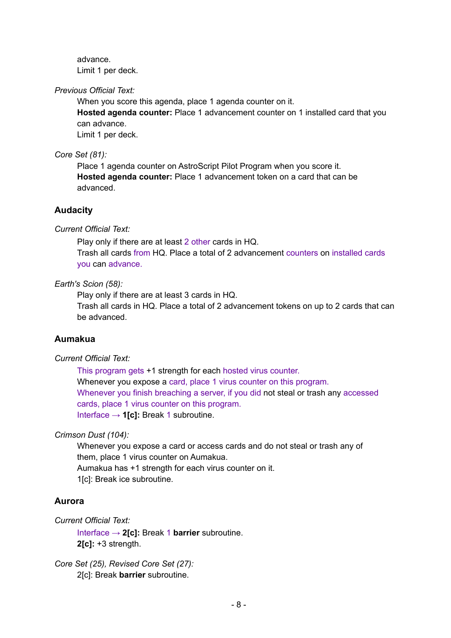advance. Limit 1 per deck.

#### *Previous Official Text:*

When you score this agenda, place 1 agenda counter on it.

**Hosted agenda counter:** Place 1 advancement counter on 1 installed card that you can advance.

Limit 1 per deck.

#### *Core Set (81):*

Place 1 agenda counter on AstroScript Pilot Program when you score it. **Hosted agenda counter:** Place 1 advancement token on a card that can be advanced.

## **Audacity**

## *Current Official Text:*

Play only if there are at least 2 other cards in HQ. Trash all cards from HQ. Place a total of 2 advancement counters on installed cards you can advance.

#### *Earth's Scion (58):*

Play only if there are at least 3 cards in HQ.

Trash all cards in HQ. Place a total of 2 advancement tokens on up to 2 cards that can be advanced.

## **Aumakua**

#### *Current Official Text:*

This program gets +1 strength for each hosted virus counter. Whenever you expose a card, place 1 virus counter on this program. Whenever you finish breaching a server, if you did not steal or trash any accessed cards, place 1 virus counter on this program. Interface → **1[c]:** Break 1 subroutine.

## *Crimson Dust (104):*

Whenever you expose a card or access cards and do not steal or trash any of them, place 1 virus counter on Aumakua. Aumakua has +1 strength for each virus counter on it. 1[c]: Break ice subroutine.

#### **Aurora**

*Current Official Text:*

Interface → **2[c]:** Break 1 **barrier** subroutine. **2[c]:** +3 strength.

*Core Set (25), Revised Core Set (27):* 2[c]: Break **barrier** subroutine.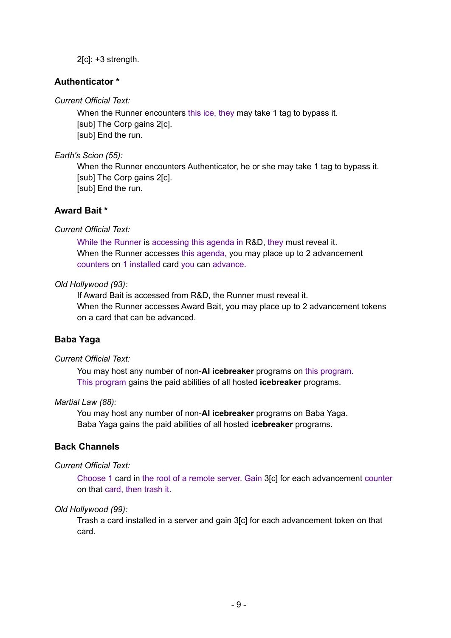2[c]: +3 strength.

## **Authenticator \***

## *Current Official Text:*

When the Runner encounters this ice, they may take 1 tag to bypass it. [sub] The Corp gains 2[c]. [sub] End the run.

## *Earth's Scion (55):*

When the Runner encounters Authenticator, he or she may take 1 tag to bypass it. [sub] The Corp gains 2[c]. [sub] End the run.

## **Award Bait \***

## *Current Official Text:*

While the Runner is accessing this agenda in R&D, they must reveal it. When the Runner accesses this agenda, you may place up to 2 advancement counters on 1 installed card you can advance.

## *Old Hollywood (93):*

If Award Bait is accessed from R&D, the Runner must reveal it. When the Runner accesses Award Bait, you may place up to 2 advancement tokens on a card that can be advanced.

## **Baba Yaga**

#### *Current Official Text:*

You may host any number of non-**AI icebreaker** programs on this program. This program gains the paid abilities of all hosted **icebreaker** programs.

#### *Martial Law (88):*

You may host any number of non-**AI icebreaker** programs on Baba Yaga. Baba Yaga gains the paid abilities of all hosted **icebreaker** programs.

## **Back Channels**

#### *Current Official Text:*

Choose 1 card in the root of a remote server. Gain 3[c] for each advancement counter on that card, then trash it.

## *Old Hollywood (99):*

Trash a card installed in a server and gain 3[c] for each advancement token on that card.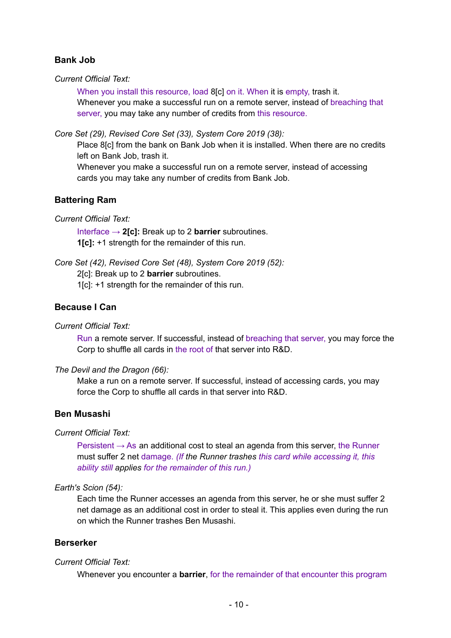# **Bank Job**

*Current Official Text:*

When you install this resource, load 8[c] on it. When it is empty, trash it. Whenever you make a successful run on a remote server, instead of breaching that server, you may take any number of credits from this resource.

*Core Set (29), Revised Core Set (33), System Core 2019 (38):*

Place 8[c] from the bank on Bank Job when it is installed. When there are no credits left on Bank Job, trash it.

Whenever you make a successful run on a remote server, instead of accessing cards you may take any number of credits from Bank Job.

## **Battering Ram**

*Current Official Text:*

Interface → **2[c]:** Break up to 2 **barrier** subroutines. **1[c]:** +1 strength for the remainder of this run.

*Core Set (42), Revised Core Set (48), System Core 2019 (52):*

2[c]: Break up to 2 **barrier** subroutines.

1[c]: +1 strength for the remainder of this run.

## **Because I Can**

*Current Official Text:*

Run a remote server. If successful, instead of breaching that server, you may force the Corp to shuffle all cards in the root of that server into R&D.

*The Devil and the Dragon (66):*

Make a run on a remote server. If successful, instead of accessing cards, you may force the Corp to shuffle all cards in that server into R&D.

## **Ben Musashi**

*Current Official Text:*

Persistent  $\rightarrow$  As an additional cost to steal an agenda from this server, the Runner must suffer 2 net damage. *(If the Runner trashes this card while accessing it, this ability still applies for the remainder of this run.)*

#### *Earth's Scion (54):*

Each time the Runner accesses an agenda from this server, he or she must suffer 2 net damage as an additional cost in order to steal it. This applies even during the run on which the Runner trashes Ben Musashi.

#### **Berserker**

#### *Current Official Text:*

Whenever you encounter a **barrier**, for the remainder of that encounter this program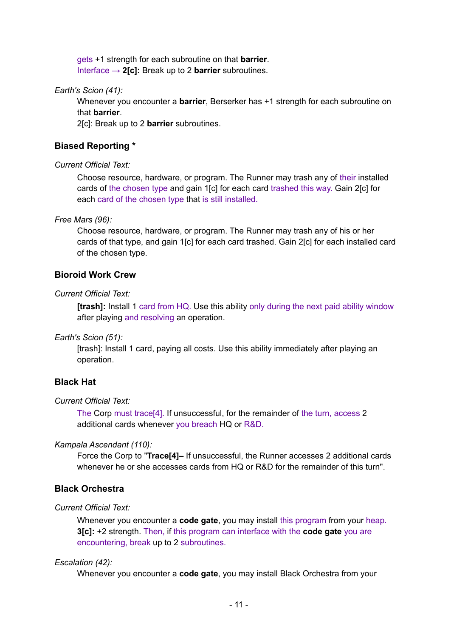gets +1 strength for each subroutine on that **barrier**. Interface → **2[c]:** Break up to 2 **barrier** subroutines.

*Earth's Scion (41):*

Whenever you encounter a **barrier**, Berserker has +1 strength for each subroutine on that **barrier**.

2[c]: Break up to 2 **barrier** subroutines.

## **Biased Reporting \***

## *Current Official Text:*

Choose resource, hardware, or program. The Runner may trash any of their installed cards of the chosen type and gain 1[c] for each card trashed this way. Gain 2[c] for each card of the chosen type that is still installed.

## *Free Mars (96):*

Choose resource, hardware, or program. The Runner may trash any of his or her cards of that type, and gain 1[c] for each card trashed. Gain 2[c] for each installed card of the chosen type.

## **Bioroid Work Crew**

## *Current Official Text:*

**[trash]:** Install 1 card from HQ. Use this ability only during the next paid ability window after playing and resolving an operation.

#### *Earth's Scion (51):*

[trash]: Install 1 card, paying all costs. Use this ability immediately after playing an operation.

## **Black Hat**

#### *Current Official Text:*

The Corp must trace[4]. If unsuccessful, for the remainder of the turn, access 2 additional cards whenever you breach HQ or R&D.

#### *Kampala Ascendant (110):*

Force the Corp to "**Trace[4]–** If unsuccessful, the Runner accesses 2 additional cards whenever he or she accesses cards from HQ or R&D for the remainder of this turn".

## **Black Orchestra**

#### *Current Official Text:*

Whenever you encounter a **code gate**, you may install this program from your heap. **3[c]:** +2 strength. Then, if this program can interface with the **code gate** you are encountering, break up to 2 subroutines.

#### *Escalation (42):*

Whenever you encounter a **code gate**, you may install Black Orchestra from your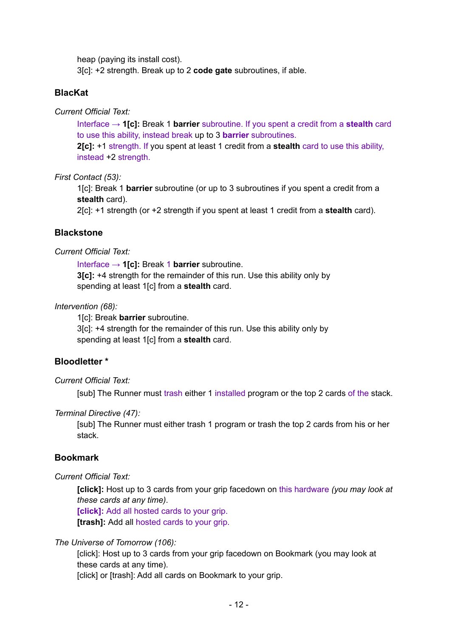heap (paying its install cost).

3[c]: +2 strength. Break up to 2 **code gate** subroutines, if able.

## **BlacKat**

*Current Official Text:*

Interface → **1[c]:** Break 1 **barrier** subroutine. If you spent a credit from a **stealth** card to use this ability, instead break up to 3 **barrier** subroutines.

**2[c]:** +1 strength. If you spent at least 1 credit from a **stealth** card to use this ability, instead +2 strength.

*First Contact (53):*

1[c]: Break 1 **barrier** subroutine (or up to 3 subroutines if you spent a credit from a **stealth** card).

2[c]: +1 strength (or +2 strength if you spent at least 1 credit from a **stealth** card).

## **Blackstone**

#### *Current Official Text:*

Interface → **1[c]:** Break 1 **barrier** subroutine. **3[c]:** +4 strength for the remainder of this run. Use this ability only by spending at least 1[c] from a **stealth** card.

## *Intervention (68):*

1[c]: Break **barrier** subroutine.

3[c]: +4 strength for the remainder of this run. Use this ability only by spending at least 1[c] from a **stealth** card.

## **Bloodletter \***

#### *Current Official Text:*

[sub] The Runner must trash either 1 installed program or the top 2 cards of the stack.

#### *Terminal Directive (47):*

[sub] The Runner must either trash 1 program or trash the top 2 cards from his or her stack.

## **Bookmark**

## *Current Official Text:*

**[click]:** Host up to 3 cards from your grip facedown on this hardware *(you may look at these cards at any time)*.

**[click]:** Add all hosted cards to your grip.

**[trash]:** Add all hosted cards to your grip.

## *The Universe of Tomorrow (106):*

[click]: Host up to 3 cards from your grip facedown on Bookmark (you may look at these cards at any time).

[click] or [trash]: Add all cards on Bookmark to your grip.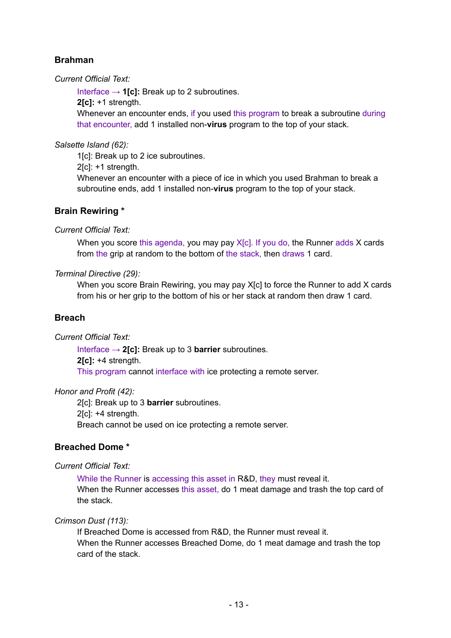# **Brahman**

*Current Official Text:*

Interface → **1[c]:** Break up to 2 subroutines.

**2[c]:** +1 strength.

Whenever an encounter ends, if you used this program to break a subroutine during that encounter, add 1 installed non-**virus** program to the top of your stack.

## *Salsette Island (62):*

1[c]: Break up to 2 ice subroutines.

2[c]: +1 strength.

Whenever an encounter with a piece of ice in which you used Brahman to break a subroutine ends, add 1 installed non-**virus** program to the top of your stack.

## **Brain Rewiring \***

*Current Official Text:*

When you score this agenda, you may pay  $X[c]$ . If you do, the Runner adds X cards from the grip at random to the bottom of the stack, then draws 1 card.

## *Terminal Directive (29):*

When you score Brain Rewiring, you may pay X[c] to force the Runner to add X cards from his or her grip to the bottom of his or her stack at random then draw 1 card.

# **Breach**

*Current Official Text:*

Interface → **2[c]:** Break up to 3 **barrier** subroutines. **2[c]:** +4 strength. This program cannot interface with ice protecting a remote server.

## *Honor and Profit (42):*

2[c]: Break up to 3 **barrier** subroutines. 2[c]: +4 strength.

Breach cannot be used on ice protecting a remote server.

# **Breached Dome \***

*Current Official Text:*

While the Runner is accessing this asset in R&D, they must reveal it. When the Runner accesses this asset, do 1 meat damage and trash the top card of the stack.

## *Crimson Dust (113):*

If Breached Dome is accessed from R&D, the Runner must reveal it. When the Runner accesses Breached Dome, do 1 meat damage and trash the top card of the stack.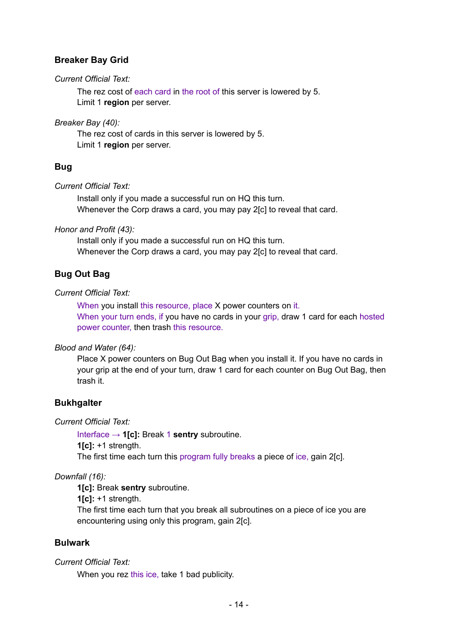# **Breaker Bay Grid**

#### *Current Official Text:*

The rez cost of each card in the root of this server is lowered by 5. Limit 1 **region** per server.

#### *Breaker Bay (40):*

The rez cost of cards in this server is lowered by 5. Limit 1 **region** per server.

# **Bug**

## *Current Official Text:*

Install only if you made a successful run on HQ this turn. Whenever the Corp draws a card, you may pay 2[c] to reveal that card.

## *Honor and Profit (43):*

Install only if you made a successful run on HQ this turn. Whenever the Corp draws a card, you may pay 2[c] to reveal that card.

# **Bug Out Bag**

## *Current Official Text:*

When you install this resource, place X power counters on it. When your turn ends, if you have no cards in your grip, draw 1 card for each hosted power counter, then trash this resource.

## *Blood and Water (64):*

Place X power counters on Bug Out Bag when you install it. If you have no cards in your grip at the end of your turn, draw 1 card for each counter on Bug Out Bag, then trash it.

## **Bukhgalter**

## *Current Official Text:*

Interface → **1[c]:** Break 1 **sentry** subroutine. **1[c]:** +1 strength. The first time each turn this program fully breaks a piece of ice, gain 2[c].

## *Downfall (16):*

**1[c]:** Break **sentry** subroutine.

**1[c]:** +1 strength.

The first time each turn that you break all subroutines on a piece of ice you are encountering using only this program, gain 2[c].

## **Bulwark**

## *Current Official Text:*

When you rez this ice, take 1 bad publicity.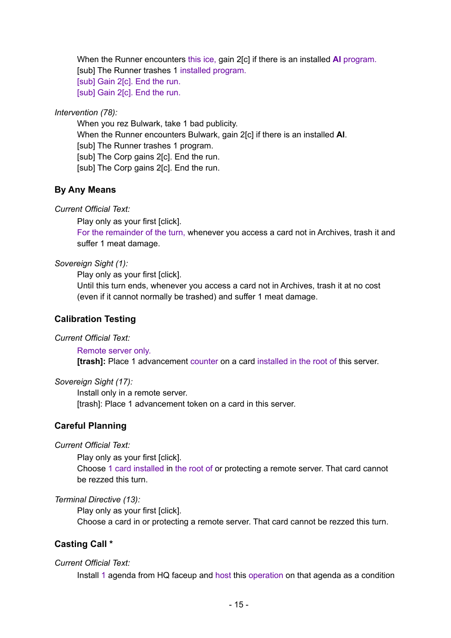When the Runner encounters this ice, gain 2[c] if there is an installed **AI** program. [sub] The Runner trashes 1 installed program. [sub] Gain 2[c]. End the run. [sub] Gain 2[c]. End the run.

#### *Intervention (78):*

When you rez Bulwark, take 1 bad publicity. When the Runner encounters Bulwark, gain 2[c] if there is an installed **AI**. [sub] The Runner trashes 1 program. [sub] The Corp gains 2[c]. End the run. [sub] The Corp gains 2[c]. End the run.

## **By Any Means**

#### *Current Official Text:*

Play only as your first [click].

For the remainder of the turn, whenever you access a card not in Archives, trash it and suffer 1 meat damage.

#### *Sovereign Sight (1):*

Play only as your first [click].

Until this turn ends, whenever you access a card not in Archives, trash it at no cost (even if it cannot normally be trashed) and suffer 1 meat damage.

#### **Calibration Testing**

#### *Current Official Text:*

#### Remote server only.

**[trash]:** Place 1 advancement counter on a card installed in the root of this server.

#### *Sovereign Sight (17):*

Install only in a remote server. [trash]: Place 1 advancement token on a card in this server.

#### **Careful Planning**

#### *Current Official Text:*

Play only as your first [click].

Choose 1 card installed in the root of or protecting a remote server. That card cannot be rezzed this turn.

#### *Terminal Directive (13):*

Play only as your first [click]. Choose a card in or protecting a remote server. That card cannot be rezzed this turn.

## **Casting Call \***

#### *Current Official Text:*

Install 1 agenda from HQ faceup and host this operation on that agenda as a condition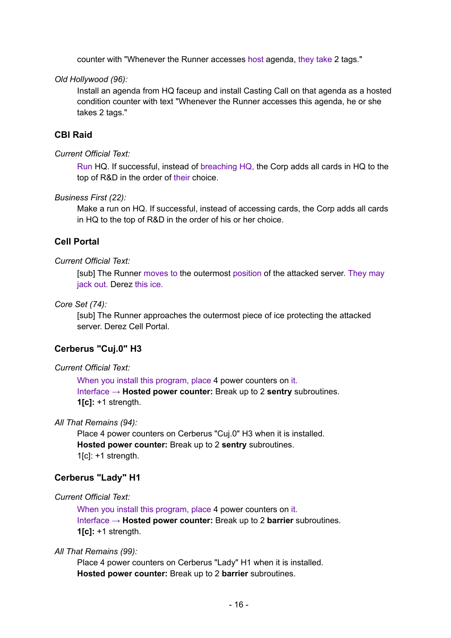counter with "Whenever the Runner accesses host agenda, they take 2 tags."

*Old Hollywood (96):*

Install an agenda from HQ faceup and install Casting Call on that agenda as a hosted condition counter with text "Whenever the Runner accesses this agenda, he or she takes 2 tags."

## **CBI Raid**

#### *Current Official Text:*

Run HQ. If successful, instead of breaching HQ, the Corp adds all cards in HQ to the top of R&D in the order of their choice.

#### *Business First (22):*

Make a run on HQ. If successful, instead of accessing cards, the Corp adds all cards in HQ to the top of R&D in the order of his or her choice.

## **Cell Portal**

#### *Current Official Text:*

[sub] The Runner moves to the outermost position of the attacked server. They may jack out. Derez this ice.

#### *Core Set (74):*

[sub] The Runner approaches the outermost piece of ice protecting the attacked server. Derez Cell Portal.

#### **Cerberus "Cuj.0" H3**

#### *Current Official Text:*

When you install this program, place 4 power counters on it. Interface → **Hosted power counter:** Break up to 2 **sentry** subroutines. **1[c]:** +1 strength.

#### *All That Remains (94):*

Place 4 power counters on Cerberus "Cuj.0" H3 when it is installed. **Hosted power counter:** Break up to 2 **sentry** subroutines. 1[c]: +1 strength.

#### **Cerberus "Lady" H1**

#### *Current Official Text:*

When you install this program, place 4 power counters on it. Interface → **Hosted power counter:** Break up to 2 **barrier** subroutines. **1[c]:** +1 strength.

#### *All That Remains (99):*

Place 4 power counters on Cerberus "Lady" H1 when it is installed. **Hosted power counter:** Break up to 2 **barrier** subroutines.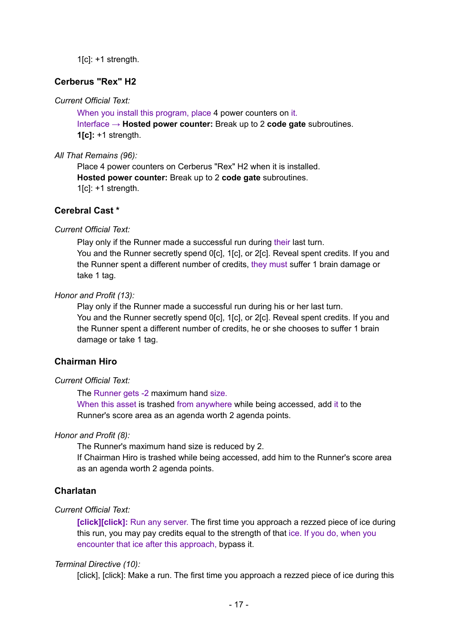$1[c]$ : +1 strength.

## **Cerberus "Rex" H2**

## *Current Official Text:*

When you install this program, place 4 power counters on it. Interface → **Hosted power counter:** Break up to 2 **code gate** subroutines. **1[c]:** +1 strength.

#### *All That Remains (96):*

Place 4 power counters on Cerberus "Rex" H2 when it is installed. **Hosted power counter:** Break up to 2 **code gate** subroutines.  $1$ [c]:  $+1$  strength.

## **Cerebral Cast \***

#### *Current Official Text:*

Play only if the Runner made a successful run during their last turn. You and the Runner secretly spend 0[c], 1[c], or 2[c]. Reveal spent credits. If you and the Runner spent a different number of credits, they must suffer 1 brain damage or take 1 tag.

#### *Honor and Profit (13):*

Play only if the Runner made a successful run during his or her last turn. You and the Runner secretly spend 0[c], 1[c], or 2[c]. Reveal spent credits. If you and the Runner spent a different number of credits, he or she chooses to suffer 1 brain damage or take 1 tag.

## **Chairman Hiro**

#### *Current Official Text:*

The Runner gets -2 maximum hand size.

When this asset is trashed from anywhere while being accessed, add it to the Runner's score area as an agenda worth 2 agenda points.

#### *Honor and Profit (8):*

The Runner's maximum hand size is reduced by 2.

If Chairman Hiro is trashed while being accessed, add him to the Runner's score area as an agenda worth 2 agenda points.

#### **Charlatan**

#### *Current Official Text:*

**[click][click]:** Run any server. The first time you approach a rezzed piece of ice during this run, you may pay credits equal to the strength of that ice. If you do, when you encounter that ice after this approach, bypass it.

#### *Terminal Directive (10):*

[click], [click]: Make a run. The first time you approach a rezzed piece of ice during this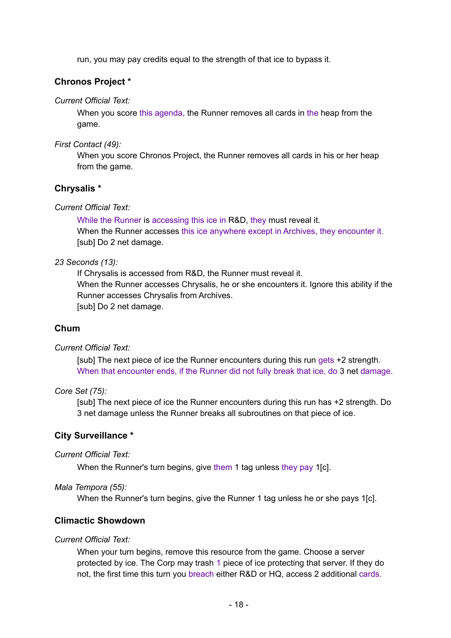run, you may pay credits equal to the strength of that ice to bypass it.

## **Chronos Project \***

#### *Current Official Text:*

When you score this agenda, the Runner removes all cards in the heap from the game.

*First Contact (49):*

When you score Chronos Project, the Runner removes all cards in his or her heap from the game.

## **Chrysalis \***

## *Current Official Text:*

While the Runner is accessing this ice in R&D, they must reveal it. When the Runner accesses this ice anywhere except in Archives, they encounter it. [sub] Do 2 net damage.

## *23 Seconds (13):*

If Chrysalis is accessed from R&D, the Runner must reveal it. When the Runner accesses Chrysalis, he or she encounters it. Ignore this ability if the Runner accesses Chrysalis from Archives. [sub] Do 2 net damage.

## **Chum**

#### *Current Official Text:*

[sub] The next piece of ice the Runner encounters during this run gets +2 strength. When that encounter ends, if the Runner did not fully break that ice, do 3 net damage.

#### *Core Set (75):*

[sub] The next piece of ice the Runner encounters during this run has +2 strength. Do 3 net damage unless the Runner breaks all subroutines on that piece of ice.

## **City Surveillance \***

#### *Current Official Text:*

When the Runner's turn begins, give them 1 tag unless they pay 1[c].

#### *Mala Tempora (55):*

When the Runner's turn begins, give the Runner 1 tag unless he or she pays 1[c].

## **Climactic Showdown**

#### *Current Official Text:*

When your turn begins, remove this resource from the game. Choose a server protected by ice. The Corp may trash 1 piece of ice protecting that server. If they do not, the first time this turn you breach either R&D or HQ, access 2 additional cards.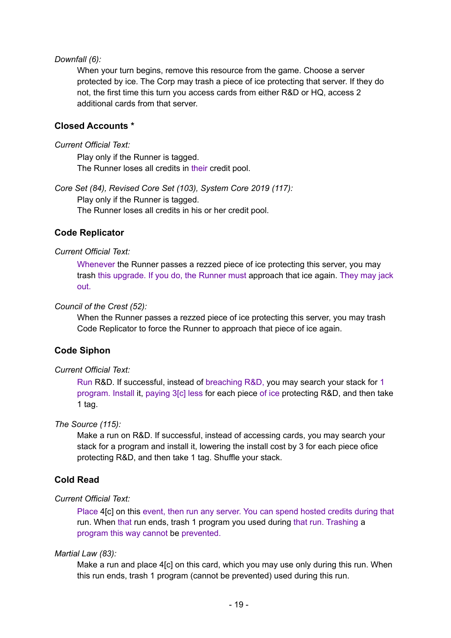#### *Downfall (6):*

When your turn begins, remove this resource from the game. Choose a server protected by ice. The Corp may trash a piece of ice protecting that server. If they do not, the first time this turn you access cards from either R&D or HQ, access 2 additional cards from that server.

## **Closed Accounts \***

#### *Current Official Text:*

Play only if the Runner is tagged. The Runner loses all credits in their credit pool.

*Core Set (84), Revised Core Set (103), System Core 2019 (117):* Play only if the Runner is tagged. The Runner loses all credits in his or her credit pool.

#### **Code Replicator**

#### *Current Official Text:*

Whenever the Runner passes a rezzed piece of ice protecting this server, you may trash this upgrade. If you do, the Runner must approach that ice again. They may jack out.

#### *Council of the Crest (52):*

When the Runner passes a rezzed piece of ice protecting this server, you may trash Code Replicator to force the Runner to approach that piece of ice again.

#### **Code Siphon**

#### *Current Official Text:*

Run R&D. If successful, instead of breaching R&D, you may search your stack for 1 program. Install it, paying 3[c] less for each piece of ice protecting R&D, and then take 1 tag.

#### *The Source (115):*

Make a run on R&D. If successful, instead of accessing cards, you may search your stack for a program and install it, lowering the install cost by 3 for each piece ofice protecting R&D, and then take 1 tag. Shuffle your stack.

## **Cold Read**

#### *Current Official Text:*

Place 4[c] on this event, then run any server. You can spend hosted credits during that run. When that run ends, trash 1 program you used during that run. Trashing a program this way cannot be prevented.

#### *Martial Law (83):*

Make a run and place 4[c] on this card, which you may use only during this run. When this run ends, trash 1 program (cannot be prevented) used during this run.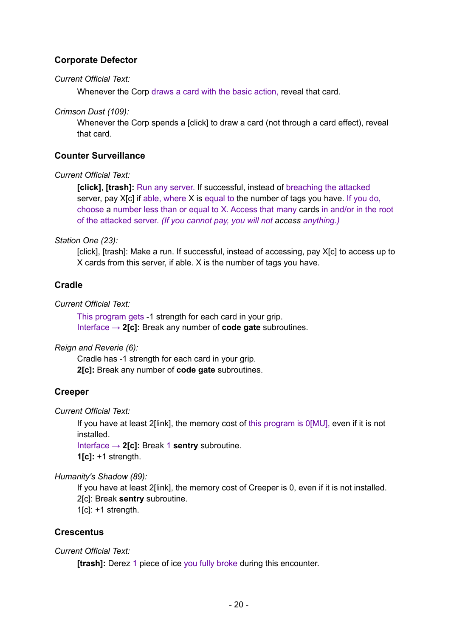# **Corporate Defector**

#### *Current Official Text:*

Whenever the Corp draws a card with the basic action, reveal that card.

*Crimson Dust (109):*

Whenever the Corp spends a [click] to draw a card (not through a card effect), reveal that card.

## **Counter Surveillance**

## *Current Official Text:*

**[click]**, **[trash]:** Run any server. If successful, instead of breaching the attacked server, pay X[c] if able, where X is equal to the number of tags you have. If you do, choose a number less than or equal to X. Access that many cards in and/or in the root of the attacked server. *(If you cannot pay, you will not access anything.)*

## *Station One (23):*

[click], [trash]: Make a run. If successful, instead of accessing, pay X[c] to access up to X cards from this server, if able. X is the number of tags you have.

## **Cradle**

## *Current Official Text:*

This program gets -1 strength for each card in your grip. Interface → **2[c]:** Break any number of **code gate** subroutines.

#### *Reign and Reverie (6):*

Cradle has -1 strength for each card in your grip. **2[c]:** Break any number of **code gate** subroutines.

## **Creeper**

*Current Official Text:*

If you have at least 2[link], the memory cost of this program is 0[MU], even if it is not installed.

Interface → **2[c]:** Break 1 **sentry** subroutine. **1[c]:** +1 strength.

*Humanity's Shadow (89):*

If you have at least 2[link], the memory cost of Creeper is 0, even if it is not installed. 2[c]: Break **sentry** subroutine.  $1[c]$ : +1 strength.

## **Crescentus**

## *Current Official Text:*

**[trash]:** Derez 1 piece of ice you fully broke during this encounter.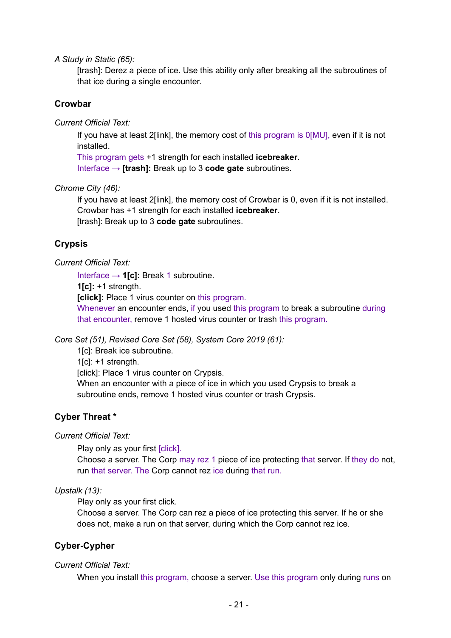*A Study in Static (65):*

[trash]: Derez a piece of ice. Use this ability only after breaking all the subroutines of that ice during a single encounter.

## **Crowbar**

*Current Official Text:*

If you have at least 2[link], the memory cost of this program is 0[MU], even if it is not installed.

This program gets +1 strength for each installed **icebreaker**. Interface → **[trash]:** Break up to 3 **code gate** subroutines.

#### *Chrome City (46):*

If you have at least 2[link], the memory cost of Crowbar is 0, even if it is not installed. Crowbar has +1 strength for each installed **icebreaker**. [trash]: Break up to 3 **code gate** subroutines.

## **Crypsis**

#### *Current Official Text:*

Interface → **1[c]:** Break 1 subroutine.

**1[c]:** +1 strength.

**[click]:** Place 1 virus counter on this program.

Whenever an encounter ends, if you used this program to break a subroutine during that encounter, remove 1 hosted virus counter or trash this program.

*Core Set (51), Revised Core Set (58), System Core 2019 (61):*

1[c]: Break ice subroutine.

 $1[c]$ : +1 strength.

[click]: Place 1 virus counter on Crypsis.

When an encounter with a piece of ice in which you used Crypsis to break a subroutine ends, remove 1 hosted virus counter or trash Crypsis.

## **Cyber Threat \***

*Current Official Text:*

Play only as your first [click].

Choose a server. The Corp may rez 1 piece of ice protecting that server. If they do not, run that server. The Corp cannot rez ice during that run.

#### *Upstalk (13):*

Play only as your first click.

Choose a server. The Corp can rez a piece of ice protecting this server. If he or she does not, make a run on that server, during which the Corp cannot rez ice.

## **Cyber-Cypher**

#### *Current Official Text:*

When you install this program, choose a server. Use this program only during runs on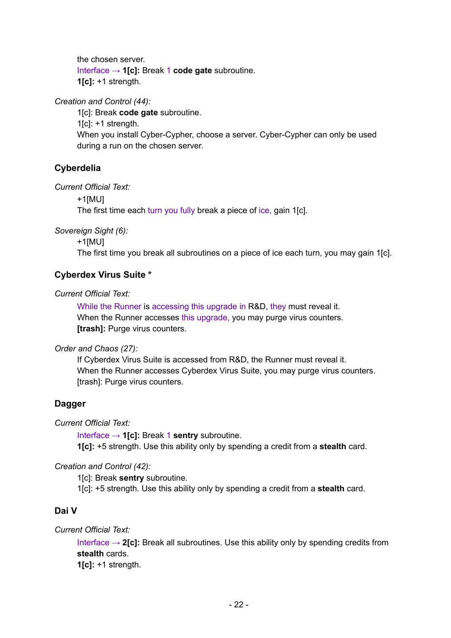the chosen server. Interface → **1[c]:** Break 1 **code gate** subroutine. **1[c]:** +1 strength.

*Creation and Control (44):*

1[c]: Break **code gate** subroutine.  $1$ [c]:  $+1$  strength. When you install Cyber-Cypher, choose a server. Cyber-Cypher can only be used during a run on the chosen server.

# **Cyberdelia**

*Current Official Text:*

+1[MU]

The first time each turn you fully break a piece of ice, gain 1[c].

*Sovereign Sight (6):*

+1[MU]

The first time you break all subroutines on a piece of ice each turn, you may gain 1[c].

# **Cyberdex Virus Suite \***

*Current Official Text:*

While the Runner is accessing this upgrade in R&D, they must reveal it. When the Runner accesses this upgrade, you may purge virus counters. **[trash]:** Purge virus counters.

*Order and Chaos (27):*

If Cyberdex Virus Suite is accessed from R&D, the Runner must reveal it. When the Runner accesses Cyberdex Virus Suite, you may purge virus counters. [trash]: Purge virus counters.

# **Dagger**

*Current Official Text:*

Interface → **1[c]:** Break 1 **sentry** subroutine. **1[c]:** +5 strength. Use this ability only by spending a credit from a **stealth** card.

*Creation and Control (42):*

1[c]: Break **sentry** subroutine.

1[c]: +5 strength. Use this ability only by spending a credit from a **stealth** card.

# **Dai V**

*Current Official Text:*

Interface → **2[c]:** Break all subroutines. Use this ability only by spending credits from **stealth** cards.

**1[c]:** +1 strength.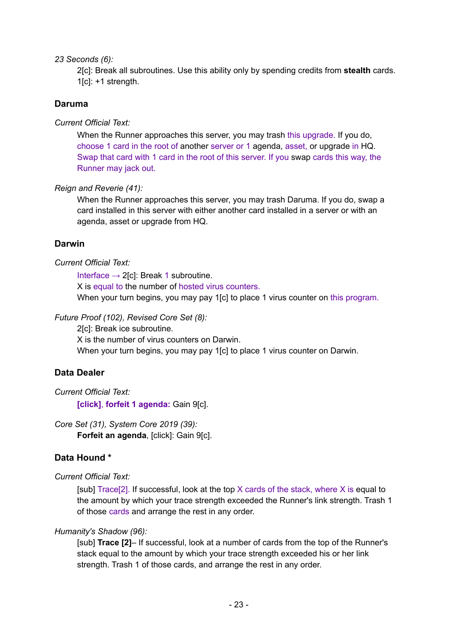#### *23 Seconds (6):*

2[c]: Break all subroutines. Use this ability only by spending credits from **stealth** cards.  $1[c]$ : +1 strength.

## **Daruma**

*Current Official Text:*

When the Runner approaches this server, you may trash this upgrade. If you do, choose 1 card in the root of another server or 1 agenda, asset, or upgrade in HQ. Swap that card with 1 card in the root of this server. If you swap cards this way, the Runner may jack out.

## *Reign and Reverie (41):*

When the Runner approaches this server, you may trash Daruma. If you do, swap a card installed in this server with either another card installed in a server or with an agenda, asset or upgrade from HQ.

# **Darwin**

## *Current Official Text:*

Interface  $\rightarrow$  2[c]: Break 1 subroutine.

X is equal to the number of hosted virus counters.

When your turn begins, you may pay 1[c] to place 1 virus counter on this program.

# *Future Proof (102), Revised Core Set (8):*

2[c]: Break ice subroutine.

X is the number of virus counters on Darwin.

When your turn begins, you may pay 1[c] to place 1 virus counter on Darwin.

# **Data Dealer**

*Current Official Text:*

**[click]**, **forfeit 1 agenda:** Gain 9[c].

*Core Set (31), System Core 2019 (39):*

**Forfeit an agenda**, [click]: Gain 9[c].

# **Data Hound \***

# *Current Official Text:*

 $\lceil \text{sub} \rceil$  [sub] Trace $\lceil 2 \rceil$ . If successful, look at the top X cards of the stack, where X is equal to the amount by which your trace strength exceeded the Runner's link strength. Trash 1 of those cards and arrange the rest in any order.

## *Humanity's Shadow (96):*

[sub] **Trace [2]**– If successful, look at a number of cards from the top of the Runner's stack equal to the amount by which your trace strength exceeded his or her link strength. Trash 1 of those cards, and arrange the rest in any order.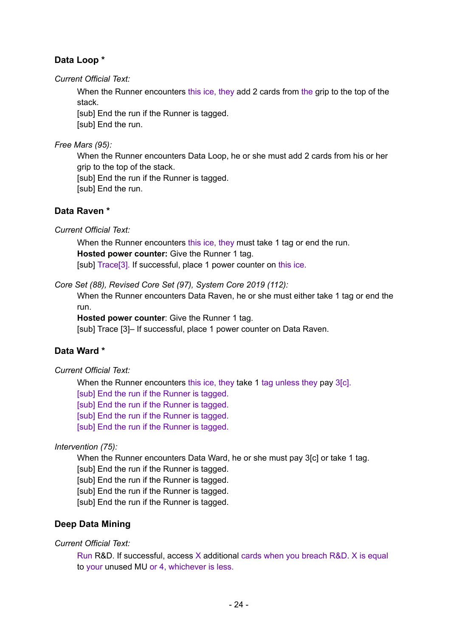# **Data Loop \***

*Current Official Text:*

When the Runner encounters this ice, they add 2 cards from the grip to the top of the stack.

[sub] End the run if the Runner is tagged. [sub] End the run.

*Free Mars (95):*

When the Runner encounters Data Loop, he or she must add 2 cards from his or her grip to the top of the stack.

[sub] End the run if the Runner is tagged.

[sub] End the run.

# **Data Raven \***

*Current Official Text:*

When the Runner encounters this ice, they must take 1 tag or end the run. **Hosted power counter:** Give the Runner 1 tag. [sub] Trace[3]. If successful, place 1 power counter on this ice.

*Core Set (88), Revised Core Set (97), System Core 2019 (112):*

When the Runner encounters Data Raven, he or she must either take 1 tag or end the run.

**Hosted power counter**: Give the Runner 1 tag.

[sub] Trace [3]– If successful, place 1 power counter on Data Raven.

# **Data Ward \***

*Current Official Text:*

When the Runner encounters this ice, they take 1 tag unless they pay 3[c]. [sub] End the run if the Runner is tagged. [sub] End the run if the Runner is tagged. [sub] End the run if the Runner is tagged. [sub] End the run if the Runner is tagged.

*Intervention (75):*

When the Runner encounters Data Ward, he or she must pay 3[c] or take 1 tag.

[sub] End the run if the Runner is tagged.

[sub] End the run if the Runner is tagged.

[sub] End the run if the Runner is tagged.

[sub] End the run if the Runner is tagged.

# **Deep Data Mining**

*Current Official Text:*

Run R&D. If successful, access X additional cards when you breach R&D. X is equal to your unused MU or 4, whichever is less.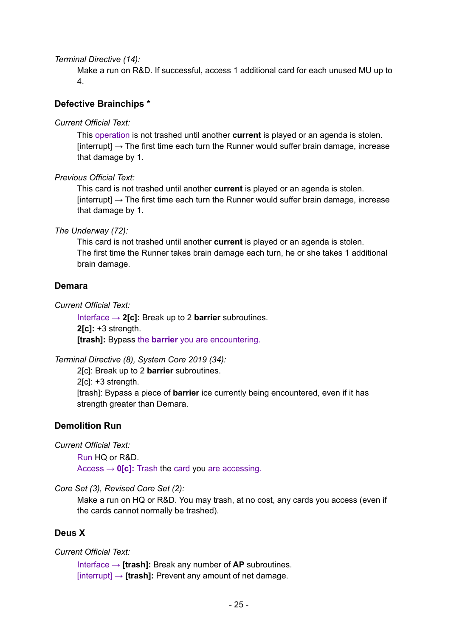*Terminal Directive (14):*

Make a run on R&D. If successful, access 1 additional card for each unused MU up to 4.

## **Defective Brainchips \***

*Current Official Text:*

This operation is not trashed until another **current** is played or an agenda is stolen.  $[interrupt] \rightarrow The first time each turn the Runner would suffer brain damage, increase$ that damage by 1.

*Previous Official Text:*

This card is not trashed until another **current** is played or an agenda is stolen.  $[interrupt] \rightarrow$  The first time each turn the Runner would suffer brain damage, increase that damage by 1.

*The Underway (72):*

This card is not trashed until another **current** is played or an agenda is stolen. The first time the Runner takes brain damage each turn, he or she takes 1 additional brain damage.

#### **Demara**

*Current Official Text:*

Interface → **2[c]:** Break up to 2 **barrier** subroutines. **2[c]:** +3 strength. **[trash]:** Bypass the **barrier** you are encountering.

*Terminal Directive (8), System Core 2019 (34):*

2[c]: Break up to 2 **barrier** subroutines. 2[c]: +3 strength. [trash]: Bypass a piece of **barrier** ice currently being encountered, even if it has strength greater than Demara.

#### **Demolition Run**

*Current Official Text:*

Run HQ or R&D. Access  $\rightarrow$  **0[c]:** Trash the card you are accessing.

*Core Set (3), Revised Core Set (2):*

Make a run on HQ or R&D. You may trash, at no cost, any cards you access (even if the cards cannot normally be trashed).

## **Deus X**

#### *Current Official Text:*

Interface → **[trash]:** Break any number of **AP** subroutines. [interrupt] → **[trash]:** Prevent any amount of net damage.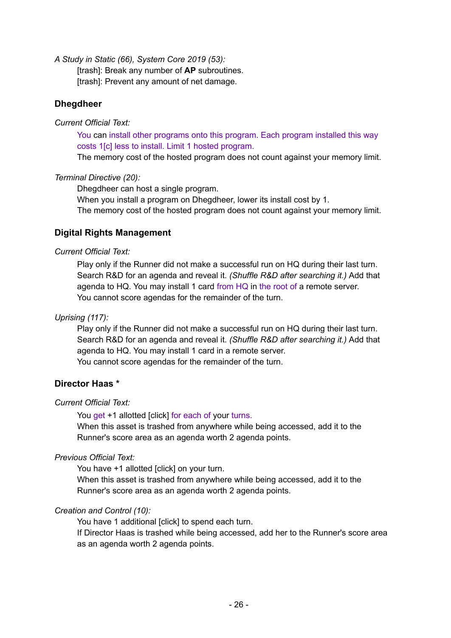*A Study in Static (66), System Core 2019 (53):*

[trash]: Break any number of **AP** subroutines. [trash]: Prevent any amount of net damage.

## **Dhegdheer**

#### *Current Official Text:*

You can install other programs onto this program. Each program installed this way costs 1[c] less to install. Limit 1 hosted program.

The memory cost of the hosted program does not count against your memory limit.

## *Terminal Directive (20):*

Dhegdheer can host a single program.

When you install a program on Dhegdheer, lower its install cost by 1.

The memory cost of the hosted program does not count against your memory limit.

# **Digital Rights Management**

## *Current Official Text:*

Play only if the Runner did not make a successful run on HQ during their last turn. Search R&D for an agenda and reveal it. *(Shuffle R&D after searching it.)* Add that agenda to HQ. You may install 1 card from HQ in the root of a remote server. You cannot score agendas for the remainder of the turn.

*Uprising (117):*

Play only if the Runner did not make a successful run on HQ during their last turn. Search R&D for an agenda and reveal it. *(Shuffle R&D after searching it.)* Add that agenda to HQ. You may install 1 card in a remote server. You cannot score agendas for the remainder of the turn.

# **Director Haas \***

#### *Current Official Text:*

You get +1 allotted [click] for each of your turns.

When this asset is trashed from anywhere while being accessed, add it to the Runner's score area as an agenda worth 2 agenda points.

## *Previous Official Text:*

You have +1 allotted [click] on your turn.

When this asset is trashed from anywhere while being accessed, add it to the Runner's score area as an agenda worth 2 agenda points.

## *Creation and Control (10):*

You have 1 additional [click] to spend each turn.

If Director Haas is trashed while being accessed, add her to the Runner's score area as an agenda worth 2 agenda points.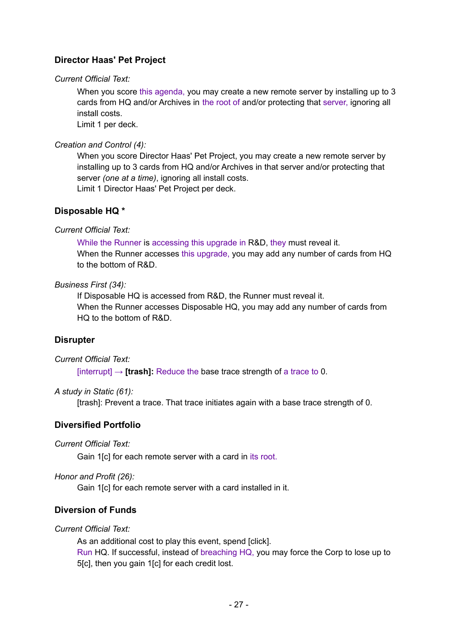# **Director Haas' Pet Project**

## *Current Official Text:*

When you score this agenda, you may create a new remote server by installing up to 3 cards from HQ and/or Archives in the root of and/or protecting that server, ignoring all install costs.

Limit 1 per deck.

## *Creation and Control (4):*

When you score Director Haas' Pet Project, you may create a new remote server by installing up to 3 cards from HQ and/or Archives in that server and/or protecting that server *(one at a time)*, ignoring all install costs.

Limit 1 Director Haas' Pet Project per deck.

## **Disposable HQ \***

## *Current Official Text:*

While the Runner is accessing this upgrade in R&D, they must reveal it. When the Runner accesses this upgrade, you may add any number of cards from HQ to the bottom of R&D.

## *Business First (34):*

If Disposable HQ is accessed from R&D, the Runner must reveal it. When the Runner accesses Disposable HQ, you may add any number of cards from HQ to the bottom of R&D.

## **Disrupter**

*Current Official Text:*

 $\text{interrubtl} \rightarrow \text{Itrashl: Reduce the base trace strength of a trace to 0.}$ 

#### *A study in Static (61):*

[trash]: Prevent a trace. That trace initiates again with a base trace strength of 0.

# **Diversified Portfolio**

*Current Official Text:*

Gain 1[c] for each remote server with a card in its root.

*Honor and Profit (26):*

Gain 1[c] for each remote server with a card installed in it.

# **Diversion of Funds**

## *Current Official Text:*

As an additional cost to play this event, spend [click]. Run HQ. If successful, instead of breaching HQ, you may force the Corp to lose up to 5[c], then you gain 1[c] for each credit lost.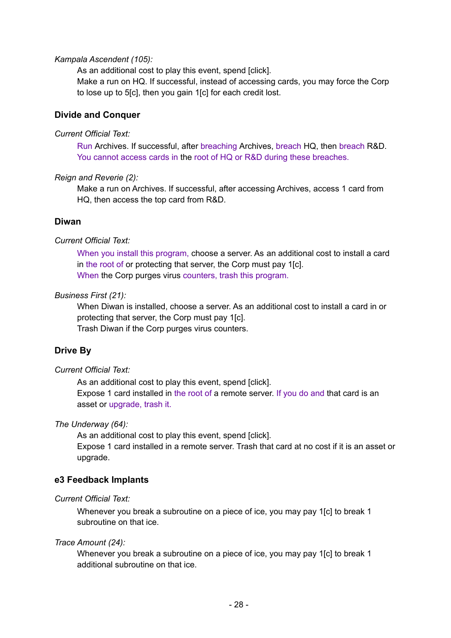#### *Kampala Ascendent (105):*

As an additional cost to play this event, spend [click]. Make a run on HQ. If successful, instead of accessing cards, you may force the Corp to lose up to 5[c], then you gain 1[c] for each credit lost.

## **Divide and Conquer**

#### *Current Official Text:*

Run Archives. If successful, after breaching Archives, breach HQ, then breach R&D. You cannot access cards in the root of HQ or R&D during these breaches.

## *Reign and Reverie (2):*

Make a run on Archives. If successful, after accessing Archives, access 1 card from HQ, then access the top card from R&D.

## **Diwan**

## *Current Official Text:*

When you install this program, choose a server. As an additional cost to install a card in the root of or protecting that server, the Corp must pay 1[c]. When the Corp purges virus counters, trash this program.

## *Business First (21):*

When Diwan is installed, choose a server. As an additional cost to install a card in or protecting that server, the Corp must pay 1[c].

Trash Diwan if the Corp purges virus counters.

# **Drive By**

#### *Current Official Text:*

As an additional cost to play this event, spend [click]. Expose 1 card installed in the root of a remote server. If you do and that card is an asset or upgrade, trash it.

#### *The Underway (64):*

As an additional cost to play this event, spend [click]. Expose 1 card installed in a remote server. Trash that card at no cost if it is an asset or upgrade.

## **e3 Feedback Implants**

#### *Current Official Text:*

Whenever you break a subroutine on a piece of ice, you may pay 1[c] to break 1 subroutine on that ice.

#### *Trace Amount (24):*

Whenever you break a subroutine on a piece of ice, you may pay 1[c] to break 1 additional subroutine on that ice.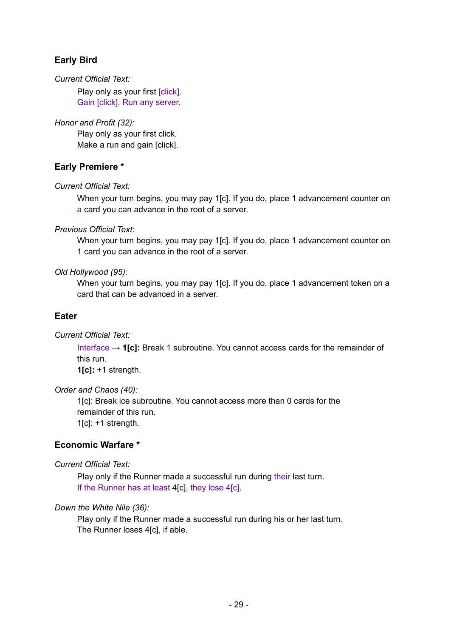# **Early Bird**

## *Current Official Text:*

Play only as your first [click]. Gain [click]. Run any server.

*Honor and Profit (32):*

Play only as your first click. Make a run and gain [click].

# **Early Premiere \***

## *Current Official Text:*

When your turn begins, you may pay 1[c]. If you do, place 1 advancement counter on a card you can advance in the root of a server.

## *Previous Official Text:*

When your turn begins, you may pay 1[c]. If you do, place 1 advancement counter on 1 card you can advance in the root of a server.

## *Old Hollywood (95):*

When your turn begins, you may pay 1[c]. If you do, place 1 advancement token on a card that can be advanced in a server.

## **Eater**

*Current Official Text:*

Interface → **1[c]:** Break 1 subroutine. You cannot access cards for the remainder of this run. **1[c]:** +1 strength.

## *Order and Chaos (40):*

1[c]: Break ice subroutine. You cannot access more than 0 cards for the remainder of this run. 1[c]: +1 strength.

# **Economic Warfare \***

*Current Official Text:*

Play only if the Runner made a successful run during their last turn. If the Runner has at least 4[c], they lose 4[c].

## *Down the White Nile (36):*

Play only if the Runner made a successful run during his or her last turn. The Runner loses 4[c], if able.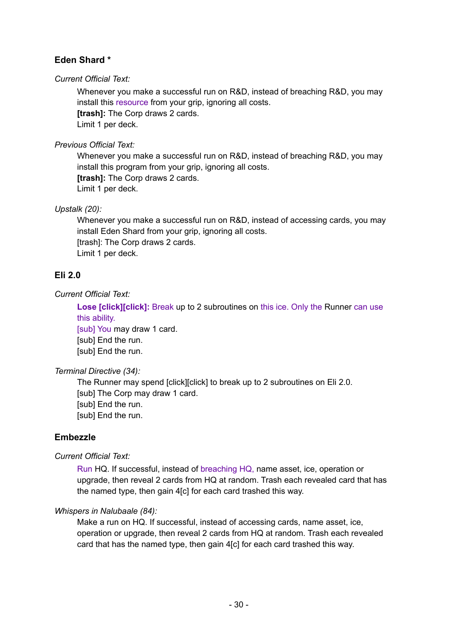# **Eden Shard \***

#### *Current Official Text:*

Whenever you make a successful run on R&D, instead of breaching R&D, you may install this resource from your grip, ignoring all costs. **[trash]:** The Corp draws 2 cards. Limit 1 per deck.

*Previous Official Text:*

Whenever you make a successful run on R&D, instead of breaching R&D, you may install this program from your grip, ignoring all costs. **[trash]:** The Corp draws 2 cards. Limit 1 per deck.

*Upstalk (20):*

Whenever you make a successful run on R&D, instead of accessing cards, you may install Eden Shard from your grip, ignoring all costs. [trash]: The Corp draws 2 cards. Limit 1 per deck.

## **Eli 2.0**

*Current Official Text:*

**Lose [click][click]:** Break up to 2 subroutines on this ice. Only the Runner can use this ability.

[sub] You may draw 1 card. [sub] End the run. [sub] End the run.

*Terminal Directive (34):*

The Runner may spend [click][click] to break up to 2 subroutines on Eli 2.0. [sub] The Corp may draw 1 card. [sub] End the run. [sub] End the run.

# **Embezzle**

*Current Official Text:*

Run HQ. If successful, instead of breaching HQ, name asset, ice, operation or upgrade, then reveal 2 cards from HQ at random. Trash each revealed card that has the named type, then gain 4[c] for each card trashed this way.

## *Whispers in Nalubaale (84):*

Make a run on HQ. If successful, instead of accessing cards, name asset, ice, operation or upgrade, then reveal 2 cards from HQ at random. Trash each revealed card that has the named type, then gain 4[c] for each card trashed this way.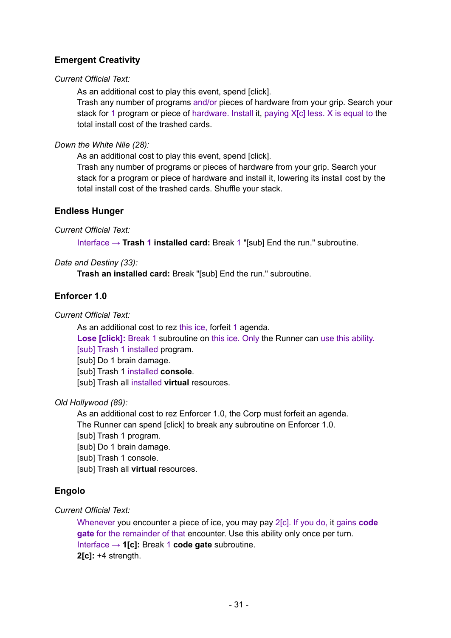# **Emergent Creativity**

## *Current Official Text:*

As an additional cost to play this event, spend [click].

Trash any number of programs and/or pieces of hardware from your grip. Search your stack for 1 program or piece of hardware. Install it, paying X[c] less. X is equal to the total install cost of the trashed cards.

## *Down the White Nile (28):*

As an additional cost to play this event, spend [click].

Trash any number of programs or pieces of hardware from your grip. Search your stack for a program or piece of hardware and install it, lowering its install cost by the total install cost of the trashed cards. Shuffle your stack.

## **Endless Hunger**

## *Current Official Text:*

Interface → **Trash 1 installed card:** Break 1 "[sub] End the run." subroutine.

## *Data and Destiny (33):*

**Trash an installed card:** Break "[sub] End the run." subroutine.

## **Enforcer 1.0**

*Current Official Text:*

As an additional cost to rez this ice, forfeit 1 agenda.

**Lose [click]:** Break 1 subroutine on this ice. Only the Runner can use this ability. [sub] Trash 1 installed program.

[sub] Do 1 brain damage.

[sub] Trash 1 installed **console**.

[sub] Trash all installed **virtual** resources.

## *Old Hollywood (89):*

As an additional cost to rez Enforcer 1.0, the Corp must forfeit an agenda. The Runner can spend [click] to break any subroutine on Enforcer 1.0.

[sub] Trash 1 program.

[sub] Do 1 brain damage.

[sub] Trash 1 console.

[sub] Trash all **virtual** resources.

# **Engolo**

## *Current Official Text:*

Whenever you encounter a piece of ice, you may pay 2[c]. If you do, it gains **code gate** for the remainder of that encounter. Use this ability only once per turn. Interface → **1[c]:** Break 1 **code gate** subroutine. **2[c]:** +4 strength.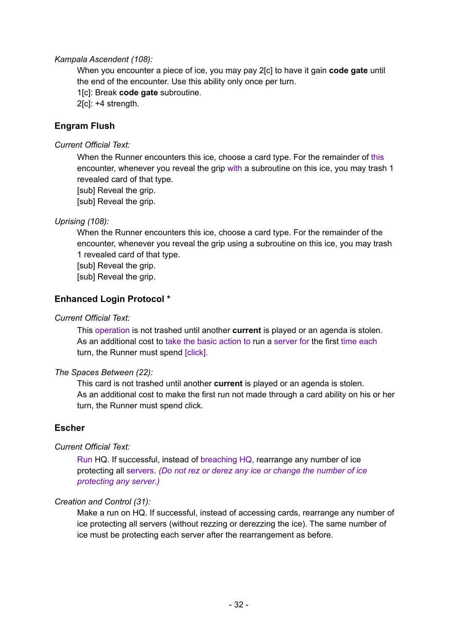#### *Kampala Ascendent (108):*

When you encounter a piece of ice, you may pay 2[c] to have it gain **code gate** until the end of the encounter. Use this ability only once per turn.

1[c]: Break **code gate** subroutine.

2[c]: +4 strength.

## **Engram Flush**

*Current Official Text:*

When the Runner encounters this ice, choose a card type. For the remainder of this encounter, whenever you reveal the grip with a subroutine on this ice, you may trash 1 revealed card of that type.

[sub] Reveal the grip.

[sub] Reveal the grip.

## *Uprising (108):*

When the Runner encounters this ice, choose a card type. For the remainder of the encounter, whenever you reveal the grip using a subroutine on this ice, you may trash 1 revealed card of that type.

[sub] Reveal the grip.

[sub] Reveal the grip.

## **Enhanced Login Protocol \***

#### *Current Official Text:*

This operation is not trashed until another **current** is played or an agenda is stolen. As an additional cost to take the basic action to run a server for the first time each turn, the Runner must spend [click].

#### *The Spaces Between (22):*

This card is not trashed until another **current** is played or an agenda is stolen. As an additional cost to make the first run not made through a card ability on his or her turn, the Runner must spend click.

## **Escher**

#### *Current Official Text:*

Run HQ. If successful, instead of breaching HQ, rearrange any number of ice protecting all servers. *(Do not rez or derez any ice or change the number of ice protecting any server.)*

#### *Creation and Control (31):*

Make a run on HQ. If successful, instead of accessing cards, rearrange any number of ice protecting all servers (without rezzing or derezzing the ice). The same number of ice must be protecting each server after the rearrangement as before.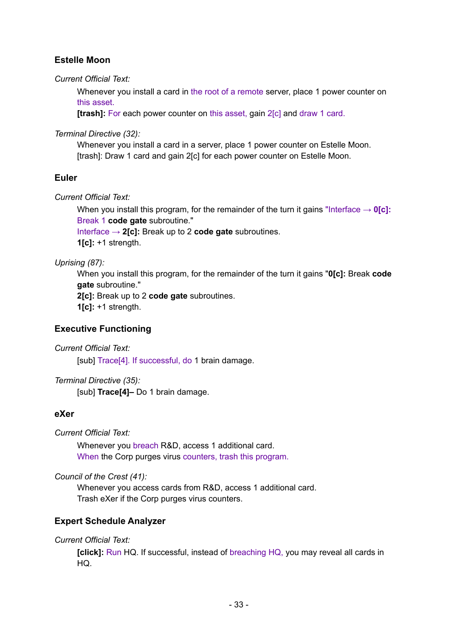# **Estelle Moon**

*Current Official Text:*

Whenever you install a card in the root of a remote server, place 1 power counter on this asset.

**[trash]:** For each power counter on this asset, gain 2[c] and draw 1 card.

*Terminal Directive (32):*

Whenever you install a card in a server, place 1 power counter on Estelle Moon. [trash]: Draw 1 card and gain 2[c] for each power counter on Estelle Moon.

# **Euler**

*Current Official Text:*

When you install this program, for the remainder of the turn it gains "Interface  $\rightarrow$  **0[c]:** Break 1 **code gate** subroutine."

Interface → **2[c]:** Break up to 2 **code gate** subroutines.

**1[c]:** +1 strength.

*Uprising (87):*

When you install this program, for the remainder of the turn it gains "**0[c]:** Break **code gate** subroutine."

**2[c]:** Break up to 2 **code gate** subroutines.

**1[c]:** +1 strength.

# **Executive Functioning**

*Current Official Text:*

[sub] Trace<sup>[4]</sup>. If successful, do 1 brain damage.

*Terminal Directive (35):*

[sub] **Trace[4]–** Do 1 brain damage.

## **eXer**

*Current Official Text:*

Whenever you breach R&D, access 1 additional card. When the Corp purges virus counters, trash this program.

*Council of the Crest (41):*

Whenever you access cards from R&D, access 1 additional card. Trash eXer if the Corp purges virus counters.

# **Expert Schedule Analyzer**

*Current Official Text:*

**[click]:** Run HQ. If successful, instead of breaching HQ, you may reveal all cards in HQ.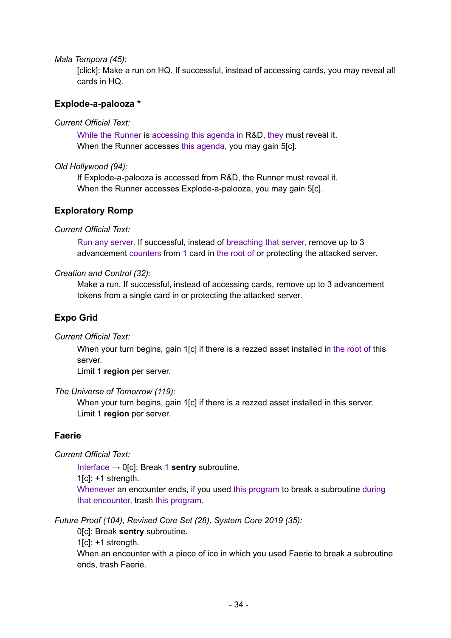*Mala Tempora (45):*

[click]: Make a run on HQ. If successful, instead of accessing cards, you may reveal all cards in HQ.

## **Explode-a-palooza \***

#### *Current Official Text:*

While the Runner is accessing this agenda in R&D, they must reveal it. When the Runner accesses this agenda, you may gain 5[c].

#### *Old Hollywood (94):*

If Explode-a-palooza is accessed from R&D, the Runner must reveal it. When the Runner accesses Explode-a-palooza, you may gain 5[c].

## **Exploratory Romp**

#### *Current Official Text:*

Run any server. If successful, instead of breaching that server, remove up to 3 advancement counters from 1 card in the root of or protecting the attacked server.

#### *Creation and Control (32):*

Make a run. If successful, instead of accessing cards, remove up to 3 advancement tokens from a single card in or protecting the attacked server.

## **Expo Grid**

*Current Official Text:*

When your turn begins, gain 1[c] if there is a rezzed asset installed in the root of this server.

Limit 1 **region** per server.

#### *The Universe of Tomorrow (119):*

When your turn begins, gain 1[c] if there is a rezzed asset installed in this server. Limit 1 **region** per server.

## **Faerie**

*Current Official Text:*

Interface → 0[c]: Break 1 **sentry** subroutine.

 $1[c]$ : +1 strength.

Whenever an encounter ends, if you used this program to break a subroutine during that encounter, trash this program.

#### *Future Proof (104), Revised Core Set (28), System Core 2019 (35):*

0[c]: Break **sentry** subroutine.

 $1[c]$ : +1 strength.

When an encounter with a piece of ice in which you used Faerie to break a subroutine ends, trash Faerie.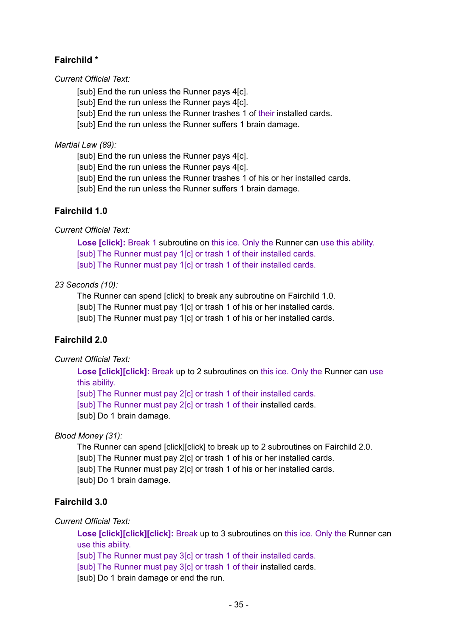# **Fairchild \***

*Current Official Text:*

[sub] End the run unless the Runner pays 4[c].

[sub] End the run unless the Runner pays 4[c].

[sub] End the run unless the Runner trashes 1 of their installed cards.

[sub] End the run unless the Runner suffers 1 brain damage.

*Martial Law (89):*

[sub] End the run unless the Runner pays 4[c].

[sub] End the run unless the Runner pays 4[c].

[sub] End the run unless the Runner trashes 1 of his or her installed cards.

[sub] End the run unless the Runner suffers 1 brain damage.

# **Fairchild 1.0**

*Current Official Text:*

**Lose [click]:** Break 1 subroutine on this ice. Only the Runner can use this ability. [sub] The Runner must pay 1[c] or trash 1 of their installed cards. [sub] The Runner must pay 1[c] or trash 1 of their installed cards.

## *23 Seconds (10):*

The Runner can spend [click] to break any subroutine on Fairchild 1.0. [sub] The Runner must pay 1[c] or trash 1 of his or her installed cards. [sub] The Runner must pay 1[c] or trash 1 of his or her installed cards.

# **Fairchild 2.0**

*Current Official Text:*

**Lose [click][click]:** Break up to 2 subroutines on this ice. Only the Runner can use this ability.

[sub] The Runner must pay 2[c] or trash 1 of their installed cards.

[sub] The Runner must pay 2[c] or trash 1 of their installed cards.

[sub] Do 1 brain damage.

*Blood Money (31):*

The Runner can spend [click][click] to break up to 2 subroutines on Fairchild 2.0. [sub] The Runner must pay 2[c] or trash 1 of his or her installed cards. [sub] The Runner must pay 2[c] or trash 1 of his or her installed cards. [sub] Do 1 brain damage.

# **Fairchild 3.0**

*Current Official Text:*

**Lose [click][click][click]:** Break up to 3 subroutines on this ice. Only the Runner can use this ability.

[sub] The Runner must pay 3[c] or trash 1 of their installed cards.

[sub] The Runner must pay 3[c] or trash 1 of their installed cards.

[sub] Do 1 brain damage or end the run.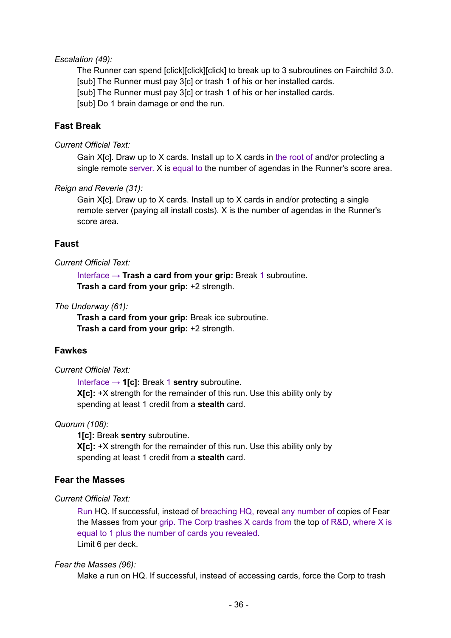#### *Escalation (49):*

The Runner can spend [click][click][click] to break up to 3 subroutines on Fairchild 3.0. [sub] The Runner must pay 3[c] or trash 1 of his or her installed cards. [sub] The Runner must pay 3[c] or trash 1 of his or her installed cards. [sub] Do 1 brain damage or end the run.

## **Fast Break**

#### *Current Official Text:*

Gain X[c]. Draw up to X cards. Install up to X cards in the root of and/or protecting a single remote server. X is equal to the number of agendas in the Runner's score area.

#### *Reign and Reverie (31):*

Gain X[c]. Draw up to X cards. Install up to X cards in and/or protecting a single remote server (paying all install costs). X is the number of agendas in the Runner's score area.

## **Faust**

#### *Current Official Text:*

Interface → **Trash a card from your grip:** Break 1 subroutine. **Trash a card from your grip:** +2 strength.

#### *The Underway (61):*

**Trash a card from your grip:** Break ice subroutine. **Trash a card from your grip:** +2 strength.

#### **Fawkes**

#### *Current Official Text:*

Interface → **1[c]:** Break 1 **sentry** subroutine. **X[c]:** +X strength for the remainder of this run. Use this ability only by spending at least 1 credit from a **stealth** card.

#### *Quorum (108):*

**1[c]:** Break **sentry** subroutine. **X[c]:** +X strength for the remainder of this run. Use this ability only by

spending at least 1 credit from a **stealth** card.

## **Fear the Masses**

#### *Current Official Text:*

Run HQ. If successful, instead of breaching HQ, reveal any number of copies of Fear the Masses from your grip. The Corp trashes X cards from the top of R&D, where X is equal to 1 plus the number of cards you revealed. Limit 6 per deck.

#### *Fear the Masses (96):*

Make a run on HQ. If successful, instead of accessing cards, force the Corp to trash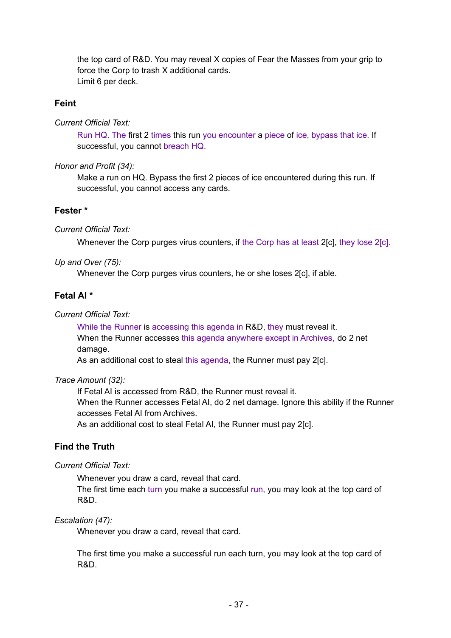the top card of R&D. You may reveal X copies of Fear the Masses from your grip to force the Corp to trash X additional cards. Limit 6 per deck.

## **Feint**

*Current Official Text:*

Run HQ. The first 2 times this run you encounter a piece of ice, bypass that ice. If successful, you cannot breach HQ.

*Honor and Profit (34):*

Make a run on HQ. Bypass the first 2 pieces of ice encountered during this run. If successful, you cannot access any cards.

### **Fester \***

*Current Official Text:*

Whenever the Corp purges virus counters, if the Corp has at least 2[c], they lose 2[c].

*Up and Over (75):*

Whenever the Corp purges virus counters, he or she loses 2[c], if able.

# **Fetal AI \***

## *Current Official Text:*

While the Runner is accessing this agenda in R&D, they must reveal it. When the Runner accesses this agenda anywhere except in Archives, do 2 net damage.

As an additional cost to steal this agenda, the Runner must pay 2[c].

#### *Trace Amount (32):*

If Fetal AI is accessed from R&D, the Runner must reveal it. When the Runner accesses Fetal AI, do 2 net damage. Ignore this ability if the Runner accesses Fetal AI from Archives. As an additional cost to steal Fetal AI, the Runner must pay 2[c].

## **Find the Truth**

*Current Official Text:*

Whenever you draw a card, reveal that card.

The first time each turn you make a successful run, you may look at the top card of R&D.

### *Escalation (47):*

Whenever you draw a card, reveal that card.

The first time you make a successful run each turn, you may look at the top card of R&D.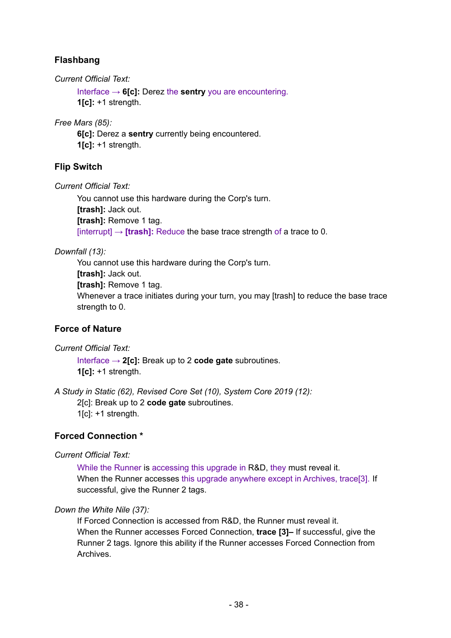# **Flashbang**

*Current Official Text:*

Interface → **6[c]:** Derez the **sentry** you are encountering. **1[c]:** +1 strength.

*Free Mars (85):*

**6[c]:** Derez a **sentry** currently being encountered. **1[c]:** +1 strength.

# **Flip Switch**

*Current Official Text:*

You cannot use this hardware during the Corp's turn. **[trash]:** Jack out. **[trash]:** Remove 1 tag. [interrupt]  $\rightarrow$  **[trash]:** Reduce the base trace strength of a trace to 0.

*Downfall (13):*

You cannot use this hardware during the Corp's turn. **[trash]:** Jack out. **[trash]:** Remove 1 tag. Whenever a trace initiates during your turn, you may [trash] to reduce the base trace strength to 0.

# **Force of Nature**

*Current Official Text:*

Interface → **2[c]:** Break up to 2 **code gate** subroutines. **1[c]:** +1 strength.

*A Study in Static (62), Revised Core Set (10), System Core 2019 (12):* 2[c]: Break up to 2 **code gate** subroutines.  $1[c]$ : +1 strength.

# **Forced Connection \***

*Current Official Text:*

While the Runner is accessing this upgrade in R&D, they must reveal it. When the Runner accesses this upgrade anywhere except in Archives, trace<sup>[3]</sup>. If successful, give the Runner 2 tags.

*Down the White Nile (37):*

If Forced Connection is accessed from R&D, the Runner must reveal it. When the Runner accesses Forced Connection, **trace [3]–** If successful, give the Runner 2 tags. Ignore this ability if the Runner accesses Forced Connection from Archives.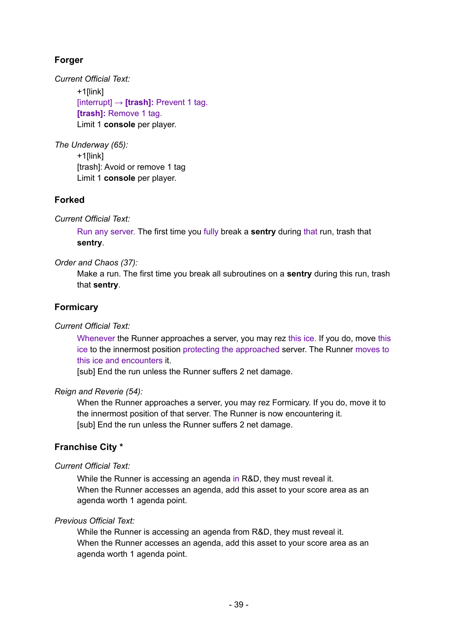# **Forger**

*Current Official Text:*

+1[link] [interrupt] → **[trash]:** Prevent 1 tag. **[trash]:** Remove 1 tag. Limit 1 **console** per player.

*The Underway (65):* +1[link] [trash]: Avoid or remove 1 tag Limit 1 **console** per player.

# **Forked**

*Current Official Text:*

Run any server. The first time you fully break a **sentry** during that run, trash that **sentry**.

*Order and Chaos (37):*

Make a run. The first time you break all subroutines on a **sentry** during this run, trash that **sentry**.

# **Formicary**

*Current Official Text:*

Whenever the Runner approaches a server, you may rez this ice. If you do, move this ice to the innermost position protecting the approached server. The Runner moves to this ice and encounters it.

[sub] End the run unless the Runner suffers 2 net damage.

# *Reign and Reverie (54):*

When the Runner approaches a server, you may rez Formicary. If you do, move it to the innermost position of that server. The Runner is now encountering it. [sub] End the run unless the Runner suffers 2 net damage.

# **Franchise City \***

*Current Official Text:*

While the Runner is accessing an agenda in R&D, they must reveal it. When the Runner accesses an agenda, add this asset to your score area as an agenda worth 1 agenda point.

# *Previous Official Text:*

While the Runner is accessing an agenda from R&D, they must reveal it. When the Runner accesses an agenda, add this asset to your score area as an agenda worth 1 agenda point.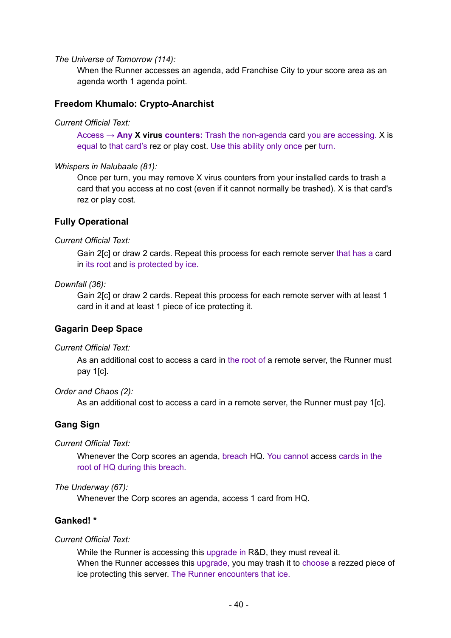#### *The Universe of Tomorrow (114):*

When the Runner accesses an agenda, add Franchise City to your score area as an agenda worth 1 agenda point.

### **Freedom Khumalo: Crypto-Anarchist**

#### *Current Official Text:*

Access → **Any X virus counters:** Trash the non-agenda card you are accessing. X is equal to that card's rez or play cost. Use this ability only once per turn.

#### *Whispers in Nalubaale (81):*

Once per turn, you may remove X virus counters from your installed cards to trash a card that you access at no cost (even if it cannot normally be trashed). X is that card's rez or play cost.

## **Fully Operational**

### *Current Official Text:*

Gain 2[c] or draw 2 cards. Repeat this process for each remote server that has a card in its root and is protected by ice.

### *Downfall (36):*

Gain 2[c] or draw 2 cards. Repeat this process for each remote server with at least 1 card in it and at least 1 piece of ice protecting it.

## **Gagarin Deep Space**

### *Current Official Text:*

As an additional cost to access a card in the root of a remote server, the Runner must pay 1[c].

### *Order and Chaos (2):*

As an additional cost to access a card in a remote server, the Runner must pay 1[c].

## **Gang Sign**

### *Current Official Text:*

Whenever the Corp scores an agenda, breach HQ. You cannot access cards in the root of HQ during this breach.

### *The Underway (67):*

Whenever the Corp scores an agenda, access 1 card from HQ.

## **Ganked! \***

### *Current Official Text:*

While the Runner is accessing this upgrade in R&D, they must reveal it. When the Runner accesses this upgrade, you may trash it to choose a rezzed piece of ice protecting this server. The Runner encounters that ice.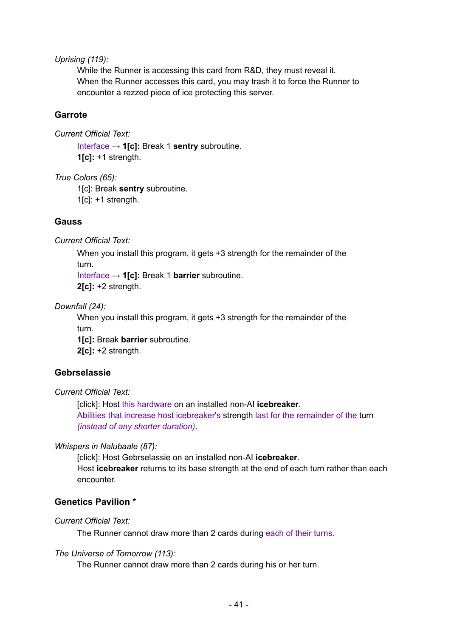*Uprising (119):*

While the Runner is accessing this card from R&D, they must reveal it. When the Runner accesses this card, you may trash it to force the Runner to encounter a rezzed piece of ice protecting this server.

### **Garrote**

*Current Official Text:*

Interface → **1[c]:** Break 1 **sentry** subroutine. **1[c]:** +1 strength.

*True Colors (65):*

1[c]: Break **sentry** subroutine.  $1[c]$ : +1 strength.

### **Gauss**

*Current Official Text:*

When you install this program, it gets +3 strength for the remainder of the turn.

Interface → **1[c]:** Break 1 **barrier** subroutine. **2[c]:** +2 strength.

*Downfall (24):*

When you install this program, it gets +3 strength for the remainder of the turn.

**1[c]:** Break **barrier** subroutine. **2[c]:** +2 strength.

## **Gebrselassie**

*Current Official Text:*

[click]: Host this hardware on an installed non-AI **icebreaker**. Abilities that increase host icebreaker's strength last for the remainder of the turn *(instead of any shorter duration)*.

### *Whispers in Nalubaale (87):*

[click]: Host Gebrselassie on an installed non-AI **icebreaker**. Host **icebreaker** returns to its base strength at the end of each turn rather than each encounter.

## **Genetics Pavilion \***

### *Current Official Text:*

The Runner cannot draw more than 2 cards during each of their turns.

### *The Universe of Tomorrow (113):*

The Runner cannot draw more than 2 cards during his or her turn.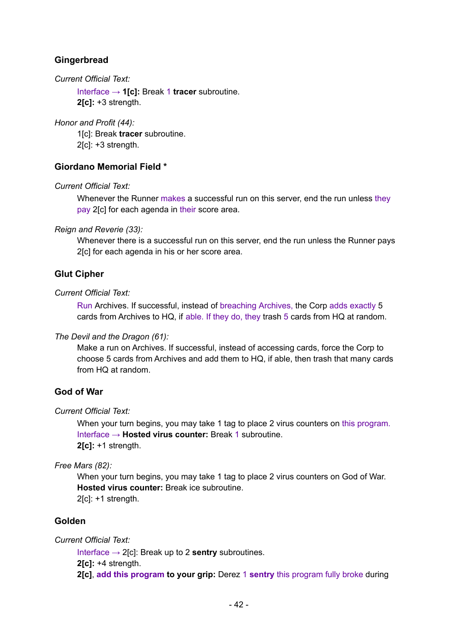# **Gingerbread**

*Current Official Text:*

Interface → **1[c]:** Break 1 **tracer** subroutine. **2[c]:** +3 strength.

*Honor and Profit (44):*

1[c]: Break **tracer** subroutine. 2[c]: +3 strength.

## **Giordano Memorial Field \***

*Current Official Text:*

Whenever the Runner makes a successful run on this server, end the run unless they pay 2[c] for each agenda in their score area.

*Reign and Reverie (33):*

Whenever there is a successful run on this server, end the run unless the Runner pays 2[c] for each agenda in his or her score area.

## **Glut Cipher**

### *Current Official Text:*

Run Archives. If successful, instead of breaching Archives, the Corp adds exactly 5 cards from Archives to HQ, if able. If they do, they trash 5 cards from HQ at random.

### *The Devil and the Dragon (61):*

Make a run on Archives. If successful, instead of accessing cards, force the Corp to choose 5 cards from Archives and add them to HQ, if able, then trash that many cards from HQ at random.

## **God of War**

### *Current Official Text:*

When your turn begins, you may take 1 tag to place 2 virus counters on this program. Interface → **Hosted virus counter:** Break 1 subroutine. **2[c]:** +1 strength.

*Free Mars (82):*

When your turn begins, you may take 1 tag to place 2 virus counters on God of War. **Hosted virus counter:** Break ice subroutine. 2[c]: +1 strength.

## **Golden**

*Current Official Text:*

Interface → 2[c]: Break up to 2 **sentry** subroutines. **2[c]:** +4 strength. **2[c]**, **add this program to your grip:** Derez 1 **sentry** this program fully broke during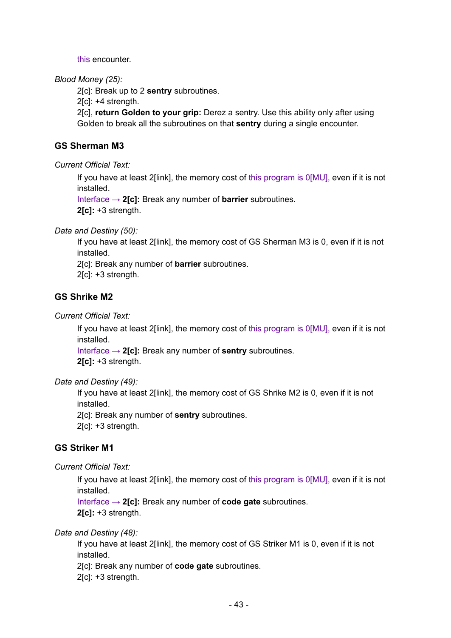this encounter.

### *Blood Money (25):*

2[c]: Break up to 2 **sentry** subroutines.

2[c]: +4 strength.

2[c], **return Golden to your grip:** Derez a sentry. Use this ability only after using Golden to break all the subroutines on that **sentry** during a single encounter.

## **GS Sherman M3**

*Current Official Text:*

If you have at least 2[link], the memory cost of this program is 0[MU], even if it is not installed.

Interface → **2[c]:** Break any number of **barrier** subroutines.

**2[c]:** +3 strength.

*Data and Destiny (50):*

If you have at least 2[link], the memory cost of GS Sherman M3 is 0, even if it is not installed.

2[c]: Break any number of **barrier** subroutines.

2[c]: +3 strength.

## **GS Shrike M2**

*Current Official Text:*

If you have at least 2[link], the memory cost of this program is 0[MU], even if it is not installed.

Interface → **2[c]:** Break any number of **sentry** subroutines.

**2[c]:** +3 strength.

*Data and Destiny (49):*

If you have at least 2[link], the memory cost of GS Shrike M2 is 0, even if it is not installed.

2[c]: Break any number of **sentry** subroutines.

2[c]: +3 strength.

## **GS Striker M1**

*Current Official Text:*

If you have at least 2[link], the memory cost of this program is 0[MU], even if it is not installed.

Interface → **2[c]:** Break any number of **code gate** subroutines. **2[c]:** +3 strength.

*Data and Destiny (48):*

If you have at least 2[link], the memory cost of GS Striker M1 is 0, even if it is not installed.

2[c]: Break any number of **code gate** subroutines.

2[c]: +3 strength.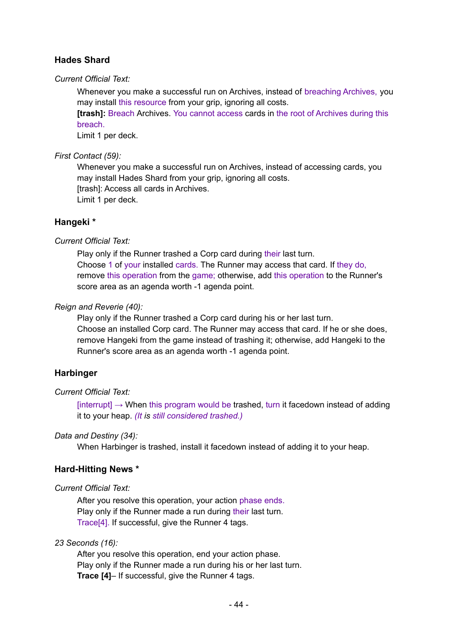## **Hades Shard**

*Current Official Text:*

Whenever you make a successful run on Archives, instead of breaching Archives, you may install this resource from your grip, ignoring all costs.

**[trash]:** Breach Archives. You cannot access cards in the root of Archives during this breach.

Limit 1 per deck.

## *First Contact (59):*

Whenever you make a successful run on Archives, instead of accessing cards, you may install Hades Shard from your grip, ignoring all costs. [trash]: Access all cards in Archives. Limit 1 per deck.

## **Hangeki \***

*Current Official Text:*

Play only if the Runner trashed a Corp card during their last turn. Choose 1 of your installed cards. The Runner may access that card. If they do, remove this operation from the game; otherwise, add this operation to the Runner's score area as an agenda worth -1 agenda point.

### *Reign and Reverie (40):*

Play only if the Runner trashed a Corp card during his or her last turn. Choose an installed Corp card. The Runner may access that card. If he or she does, remove Hangeki from the game instead of trashing it; otherwise, add Hangeki to the Runner's score area as an agenda worth -1 agenda point.

## **Harbinger**

## *Current Official Text:*

 $[interrupt] \rightarrow$  When this program would be trashed, turn it facedown instead of adding it to your heap. *(It is still considered trashed.)*

## *Data and Destiny (34):*

When Harbinger is trashed, install it facedown instead of adding it to your heap.

## **Hard-Hitting News \***

## *Current Official Text:*

After you resolve this operation, your action phase ends. Play only if the Runner made a run during their last turn. Trace[4]. If successful, give the Runner 4 tags.

## *23 Seconds (16):*

After you resolve this operation, end your action phase. Play only if the Runner made a run during his or her last turn. **Trace [4]**– If successful, give the Runner 4 tags.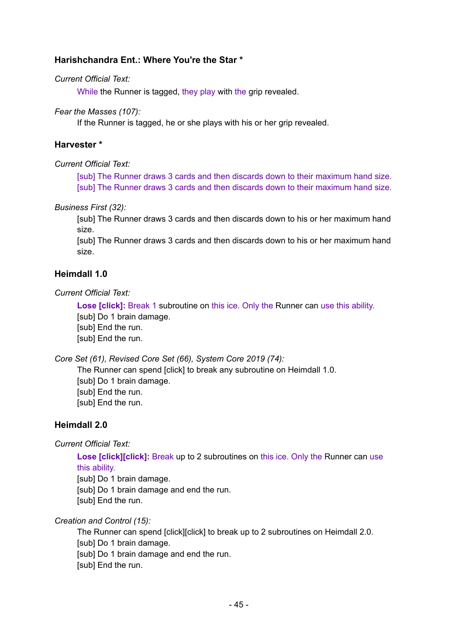## **Harishchandra Ent.: Where You're the Star \***

### *Current Official Text:*

While the Runner is tagged, they play with the grip revealed.

### *Fear the Masses (107):*

If the Runner is tagged, he or she plays with his or her grip revealed.

## **Harvester \***

### *Current Official Text:*

[sub] The Runner draws 3 cards and then discards down to their maximum hand size. [sub] The Runner draws 3 cards and then discards down to their maximum hand size.

### *Business First (32):*

[sub] The Runner draws 3 cards and then discards down to his or her maximum hand size.

[sub] The Runner draws 3 cards and then discards down to his or her maximum hand size.

## **Heimdall 1.0**

*Current Official Text:*

**Lose [click]:** Break 1 subroutine on this ice. Only the Runner can use this ability. [sub] Do 1 brain damage. [sub] End the run. [sub] End the run.

*Core Set (61), Revised Core Set (66), System Core 2019 (74):*

The Runner can spend [click] to break any subroutine on Heimdall 1.0. [sub] Do 1 brain damage. [sub] End the run. [sub] End the run.

## **Heimdall 2.0**

*Current Official Text:*

**Lose [click][click]:** Break up to 2 subroutines on this ice. Only the Runner can use this ability.

[sub] Do 1 brain damage.

[sub] Do 1 brain damage and end the run.

[sub] End the run.

*Creation and Control (15):*

The Runner can spend [click][click] to break up to 2 subroutines on Heimdall 2.0. [sub] Do 1 brain damage. [sub] Do 1 brain damage and end the run. [sub] End the run.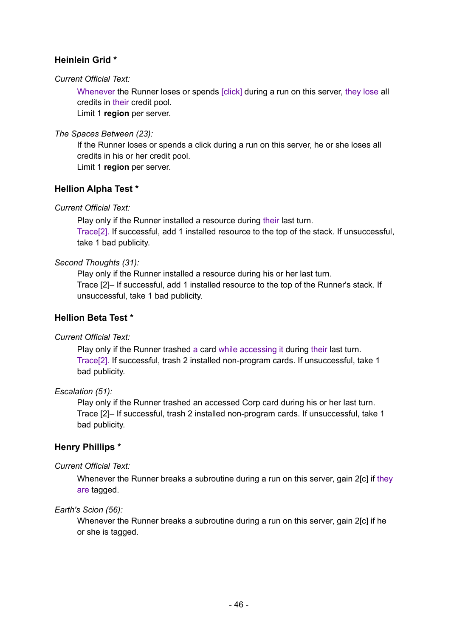# **Heinlein Grid \***

## *Current Official Text:*

Whenever the Runner loses or spends [click] during a run on this server, they lose all credits in their credit pool.

Limit 1 **region** per server.

### *The Spaces Between (23):*

If the Runner loses or spends a click during a run on this server, he or she loses all credits in his or her credit pool.

Limit 1 **region** per server.

## **Hellion Alpha Test \***

## *Current Official Text:*

Play only if the Runner installed a resource during their last turn. Trace[2]. If successful, add 1 installed resource to the top of the stack. If unsuccessful, take 1 bad publicity.

## *Second Thoughts (31):*

Play only if the Runner installed a resource during his or her last turn. Trace [2]– If successful, add 1 installed resource to the top of the Runner's stack. If unsuccessful, take 1 bad publicity.

## **Hellion Beta Test \***

## *Current Official Text:*

Play only if the Runner trashed a card while accessing it during their last turn. Trace[2]. If successful, trash 2 installed non-program cards. If unsuccessful, take 1 bad publicity.

## *Escalation (51):*

Play only if the Runner trashed an accessed Corp card during his or her last turn. Trace [2]– If successful, trash 2 installed non-program cards. If unsuccessful, take 1 bad publicity.

# **Henry Phillips \***

## *Current Official Text:*

Whenever the Runner breaks a subroutine during a run on this server, gain 2[c] if they are tagged.

## *Earth's Scion (56):*

Whenever the Runner breaks a subroutine during a run on this server, gain 2[c] if he or she is tagged.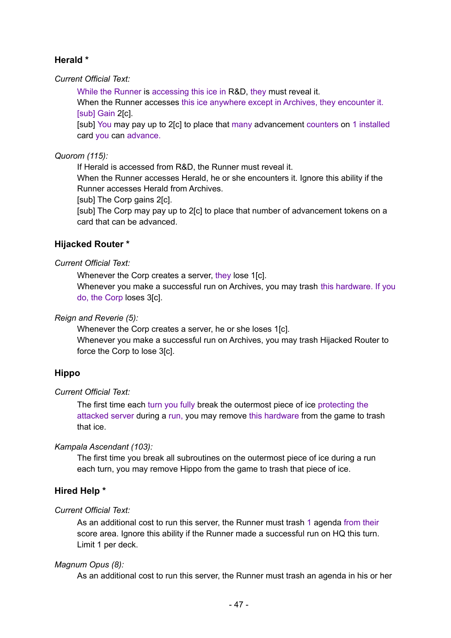# **Herald \***

*Current Official Text:*

While the Runner is accessing this ice in R&D, they must reveal it.

When the Runner accesses this ice anywhere except in Archives, they encounter it. [sub] Gain 2[c].

[sub] You may pay up to 2[c] to place that many advancement counters on 1 installed card you can advance.

## *Quorom (115):*

If Herald is accessed from R&D, the Runner must reveal it.

When the Runner accesses Herald, he or she encounters it. Ignore this ability if the Runner accesses Herald from Archives.

[sub] The Corp gains 2[c].

[sub] The Corp may pay up to 2[c] to place that number of advancement tokens on a card that can be advanced.

## **Hijacked Router \***

### *Current Official Text:*

Whenever the Corp creates a server, they lose 1[c].

Whenever you make a successful run on Archives, you may trash this hardware. If you do, the Corp loses 3[c].

## *Reign and Reverie (5):*

Whenever the Corp creates a server, he or she loses 1[c].

Whenever you make a successful run on Archives, you may trash Hijacked Router to force the Corp to lose 3[c].

## **Hippo**

## *Current Official Text:*

The first time each turn you fully break the outermost piece of ice protecting the attacked server during a run, you may remove this hardware from the game to trash that ice.

## *Kampala Ascendant (103):*

The first time you break all subroutines on the outermost piece of ice during a run each turn, you may remove Hippo from the game to trash that piece of ice.

# **Hired Help \***

## *Current Official Text:*

As an additional cost to run this server, the Runner must trash 1 agenda from their score area. Ignore this ability if the Runner made a successful run on HQ this turn. Limit 1 per deck.

## *Magnum Opus (8):*

As an additional cost to run this server, the Runner must trash an agenda in his or her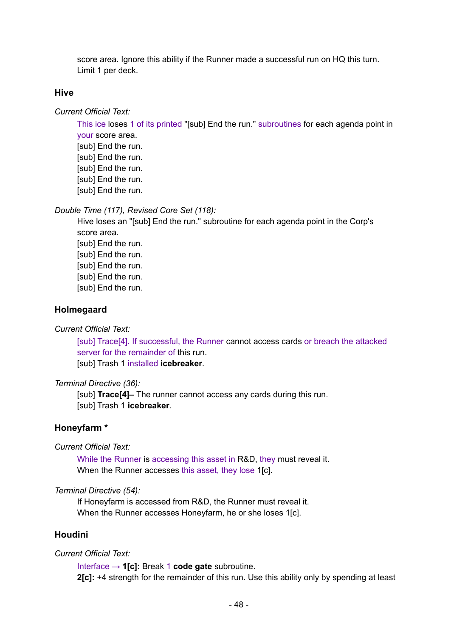score area. Ignore this ability if the Runner made a successful run on HQ this turn. Limit 1 per deck.

#### **Hive**

*Current Official Text:*

This ice loses 1 of its printed "[sub] End the run." subroutines for each agenda point in your score area.

[sub] End the run. [sub] End the run. [sub] End the run. [sub] End the run. [sub] End the run.

*Double Time (117), Revised Core Set (118):*

Hive loses an "[sub] End the run." subroutine for each agenda point in the Corp's score area. [sub] End the run. [sub] End the run. [sub] End the run. [sub] End the run. [sub] End the run.

#### **Holmegaard**

*Current Official Text:*

[sub] Trace[4]. If successful, the Runner cannot access cards or breach the attacked server for the remainder of this run.

[sub] Trash 1 installed **icebreaker**.

#### *Terminal Directive (36):*

[sub] **Trace[4]–** The runner cannot access any cards during this run. [sub] Trash 1 **icebreaker**.

### **Honeyfarm \***

*Current Official Text:*

While the Runner is accessing this asset in R&D, they must reveal it. When the Runner accesses this asset, they lose 1[c].

#### *Terminal Directive (54):*

If Honeyfarm is accessed from R&D, the Runner must reveal it. When the Runner accesses Honeyfarm, he or she loses 1[c].

## **Houdini**

#### *Current Official Text:*

Interface → **1[c]:** Break 1 **code gate** subroutine. **2[c]:** +4 strength for the remainder of this run. Use this ability only by spending at least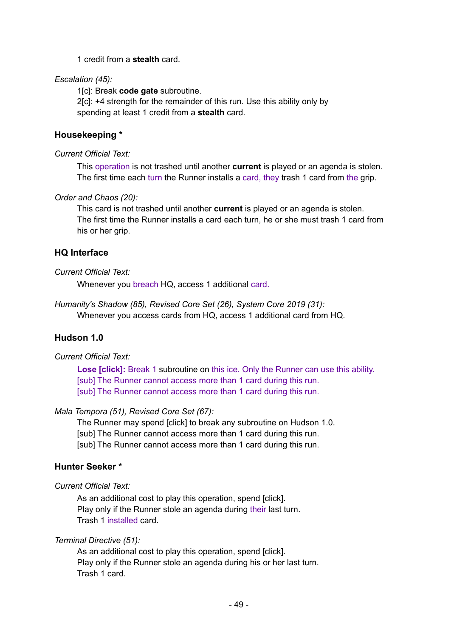1 credit from a **stealth** card.

### *Escalation (45):*

1[c]: Break **code gate** subroutine. 2[c]: +4 strength for the remainder of this run. Use this ability only by spending at least 1 credit from a **stealth** card.

## **Housekeeping \***

### *Current Official Text:*

This operation is not trashed until another **current** is played or an agenda is stolen. The first time each turn the Runner installs a card, they trash 1 card from the grip.

### *Order and Chaos (20):*

This card is not trashed until another **current** is played or an agenda is stolen. The first time the Runner installs a card each turn, he or she must trash 1 card from his or her grip.

## **HQ Interface**

### *Current Official Text:*

Whenever you breach HQ, access 1 additional card.

*Humanity's Shadow (85), Revised Core Set (26), System Core 2019 (31):* Whenever you access cards from HQ, access 1 additional card from HQ.

# **Hudson 1.0**

## *Current Official Text:*

**Lose [click]:** Break 1 subroutine on this ice. Only the Runner can use this ability. [sub] The Runner cannot access more than 1 card during this run. [sub] The Runner cannot access more than 1 card during this run.

### *Mala Tempora (51), Revised Core Set (67):*

The Runner may spend [click] to break any subroutine on Hudson 1.0. [sub] The Runner cannot access more than 1 card during this run. [sub] The Runner cannot access more than 1 card during this run.

## **Hunter Seeker \***

### *Current Official Text:*

As an additional cost to play this operation, spend [click]. Play only if the Runner stole an agenda during their last turn. Trash 1 installed card.

## *Terminal Directive (51):*

As an additional cost to play this operation, spend [click]. Play only if the Runner stole an agenda during his or her last turn. Trash 1 card.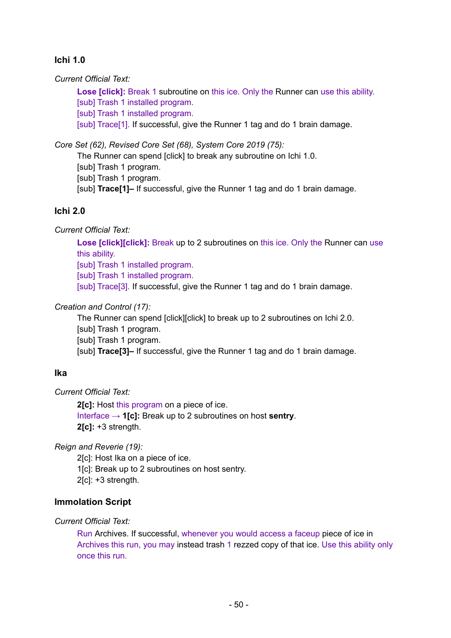# **Ichi 1.0**

*Current Official Text:*

**Lose [click]:** Break 1 subroutine on this ice. Only the Runner can use this ability.

[sub] Trash 1 installed program.

[sub] Trash 1 installed program.

[sub] Trace<sup>[1]</sup>. If successful, give the Runner 1 tag and do 1 brain damage.

*Core Set (62), Revised Core Set (68), System Core 2019 (75):*

The Runner can spend [click] to break any subroutine on Ichi 1.0.

[sub] Trash 1 program.

[sub] Trash 1 program.

[sub] **Trace[1]–** If successful, give the Runner 1 tag and do 1 brain damage.

## **Ichi 2.0**

*Current Official Text:*

**Lose [click][click]:** Break up to 2 subroutines on this ice. Only the Runner can use this ability.

[sub] Trash 1 installed program.

[sub] Trash 1 installed program.

[sub] Trace<sup>[3]</sup>. If successful, give the Runner 1 tag and do 1 brain damage.

### *Creation and Control (17):*

The Runner can spend [click][click] to break up to 2 subroutines on Ichi 2.0. [sub] Trash 1 program. [sub] Trash 1 program. [sub] **Trace[3]–** If successful, give the Runner 1 tag and do 1 brain damage.

## **Ika**

*Current Official Text:*

**2[c]:** Host this program on a piece of ice. Interface → **1[c]:** Break up to 2 subroutines on host **sentry**. **2[c]:** +3 strength.

*Reign and Reverie (19):*

2[c]: Host Ika on a piece of ice.

1[c]: Break up to 2 subroutines on host sentry.

2[c]: +3 strength.

## **Immolation Script**

*Current Official Text:*

Run Archives. If successful, whenever you would access a faceup piece of ice in Archives this run, you may instead trash 1 rezzed copy of that ice. Use this ability only once this run.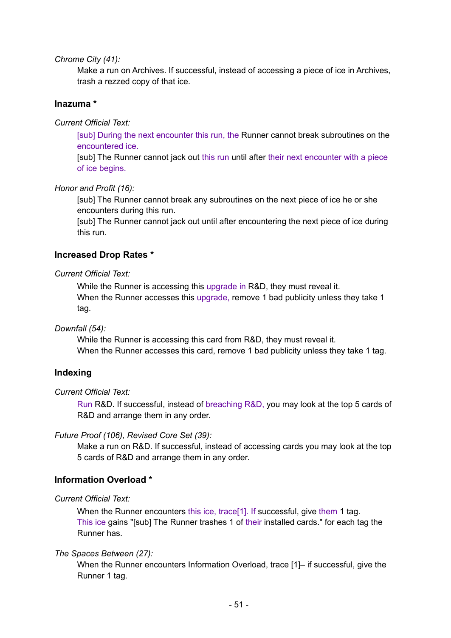*Chrome City (41):*

Make a run on Archives. If successful, instead of accessing a piece of ice in Archives, trash a rezzed copy of that ice.

### **Inazuma \***

*Current Official Text:*

[sub] During the next encounter this run, the Runner cannot break subroutines on the encountered ice.

[sub] The Runner cannot jack out this run until after their next encounter with a piece of ice begins.

#### *Honor and Profit (16):*

[sub] The Runner cannot break any subroutines on the next piece of ice he or she encounters during this run.

[sub] The Runner cannot jack out until after encountering the next piece of ice during this run.

### **Increased Drop Rates \***

*Current Official Text:*

While the Runner is accessing this upgrade in R&D, they must reveal it. When the Runner accesses this upgrade, remove 1 bad publicity unless they take 1 tag.

#### *Downfall (54):*

While the Runner is accessing this card from R&D, they must reveal it. When the Runner accesses this card, remove 1 bad publicity unless they take 1 tag.

### **Indexing**

#### *Current Official Text:*

Run R&D. If successful, instead of breaching R&D, you may look at the top 5 cards of R&D and arrange them in any order.

#### *Future Proof (106), Revised Core Set (39):*

Make a run on R&D. If successful, instead of accessing cards you may look at the top 5 cards of R&D and arrange them in any order.

## **Information Overload \***

#### *Current Official Text:*

When the Runner encounters this ice, trace<sup>[1]</sup>. If successful, give them 1 tag. This ice gains "[sub] The Runner trashes 1 of their installed cards." for each tag the Runner has.

### *The Spaces Between (27):*

When the Runner encounters Information Overload, trace [1]– if successful, give the Runner 1 tag.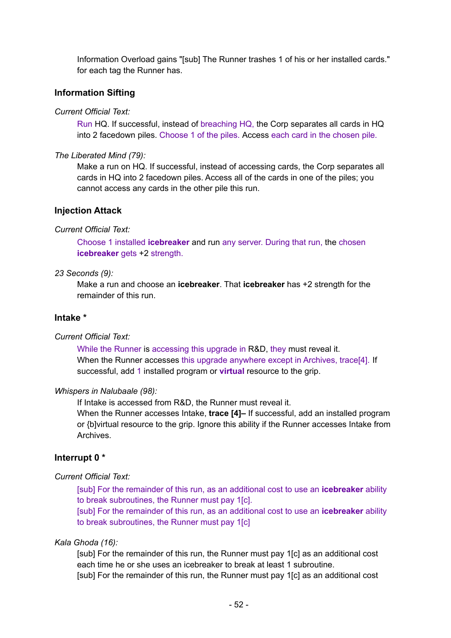Information Overload gains "[sub] The Runner trashes 1 of his or her installed cards." for each tag the Runner has.

## **Information Sifting**

*Current Official Text:*

Run HQ. If successful, instead of breaching HQ, the Corp separates all cards in HQ into 2 facedown piles. Choose 1 of the piles. Access each card in the chosen pile.

*The Liberated Mind (79):*

Make a run on HQ. If successful, instead of accessing cards, the Corp separates all cards in HQ into 2 facedown piles. Access all of the cards in one of the piles; you cannot access any cards in the other pile this run.

## **Injection Attack**

### *Current Official Text:*

Choose 1 installed **icebreaker** and run any server. During that run, the chosen **icebreaker** gets +2 strength.

### *23 Seconds (9):*

Make a run and choose an **icebreaker**. That **icebreaker** has +2 strength for the remainder of this run.

## **Intake \***

### *Current Official Text:*

While the Runner is accessing this upgrade in R&D, they must reveal it. When the Runner accesses this upgrade anywhere except in Archives, trace<sup>[4]</sup>. If successful, add 1 installed program or **virtual** resource to the grip.

### *Whispers in Nalubaale (98):*

If Intake is accessed from R&D, the Runner must reveal it.

When the Runner accesses Intake, **trace [4]–** If successful, add an installed program or {b]virtual resource to the grip. Ignore this ability if the Runner accesses Intake from Archives.

## **Interrupt 0 \***

## *Current Official Text:*

[sub] For the remainder of this run, as an additional cost to use an **icebreaker** ability to break subroutines, the Runner must pay 1[c].

[sub] For the remainder of this run, as an additional cost to use an **icebreaker** ability to break subroutines, the Runner must pay 1[c]

## *Kala Ghoda (16):*

[sub] For the remainder of this run, the Runner must pay 1[c] as an additional cost each time he or she uses an icebreaker to break at least 1 subroutine. [sub] For the remainder of this run, the Runner must pay 1[c] as an additional cost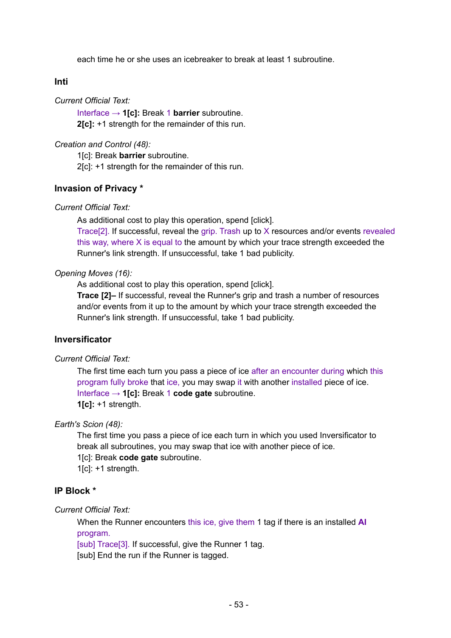each time he or she uses an icebreaker to break at least 1 subroutine.

## **Inti**

*Current Official Text:*

Interface → **1[c]:** Break 1 **barrier** subroutine. **2[c]:** +1 strength for the remainder of this run.

### *Creation and Control (48):*

1[c]: Break **barrier** subroutine. 2[c]: +1 strength for the remainder of this run.

## **Invasion of Privacy \***

*Current Official Text:*

As additional cost to play this operation, spend [click].

Trace[2]. If successful, reveal the grip. Trash up to X resources and/or events revealed this way, where X is equal to the amount by which your trace strength exceeded the Runner's link strength. If unsuccessful, take 1 bad publicity.

### *Opening Moves (16):*

As additional cost to play this operation, spend [click].

**Trace [2]–** If successful, reveal the Runner's grip and trash a number of resources and/or events from it up to the amount by which your trace strength exceeded the Runner's link strength. If unsuccessful, take 1 bad publicity.

## **Inversificator**

*Current Official Text:*

The first time each turn you pass a piece of ice after an encounter during which this program fully broke that ice, you may swap it with another installed piece of ice. Interface → **1[c]:** Break 1 **code gate** subroutine. **1[c]:** +1 strength.

*Earth's Scion (48):*

The first time you pass a piece of ice each turn in which you used Inversificator to break all subroutines, you may swap that ice with another piece of ice. 1[c]: Break **code gate** subroutine.

 $1$ [c]:  $+1$  strength.

## **IP Block \***

*Current Official Text:*

When the Runner encounters this ice, give them 1 tag if there is an installed **AI** program.

[sub] Trace[3]. If successful, give the Runner 1 tag.

[sub] End the run if the Runner is tagged.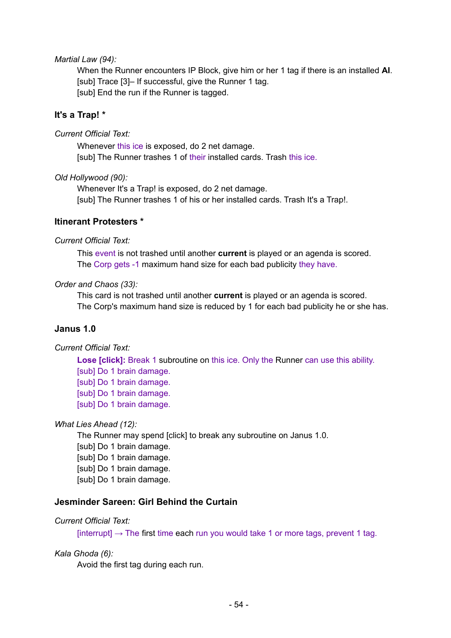### *Martial Law (94):*

When the Runner encounters IP Block, give him or her 1 tag if there is an installed **AI**. [sub] Trace [3]– If successful, give the Runner 1 tag. [sub] End the run if the Runner is tagged.

## **It's a Trap! \***

### *Current Official Text:*

Whenever this ice is exposed, do 2 net damage. [sub] The Runner trashes 1 of their installed cards. Trash this ice.

### *Old Hollywood (90):*

Whenever It's a Trap! is exposed, do 2 net damage. [sub] The Runner trashes 1 of his or her installed cards. Trash It's a Trap!.

## **Itinerant Protesters \***

### *Current Official Text:*

This event is not trashed until another **current** is played or an agenda is scored. The Corp gets -1 maximum hand size for each bad publicity they have.

### *Order and Chaos (33):*

This card is not trashed until another **current** is played or an agenda is scored. The Corp's maximum hand size is reduced by 1 for each bad publicity he or she has.

## **Janus 1.0**

## *Current Official Text:*

**Lose [click]:** Break 1 subroutine on this ice. Only the Runner can use this ability. [sub] Do 1 brain damage. [sub] Do 1 brain damage. [sub] Do 1 brain damage. [sub] Do 1 brain damage.

## *What Lies Ahead (12):*

The Runner may spend [click] to break any subroutine on Janus 1.0. [sub] Do 1 brain damage. [sub] Do 1 brain damage. [sub] Do 1 brain damage. [sub] Do 1 brain damage.

## **Jesminder Sareen: Girl Behind the Curtain**

## *Current Official Text:*

[interrupt]  $\rightarrow$  The first time each run you would take 1 or more tags, prevent 1 tag.

### *Kala Ghoda (6):*

Avoid the first tag during each run.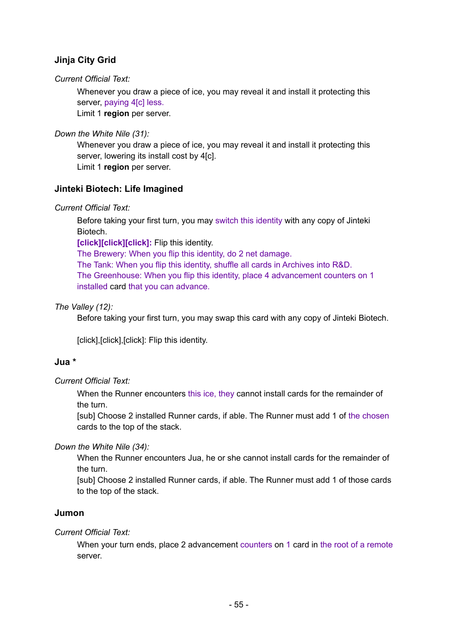# **Jinja City Grid**

## *Current Official Text:*

Whenever you draw a piece of ice, you may reveal it and install it protecting this server, paying 4[c] less.

Limit 1 **region** per server.

## *Down the White Nile (31):*

Whenever you draw a piece of ice, you may reveal it and install it protecting this server, lowering its install cost by 4[c].

Limit 1 **region** per server.

## **Jinteki Biotech: Life Imagined**

## *Current Official Text:*

Before taking your first turn, you may switch this identity with any copy of Jinteki Biotech.

**[click][click][click]:** Flip this identity.

The Brewery: When you flip this identity, do 2 net damage. The Tank: When you flip this identity, shuffle all cards in Archives into R&D. The Greenhouse: When you flip this identity, place 4 advancement counters on 1 installed card that you can advance.

## *The Valley (12):*

Before taking your first turn, you may swap this card with any copy of Jinteki Biotech.

[click], [click], [click]: Flip this identity.

# **Jua \***

## *Current Official Text:*

When the Runner encounters this ice, they cannot install cards for the remainder of the turn.

[sub] Choose 2 installed Runner cards, if able. The Runner must add 1 of the chosen cards to the top of the stack.

## *Down the White Nile (34):*

When the Runner encounters Jua, he or she cannot install cards for the remainder of the turn.

[sub] Choose 2 installed Runner cards, if able. The Runner must add 1 of those cards to the top of the stack.

## **Jumon**

## *Current Official Text:*

When your turn ends, place 2 advancement counters on 1 card in the root of a remote server.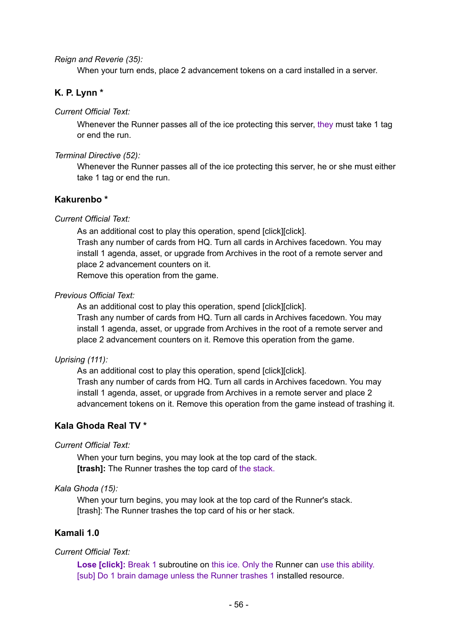*Reign and Reverie (35):*

When your turn ends, place 2 advancement tokens on a card installed in a server.

## **K. P. Lynn \***

*Current Official Text:*

Whenever the Runner passes all of the ice protecting this server, they must take 1 tag or end the run.

*Terminal Directive (52):*

Whenever the Runner passes all of the ice protecting this server, he or she must either take 1 tag or end the run.

### **Kakurenbo \***

### *Current Official Text:*

As an additional cost to play this operation, spend [click][click]. Trash any number of cards from HQ. Turn all cards in Archives facedown. You may install 1 agenda, asset, or upgrade from Archives in the root of a remote server and place 2 advancement counters on it. Remove this operation from the game.

#### *Previous Official Text:*

As an additional cost to play this operation, spend [click][click].

Trash any number of cards from HQ. Turn all cards in Archives facedown. You may install 1 agenda, asset, or upgrade from Archives in the root of a remote server and place 2 advancement counters on it. Remove this operation from the game.

### *Uprising (111):*

As an additional cost to play this operation, spend [click][click]. Trash any number of cards from HQ. Turn all cards in Archives facedown. You may install 1 agenda, asset, or upgrade from Archives in a remote server and place 2 advancement tokens on it. Remove this operation from the game instead of trashing it.

## **Kala Ghoda Real TV \***

### *Current Official Text:*

When your turn begins, you may look at the top card of the stack. **[trash]:** The Runner trashes the top card of the stack.

### *Kala Ghoda (15):*

When your turn begins, you may look at the top card of the Runner's stack. [trash]: The Runner trashes the top card of his or her stack.

## **Kamali 1.0**

### *Current Official Text:*

**Lose [click]:** Break 1 subroutine on this ice. Only the Runner can use this ability. [sub] Do 1 brain damage unless the Runner trashes 1 installed resource.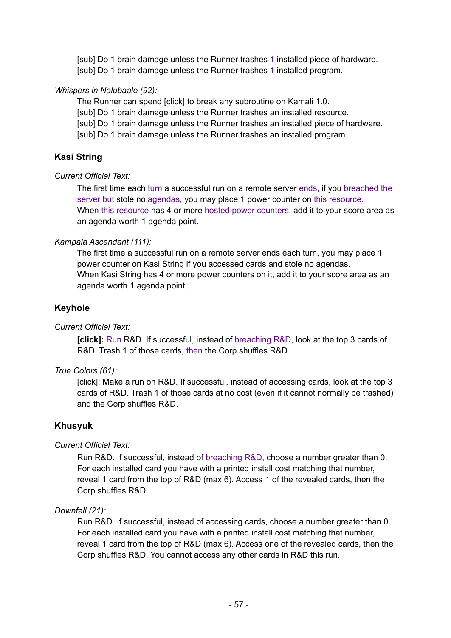[sub] Do 1 brain damage unless the Runner trashes 1 installed piece of hardware. [sub] Do 1 brain damage unless the Runner trashes 1 installed program.

### *Whispers in Nalubaale (92):*

The Runner can spend [click] to break any subroutine on Kamali 1.0.

[sub] Do 1 brain damage unless the Runner trashes an installed resource.

[sub] Do 1 brain damage unless the Runner trashes an installed piece of hardware.

[sub] Do 1 brain damage unless the Runner trashes an installed program.

## **Kasi String**

### *Current Official Text:*

The first time each turn a successful run on a remote server ends, if you breached the server but stole no agendas, you may place 1 power counter on this resource. When this resource has 4 or more hosted power counters, add it to your score area as an agenda worth 1 agenda point.

### *Kampala Ascendant (111):*

The first time a successful run on a remote server ends each turn, you may place 1 power counter on Kasi String if you accessed cards and stole no agendas. When Kasi String has 4 or more power counters on it, add it to your score area as an agenda worth 1 agenda point.

## **Keyhole**

## *Current Official Text:*

**[click]:** Run R&D. If successful, instead of breaching R&D, look at the top 3 cards of R&D. Trash 1 of those cards, then the Corp shuffles R&D.

### *True Colors (61):*

[click]: Make a run on R&D. If successful, instead of accessing cards, look at the top 3 cards of R&D. Trash 1 of those cards at no cost (even if it cannot normally be trashed) and the Corp shuffles R&D.

## **Khusyuk**

## *Current Official Text:*

Run R&D. If successful, instead of breaching R&D, choose a number greater than 0. For each installed card you have with a printed install cost matching that number, reveal 1 card from the top of R&D (max 6). Access 1 of the revealed cards, then the Corp shuffles R&D.

## *Downfall (21):*

Run R&D. If successful, instead of accessing cards, choose a number greater than 0. For each installed card you have with a printed install cost matching that number, reveal 1 card from the top of R&D (max 6). Access one of the revealed cards, then the Corp shuffles R&D. You cannot access any other cards in R&D this run.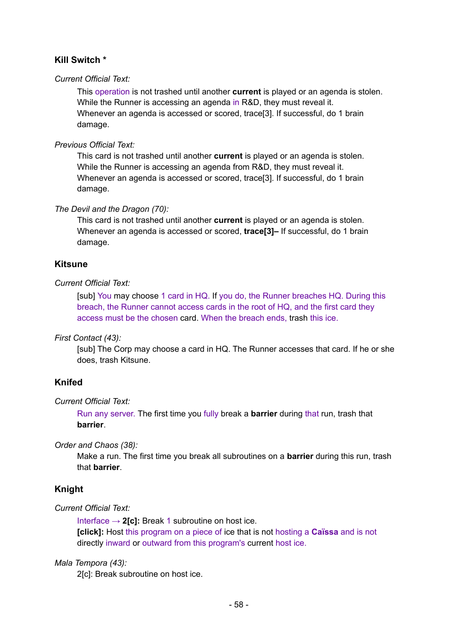# **Kill Switch \***

## *Current Official Text:*

This operation is not trashed until another **current** is played or an agenda is stolen. While the Runner is accessing an agenda in R&D, they must reveal it. Whenever an agenda is accessed or scored, trace[3]. If successful, do 1 brain damage.

## *Previous Official Text:*

This card is not trashed until another **current** is played or an agenda is stolen. While the Runner is accessing an agenda from R&D, they must reveal it. Whenever an agenda is accessed or scored, trace[3]. If successful, do 1 brain damage.

## *The Devil and the Dragon (70):*

This card is not trashed until another **current** is played or an agenda is stolen. Whenever an agenda is accessed or scored, **trace[3]–** If successful, do 1 brain damage.

## **Kitsune**

### *Current Official Text:*

[sub] You may choose 1 card in HQ. If you do, the Runner breaches HQ. During this breach, the Runner cannot access cards in the root of HQ, and the first card they access must be the chosen card. When the breach ends, trash this ice.

## *First Contact (43):*

[sub] The Corp may choose a card in HQ. The Runner accesses that card. If he or she does, trash Kitsune.

## **Knifed**

### *Current Official Text:*

Run any server. The first time you fully break a **barrier** during that run, trash that **barrier**.

### *Order and Chaos (38):*

Make a run. The first time you break all subroutines on a **barrier** during this run, trash that **barrier**.

## **Knight**

### *Current Official Text:*

Interface  $\rightarrow$  2[c]: Break 1 subroutine on host ice.

**[click]:** Host this program on a piece of ice that is not hosting a **Caïssa** and is not directly inward or outward from this program's current host ice.

### *Mala Tempora (43):*

2[c]: Break subroutine on host ice.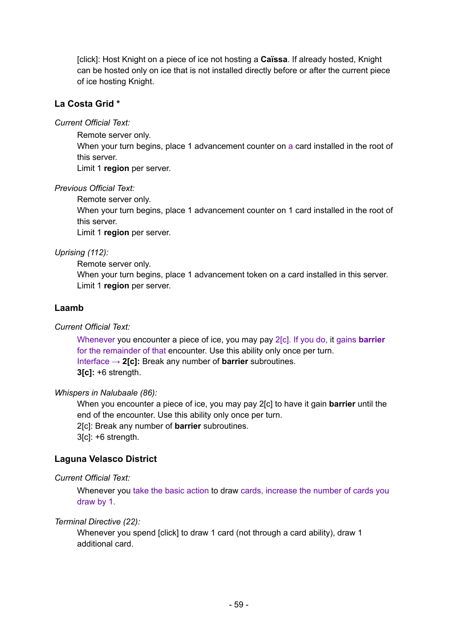[click]: Host Knight on a piece of ice not hosting a **Caïssa**. If already hosted, Knight can be hosted only on ice that is not installed directly before or after the current piece of ice hosting Knight.

## **La Costa Grid \***

*Current Official Text:*

Remote server only.

When your turn begins, place 1 advancement counter on a card installed in the root of this server.

Limit 1 **region** per server.

*Previous Official Text:*

Remote server only.

When your turn begins, place 1 advancement counter on 1 card installed in the root of this server.

Limit 1 **region** per server.

## *Uprising (112):*

Remote server only.

When your turn begins, place 1 advancement token on a card installed in this server. Limit 1 **region** per server.

## **Laamb**

*Current Official Text:*

Whenever you encounter a piece of ice, you may pay 2[c]. If you do, it gains **barrier** for the remainder of that encounter. Use this ability only once per turn. Interface → **2[c]:** Break any number of **barrier** subroutines. **3[c]:** +6 strength.

## *Whispers in Nalubaale (86):*

When you encounter a piece of ice, you may pay 2[c] to have it gain **barrier** until the end of the encounter. Use this ability only once per turn.

2[c]: Break any number of **barrier** subroutines.

3[c]: +6 strength.

# **Laguna Velasco District**

*Current Official Text:*

Whenever you take the basic action to draw cards, increase the number of cards you draw by 1.

## *Terminal Directive (22):*

Whenever you spend [click] to draw 1 card (not through a card ability), draw 1 additional card.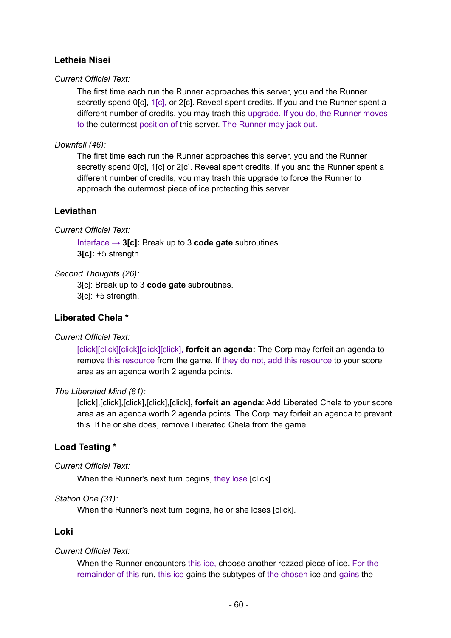# **Letheia Nisei**

## *Current Official Text:*

The first time each run the Runner approaches this server, you and the Runner secretly spend 0[c], 1[c], or 2[c]. Reveal spent credits. If you and the Runner spent a different number of credits, you may trash this upgrade. If you do, the Runner moves to the outermost position of this server. The Runner may jack out.

## *Downfall (46):*

The first time each run the Runner approaches this server, you and the Runner secretly spend 0[c], 1[c] or 2[c]. Reveal spent credits. If you and the Runner spent a different number of credits, you may trash this upgrade to force the Runner to approach the outermost piece of ice protecting this server.

# **Leviathan**

## *Current Official Text:*

Interface → **3[c]:** Break up to 3 **code gate** subroutines. **3[c]:** +5 strength.

## *Second Thoughts (26):*

3[c]: Break up to 3 **code gate** subroutines. 3[c]: +5 strength.

## **Liberated Chela \***

## *Current Official Text:*

[click][click][click][click][click], **forfeit an agenda:** The Corp may forfeit an agenda to remove this resource from the game. If they do not, add this resource to your score area as an agenda worth 2 agenda points.

### *The Liberated Mind (81):*

[click],[click],[click],[click],[click], **forfeit an agenda**: Add Liberated Chela to your score area as an agenda worth 2 agenda points. The Corp may forfeit an agenda to prevent this. If he or she does, remove Liberated Chela from the game.

# **Load Testing \***

## *Current Official Text:*

When the Runner's next turn begins, they lose [click].

### *Station One (31):*

When the Runner's next turn begins, he or she loses [click].

## **Loki**

## *Current Official Text:*

When the Runner encounters this ice, choose another rezzed piece of ice. For the remainder of this run, this ice gains the subtypes of the chosen ice and gains the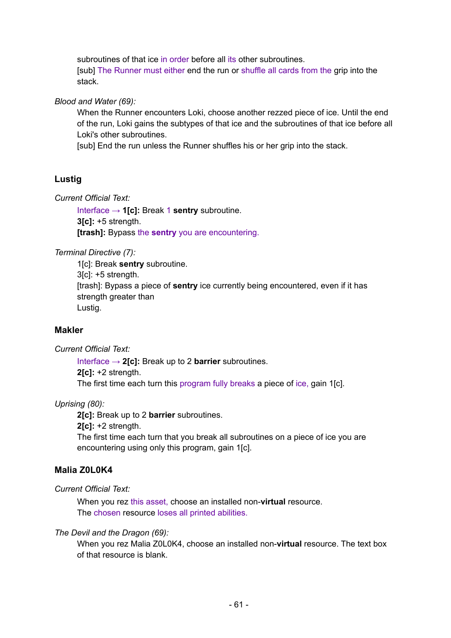subroutines of that ice in order before all its other subroutines. [sub] The Runner must either end the run or shuffle all cards from the grip into the stack.

*Blood and Water (69):*

When the Runner encounters Loki, choose another rezzed piece of ice. Until the end of the run, Loki gains the subtypes of that ice and the subroutines of that ice before all Loki's other subroutines.

[sub] End the run unless the Runner shuffles his or her grip into the stack.

# **Lustig**

*Current Official Text:*

Interface → **1[c]:** Break 1 **sentry** subroutine. **3[c]:** +5 strength. **[trash]:** Bypass the **sentry** you are encountering.

*Terminal Directive (7):*

1[c]: Break **sentry** subroutine. 3[c]: +5 strength. [trash]: Bypass a piece of **sentry** ice currently being encountered, even if it has strength greater than Lustig.

## **Makler**

*Current Official Text:*

Interface → **2[c]:** Break up to 2 **barrier** subroutines. **2[c]:** +2 strength. The first time each turn this program fully breaks a piece of ice, gain 1[c].

## *Uprising (80):*

**2[c]:** Break up to 2 **barrier** subroutines.

**2[c]:** +2 strength.

The first time each turn that you break all subroutines on a piece of ice you are encountering using only this program, gain 1[c].

# **Malia Z0L0K4**

*Current Official Text:*

When you rez this asset, choose an installed non-**virtual** resource. The chosen resource loses all printed abilities.

### *The Devil and the Dragon (69):*

When you rez Malia Z0L0K4, choose an installed non-**virtual** resource. The text box of that resource is blank.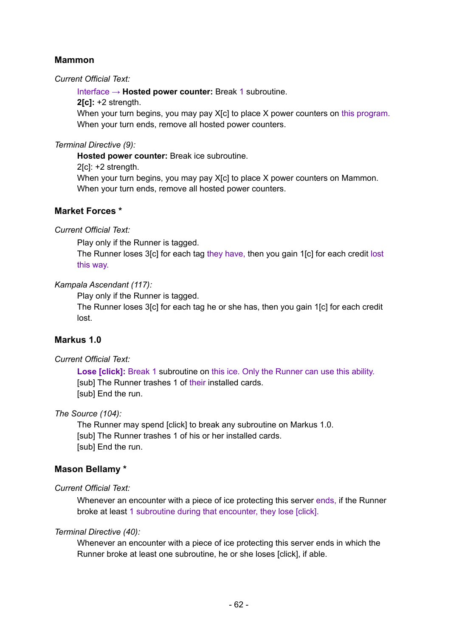## **Mammon**

### *Current Official Text:*

Interface → **Hosted power counter:** Break 1 subroutine.

**2[c]:** +2 strength.

When your turn begins, you may pay X[c] to place X power counters on this program. When your turn ends, remove all hosted power counters.

## *Terminal Directive (9):*

**Hosted power counter:** Break ice subroutine.

2[c]: +2 strength.

When your turn begins, you may pay X[c] to place X power counters on Mammon. When your turn ends, remove all hosted power counters.

## **Market Forces \***

### *Current Official Text:*

Play only if the Runner is tagged.

The Runner loses 3[c] for each tag they have, then you gain 1[c] for each credit lost this way.

### *Kampala Ascendant (117):*

Play only if the Runner is tagged.

The Runner loses 3[c] for each tag he or she has, then you gain 1[c] for each credit lost.

## **Markus 1.0**

## *Current Official Text:*

**Lose [click]:** Break 1 subroutine on this ice. Only the Runner can use this ability. [sub] The Runner trashes 1 of their installed cards. [sub] End the run.

## *The Source (104):*

The Runner may spend [click] to break any subroutine on Markus 1.0. [sub] The Runner trashes 1 of his or her installed cards. [sub] End the run.

## **Mason Bellamy \***

## *Current Official Text:*

Whenever an encounter with a piece of ice protecting this server ends, if the Runner broke at least 1 subroutine during that encounter, they lose [click].

### *Terminal Directive (40):*

Whenever an encounter with a piece of ice protecting this server ends in which the Runner broke at least one subroutine, he or she loses [click], if able.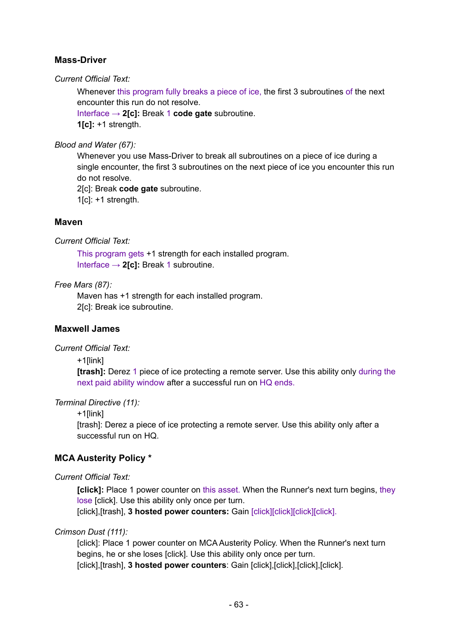## **Mass-Driver**

*Current Official Text:*

Whenever this program fully breaks a piece of ice, the first 3 subroutines of the next encounter this run do not resolve.

Interface → **2[c]:** Break 1 **code gate** subroutine. **1[c]:** +1 strength.

*Blood and Water (67):*

Whenever you use Mass-Driver to break all subroutines on a piece of ice during a single encounter, the first 3 subroutines on the next piece of ice you encounter this run do not resolve.

2[c]: Break **code gate** subroutine.

 $1[c]$ : +1 strength.

## **Maven**

*Current Official Text:*

This program gets +1 strength for each installed program. Interface → **2[c]:** Break 1 subroutine.

### *Free Mars (87):*

Maven has +1 strength for each installed program. 2[c]: Break ice subroutine.

## **Maxwell James**

*Current Official Text:*

+1[link]

**[trash]:** Derez 1 piece of ice protecting a remote server. Use this ability only during the next paid ability window after a successful run on HQ ends.

*Terminal Directive (11):*

+1[link]

[trash]: Derez a piece of ice protecting a remote server. Use this ability only after a successful run on HQ.

## **MCA Austerity Policy \***

*Current Official Text:*

**[click]:** Place 1 power counter on this asset. When the Runner's next turn begins, they lose [click]. Use this ability only once per turn.

[click],[trash], **3 hosted power counters:** Gain [click][click][click][click].

### *Crimson Dust (111):*

[click]: Place 1 power counter on MCA Austerity Policy. When the Runner's next turn begins, he or she loses [click]. Use this ability only once per turn. [click],[trash], **3 hosted power counters**: Gain [click],[click],[click],[click].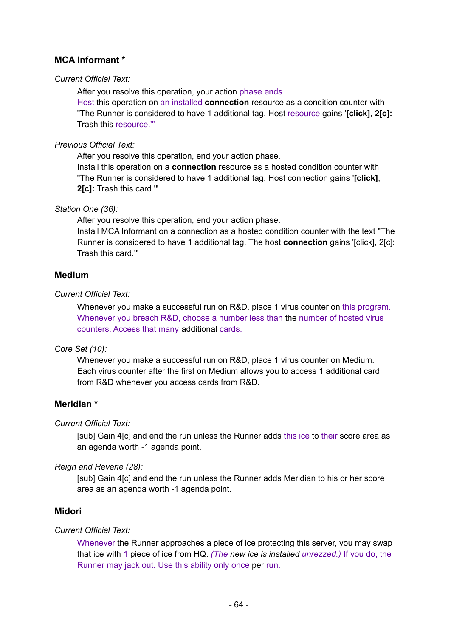# **MCA Informant \***

### *Current Official Text:*

After you resolve this operation, your action phase ends.

Host this operation on an installed **connection** resource as a condition counter with "The Runner is considered to have 1 additional tag. Host resource gains '**[click]**, **2[c]:** Trash this resource.'"

*Previous Official Text:*

After you resolve this operation, end your action phase.

Install this operation on a **connection** resource as a hosted condition counter with "The Runner is considered to have 1 additional tag. Host connection gains '**[click]**, **2[c]:** Trash this card.'"

### *Station One (36):*

After you resolve this operation, end your action phase.

Install MCA Informant on a connection as a hosted condition counter with the text "The Runner is considered to have 1 additional tag. The host **connection** gains '[click], 2[c]: Trash this card.'"

## **Medium**

### *Current Official Text:*

Whenever you make a successful run on R&D, place 1 virus counter on this program. Whenever you breach R&D, choose a number less than the number of hosted virus counters. Access that many additional cards.

## *Core Set (10):*

Whenever you make a successful run on R&D, place 1 virus counter on Medium. Each virus counter after the first on Medium allows you to access 1 additional card from R&D whenever you access cards from R&D.

# **Meridian \***

## *Current Official Text:*

[sub] Gain 4[c] and end the run unless the Runner adds this ice to their score area as an agenda worth -1 agenda point.

## *Reign and Reverie (28):*

[sub] Gain 4[c] and end the run unless the Runner adds Meridian to his or her score area as an agenda worth -1 agenda point.

## **Midori**

### *Current Official Text:*

Whenever the Runner approaches a piece of ice protecting this server, you may swap that ice with 1 piece of ice from HQ. *(The new ice is installed unrezzed.)* If you do, the Runner may jack out. Use this ability only once per run.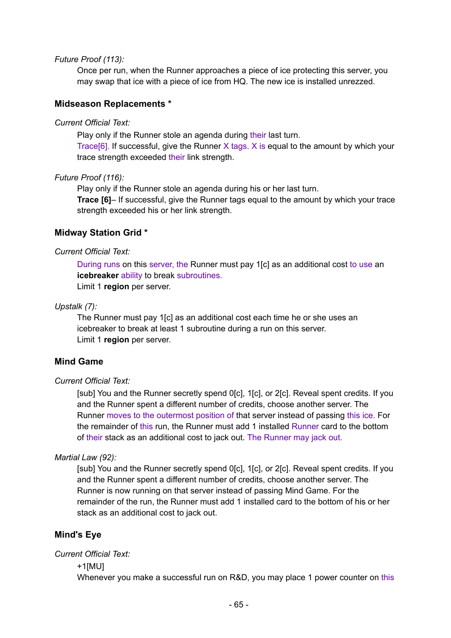#### *Future Proof (113):*

Once per run, when the Runner approaches a piece of ice protecting this server, you may swap that ice with a piece of ice from HQ. The new ice is installed unrezzed.

### **Midseason Replacements \***

#### *Current Official Text:*

Play only if the Runner stole an agenda during their last turn.

Trace[6]. If successful, give the Runner X tags. X is equal to the amount by which your trace strength exceeded their link strength.

#### *Future Proof (116):*

Play only if the Runner stole an agenda during his or her last turn.

**Trace [6]**– If successful, give the Runner tags equal to the amount by which your trace strength exceeded his or her link strength.

### **Midway Station Grid \***

#### *Current Official Text:*

During runs on this server, the Runner must pay 1[c] as an additional cost to use an **icebreaker** ability to break subroutines.

Limit 1 **region** per server.

#### *Upstalk (7):*

The Runner must pay 1[c] as an additional cost each time he or she uses an icebreaker to break at least 1 subroutine during a run on this server. Limit 1 **region** per server.

## **Mind Game**

### *Current Official Text:*

[sub] You and the Runner secretly spend 0[c], 1[c], or 2[c]. Reveal spent credits. If you and the Runner spent a different number of credits, choose another server. The Runner moves to the outermost position of that server instead of passing this ice. For the remainder of this run, the Runner must add 1 installed Runner card to the bottom of their stack as an additional cost to jack out. The Runner may jack out.

### *Martial Law (92):*

[sub] You and the Runner secretly spend 0[c], 1[c], or 2[c]. Reveal spent credits. If you and the Runner spent a different number of credits, choose another server. The Runner is now running on that server instead of passing Mind Game. For the remainder of the run, the Runner must add 1 installed card to the bottom of his or her stack as an additional cost to jack out.

## **Mind's Eye**

#### *Current Official Text:*

+1[MU]

Whenever you make a successful run on R&D, you may place 1 power counter on this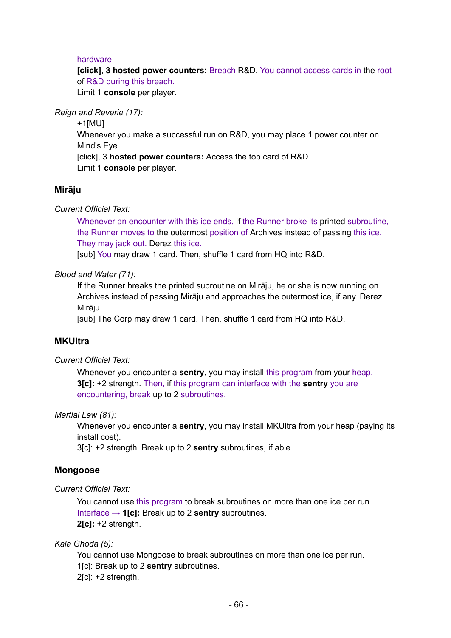### hardware.

**[click]**, **3 hosted power counters:** Breach R&D. You cannot access cards in the root of R&D during this breach.

Limit 1 **console** per player.

*Reign and Reverie (17):*

+1[MU] Whenever you make a successful run on R&D, you may place 1 power counter on Mind's Eye. [click], 3 **hosted power counters:** Access the top card of R&D. Limit 1 **console** per player.

## **Mirāju**

*Current Official Text:*

Whenever an encounter with this ice ends, if the Runner broke its printed subroutine, the Runner moves to the outermost position of Archives instead of passing this ice. They may jack out. Derez this ice.

[sub] You may draw 1 card. Then, shuffle 1 card from HQ into R&D.

*Blood and Water (71):*

If the Runner breaks the printed subroutine on Mirāju, he or she is now running on Archives instead of passing Mirāju and approaches the outermost ice, if any. Derez Mirāju.

[sub] The Corp may draw 1 card. Then, shuffle 1 card from HQ into R&D.

## **MKUltra**

*Current Official Text:*

Whenever you encounter a **sentry**, you may install this program from your heap. **3[c]:** +2 strength. Then, if this program can interface with the **sentry** you are encountering, break up to 2 subroutines.

### *Martial Law (81):*

Whenever you encounter a **sentry**, you may install MKUltra from your heap (paying its install cost).

3[c]: +2 strength. Break up to 2 **sentry** subroutines, if able.

## **Mongoose**

*Current Official Text:*

You cannot use this program to break subroutines on more than one ice per run. Interface → **1[c]:** Break up to 2 **sentry** subroutines. **2[c]:** +2 strength.

*Kala Ghoda (5):*

You cannot use Mongoose to break subroutines on more than one ice per run.

- 1[c]: Break up to 2 **sentry** subroutines.
- 2[c]: +2 strength.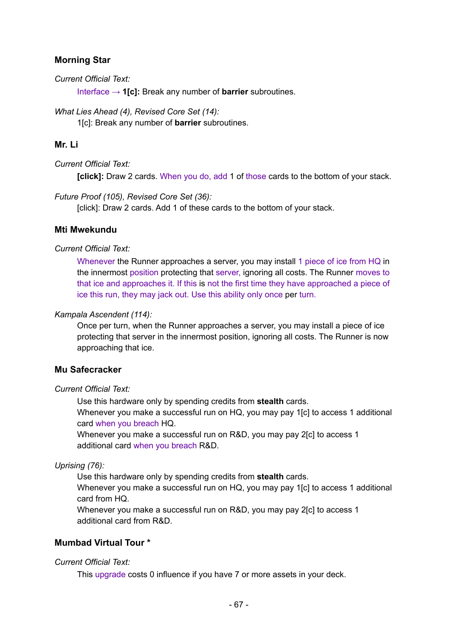## **Morning Star**

*Current Official Text:*

Interface → **1[c]:** Break any number of **barrier** subroutines.

*What Lies Ahead (4), Revised Core Set (14):*

1[c]: Break any number of **barrier** subroutines.

## **Mr. Li**

*Current Official Text:*

**[click]:** Draw 2 cards. When you do, add 1 of those cards to the bottom of your stack.

*Future Proof (105), Revised Core Set (36):*

[click]: Draw 2 cards. Add 1 of these cards to the bottom of your stack.

## **Mti Mwekundu**

### *Current Official Text:*

Whenever the Runner approaches a server, you may install 1 piece of ice from HQ in the innermost position protecting that server, ignoring all costs. The Runner moves to that ice and approaches it. If this is not the first time they have approached a piece of ice this run, they may jack out. Use this ability only once per turn.

## *Kampala Ascendent (114):*

Once per turn, when the Runner approaches a server, you may install a piece of ice protecting that server in the innermost position, ignoring all costs. The Runner is now approaching that ice.

## **Mu Safecracker**

### *Current Official Text:*

Use this hardware only by spending credits from **stealth** cards.

Whenever you make a successful run on HQ, you may pay 1[c] to access 1 additional card when you breach HQ.

Whenever you make a successful run on R&D, you may pay 2[c] to access 1 additional card when you breach R&D.

## *Uprising (76):*

Use this hardware only by spending credits from **stealth** cards.

Whenever you make a successful run on HQ, you may pay 1[c] to access 1 additional card from HQ.

Whenever you make a successful run on R&D, you may pay 2[c] to access 1 additional card from R&D.

## **Mumbad Virtual Tour \***

## *Current Official Text:*

This upgrade costs 0 influence if you have 7 or more assets in your deck.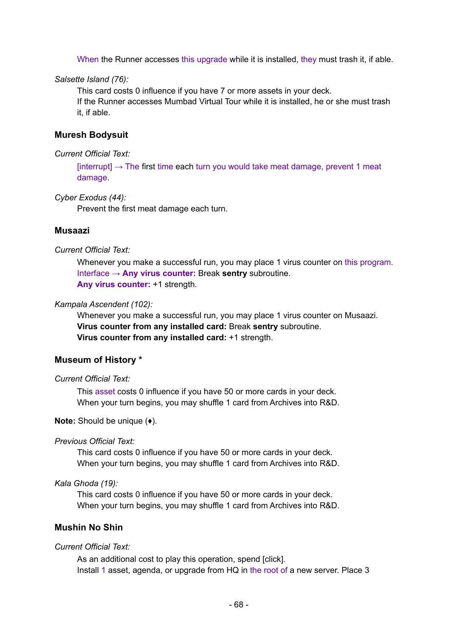When the Runner accesses this upgrade while it is installed, they must trash it, if able.

*Salsette Island (76):*

This card costs 0 influence if you have 7 or more assets in your deck. If the Runner accesses Mumbad Virtual Tour while it is installed, he or she must trash it, if able.

## **Muresh Bodysuit**

#### *Current Official Text:*

 $[interrupt] \rightarrow The first time each turn you would take meat damage, prevent 1 meat$ damage.

*Cyber Exodus (44):*

Prevent the first meat damage each turn.

### **Musaazi**

#### *Current Official Text:*

Whenever you make a successful run, you may place 1 virus counter on this program. Interface → **Any virus counter:** Break **sentry** subroutine. **Any virus counter:** +1 strength.

#### *Kampala Ascendent (102):*

Whenever you make a successful run, you may place 1 virus counter on Musaazi. **Virus counter from any installed card:** Break **sentry** subroutine. **Virus counter from any installed card:** +1 strength.

#### **Museum of History \***

#### *Current Official Text:*

This asset costs 0 influence if you have 50 or more cards in your deck. When your turn begins, you may shuffle 1 card from Archives into R&D.

#### **Note:** Should be unique (♦).

#### *Previous Official Text:*

This card costs 0 influence if you have 50 or more cards in your deck. When your turn begins, you may shuffle 1 card from Archives into R&D.

## *Kala Ghoda (19):*

This card costs 0 influence if you have 50 or more cards in your deck. When your turn begins, you may shuffle 1 card from Archives into R&D.

## **Mushin No Shin**

#### *Current Official Text:*

As an additional cost to play this operation, spend [click]. Install 1 asset, agenda, or upgrade from HQ in the root of a new server. Place 3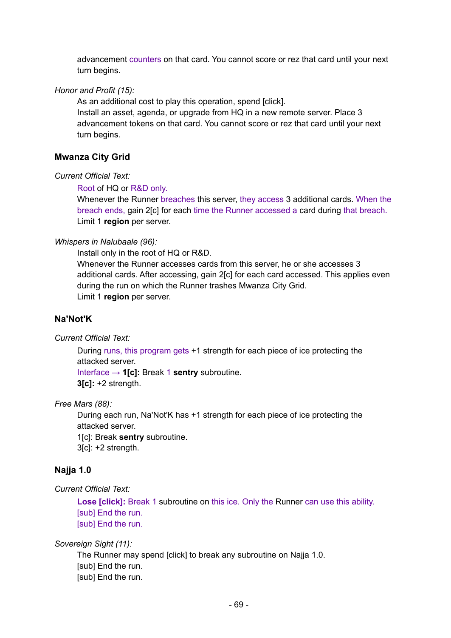advancement counters on that card. You cannot score or rez that card until your next turn begins.

### *Honor and Profit (15):*

As an additional cost to play this operation, spend [click]. Install an asset, agenda, or upgrade from HQ in a new remote server. Place 3 advancement tokens on that card. You cannot score or rez that card until your next turn begins.

## **Mwanza City Grid**

### *Current Official Text:*

Root of HQ or R&D only.

Whenever the Runner breaches this server, they access 3 additional cards. When the breach ends, gain 2[c] for each time the Runner accessed a card during that breach. Limit 1 **region** per server.

### *Whispers in Nalubaale (96):*

Install only in the root of HQ or R&D.

Whenever the Runner accesses cards from this server, he or she accesses 3 additional cards. After accessing, gain 2[c] for each card accessed. This applies even during the run on which the Runner trashes Mwanza City Grid. Limit 1 **region** per server.

## **Na'Not'K**

*Current Official Text:*

During runs, this program gets +1 strength for each piece of ice protecting the attacked server.

Interface → **1[c]:** Break 1 **sentry** subroutine.

**3[c]:** +2 strength.

### *Free Mars (88):*

During each run, Na'Not'K has +1 strength for each piece of ice protecting the attacked server.

1[c]: Break **sentry** subroutine.

3[c]: +2 strength.

## **Najja 1.0**

### *Current Official Text:*

**Lose [click]:** Break 1 subroutine on this ice. Only the Runner can use this ability. [sub] End the run. [sub] End the run.

*Sovereign Sight (11):*

The Runner may spend [click] to break any subroutine on Najja 1.0. [sub] End the run. [sub] End the run.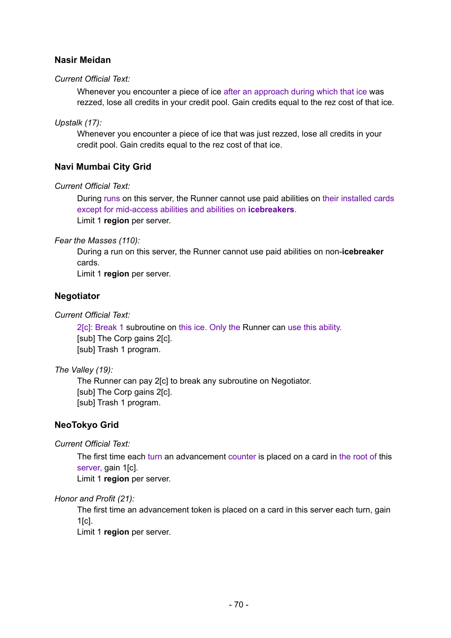## **Nasir Meidan**

### *Current Official Text:*

Whenever you encounter a piece of ice after an approach during which that ice was rezzed, lose all credits in your credit pool. Gain credits equal to the rez cost of that ice.

### *Upstalk (17):*

Whenever you encounter a piece of ice that was just rezzed, lose all credits in your credit pool. Gain credits equal to the rez cost of that ice.

## **Navi Mumbai City Grid**

### *Current Official Text:*

During runs on this server, the Runner cannot use paid abilities on their installed cards except for mid-access abilities and abilities on **icebreakers**. Limit 1 **region** per server.

### *Fear the Masses (110):*

During a run on this server, the Runner cannot use paid abilities on non-**icebreaker** cards.

Limit 1 **region** per server.

## **Negotiator**

## *Current Official Text:*

2[c]: Break 1 subroutine on this ice. Only the Runner can use this ability. [sub] The Corp gains 2[c]. [sub] Trash 1 program.

## *The Valley (19):*

The Runner can pay 2[c] to break any subroutine on Negotiator. [sub] The Corp gains 2[c]. [sub] Trash 1 program.

# **NeoTokyo Grid**

*Current Official Text:*

The first time each turn an advancement counter is placed on a card in the root of this server, gain 1[c].

Limit 1 **region** per server.

## *Honor and Profit (21):*

The first time an advancement token is placed on a card in this server each turn, gain 1[c].

Limit 1 **region** per server.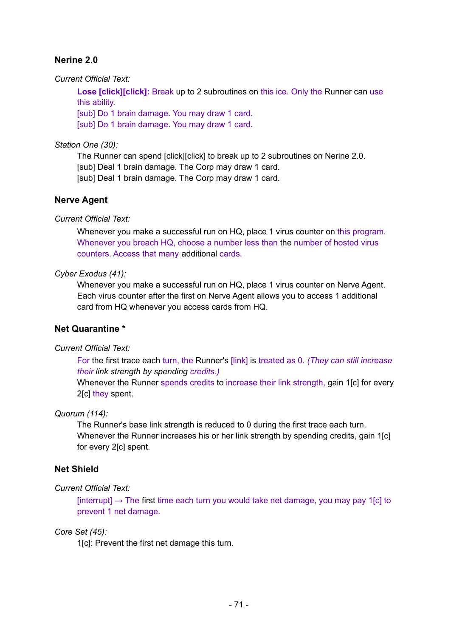# **Nerine 2.0**

*Current Official Text:*

**Lose [click][click]:** Break up to 2 subroutines on this ice. Only the Runner can use this ability.

[sub] Do 1 brain damage. You may draw 1 card. [sub] Do 1 brain damage. You may draw 1 card.

## *Station One (30):*

The Runner can spend [click][click] to break up to 2 subroutines on Nerine 2.0. [sub] Deal 1 brain damage. The Corp may draw 1 card. [sub] Deal 1 brain damage. The Corp may draw 1 card.

# **Nerve Agent**

*Current Official Text:*

Whenever you make a successful run on HQ, place 1 virus counter on this program. Whenever you breach HQ, choose a number less than the number of hosted virus counters. Access that many additional cards.

## *Cyber Exodus (41):*

Whenever you make a successful run on HQ, place 1 virus counter on Nerve Agent. Each virus counter after the first on Nerve Agent allows you to access 1 additional card from HQ whenever you access cards from HQ.

# **Net Quarantine \***

## *Current Official Text:*

For the first trace each turn, the Runner's [link] is treated as 0. *(They can still increase their link strength by spending credits.)*

Whenever the Runner spends credits to increase their link strength, gain 1[c] for every 2[c] they spent.

## *Quorum (114):*

The Runner's base link strength is reduced to 0 during the first trace each turn. Whenever the Runner increases his or her link strength by spending credits, gain 1[c] for every 2[c] spent.

# **Net Shield**

# *Current Official Text:*

 $[interrupt] \rightarrow$  The first time each turn you would take net damage, you may pay 1 $[c]$  to prevent 1 net damage.

## *Core Set (45):*

1[c]: Prevent the first net damage this turn.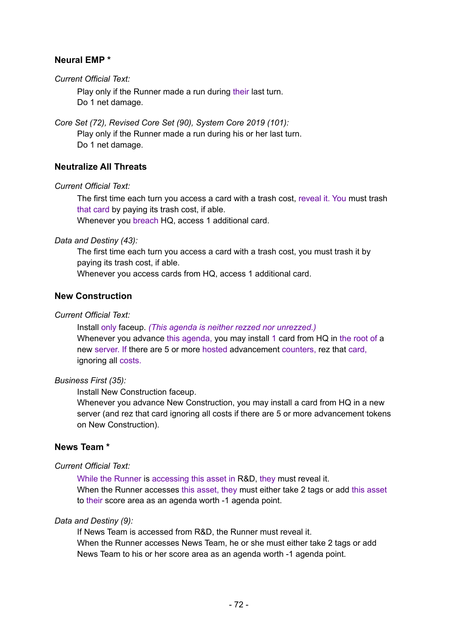## **Neural EMP \***

*Current Official Text:*

Play only if the Runner made a run during their last turn. Do 1 net damage.

*Core Set (72), Revised Core Set (90), System Core 2019 (101):*

Play only if the Runner made a run during his or her last turn. Do 1 net damage.

## **Neutralize All Threats**

*Current Official Text:*

The first time each turn you access a card with a trash cost, reveal it. You must trash that card by paying its trash cost, if able. Whenever you breach HQ, access 1 additional card.

*Data and Destiny (43):*

The first time each turn you access a card with a trash cost, you must trash it by paying its trash cost, if able.

Whenever you access cards from HQ, access 1 additional card.

## **New Construction**

#### *Current Official Text:*

Install only faceup. *(This agenda is neither rezzed nor unrezzed.)* Whenever you advance this agenda, you may install 1 card from HQ in the root of a new server. If there are 5 or more hosted advancement counters, rez that card, ignoring all costs.

### *Business First (35):*

Install New Construction faceup.

Whenever you advance New Construction, you may install a card from HQ in a new server (and rez that card ignoring all costs if there are 5 or more advancement tokens on New Construction).

## **News Team \***

#### *Current Official Text:*

While the Runner is accessing this asset in R&D, they must reveal it. When the Runner accesses this asset, they must either take 2 tags or add this asset to their score area as an agenda worth -1 agenda point.

#### *Data and Destiny (9):*

If News Team is accessed from R&D, the Runner must reveal it. When the Runner accesses News Team, he or she must either take 2 tags or add News Team to his or her score area as an agenda worth -1 agenda point.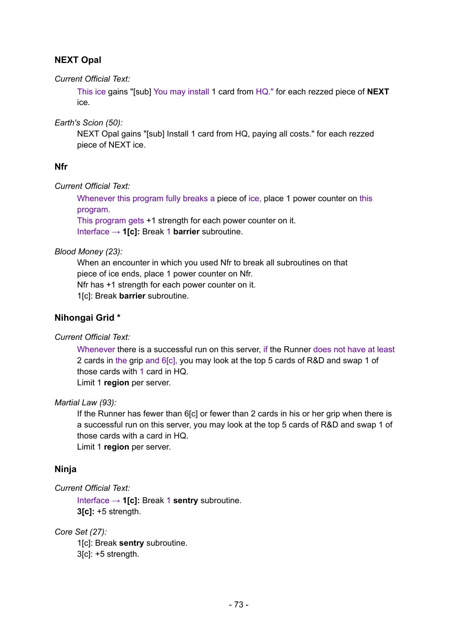# **NEXT Opal**

*Current Official Text:*

This ice gains "[sub] You may install 1 card from HQ." for each rezzed piece of **NEXT** ice.

*Earth's Scion (50):*

NEXT Opal gains "[sub] Install 1 card from HQ, paying all costs." for each rezzed piece of NEXT ice.

## **Nfr**

*Current Official Text:*

Whenever this program fully breaks a piece of ice, place 1 power counter on this program.

This program gets +1 strength for each power counter on it. Interface → **1[c]:** Break 1 **barrier** subroutine.

*Blood Money (23):*

When an encounter in which you used Nfr to break all subroutines on that piece of ice ends, place 1 power counter on Nfr. Nfr has +1 strength for each power counter on it. 1[c]: Break **barrier** subroutine.

# **Nihongai Grid \***

*Current Official Text:*

Whenever there is a successful run on this server, if the Runner does not have at least 2 cards in the grip and 6[c], you may look at the top 5 cards of R&D and swap 1 of those cards with 1 card in HQ.

Limit 1 **region** per server.

### *Martial Law (93):*

If the Runner has fewer than 6[c] or fewer than 2 cards in his or her grip when there is a successful run on this server, you may look at the top 5 cards of R&D and swap 1 of those cards with a card in HQ.

Limit 1 **region** per server.

### **Ninja**

### *Current Official Text:*

Interface → **1[c]:** Break 1 **sentry** subroutine. **3[c]:** +5 strength.

*Core Set (27):*

1[c]: Break **sentry** subroutine.

3[c]: +5 strength.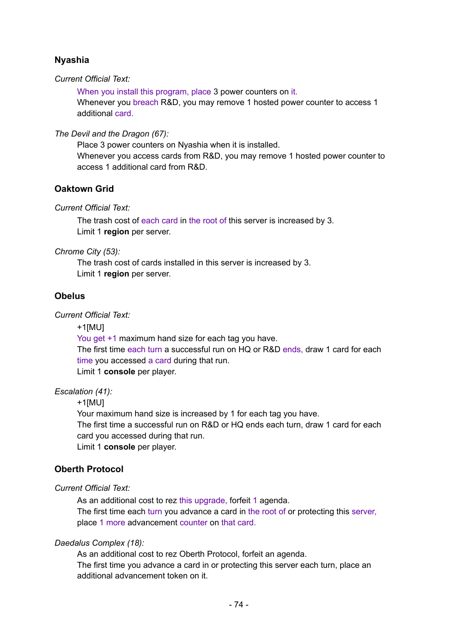## **Nyashia**

*Current Official Text:*

When you install this program, place 3 power counters on it.

Whenever you breach R&D, you may remove 1 hosted power counter to access 1 additional card.

*The Devil and the Dragon (67):*

Place 3 power counters on Nyashia when it is installed. Whenever you access cards from R&D, you may remove 1 hosted power counter to access 1 additional card from R&D.

## **Oaktown Grid**

*Current Official Text:*

The trash cost of each card in the root of this server is increased by 3. Limit 1 **region** per server.

*Chrome City (53):*

The trash cost of cards installed in this server is increased by 3. Limit 1 **region** per server.

## **Obelus**

*Current Official Text:*

+1[MU]

You get +1 maximum hand size for each tag you have. The first time each turn a successful run on HQ or R&D ends, draw 1 card for each time you accessed a card during that run. Limit 1 **console** per player.

### *Escalation (41):*

+1[MU]

Your maximum hand size is increased by 1 for each tag you have.

The first time a successful run on R&D or HQ ends each turn, draw 1 card for each card you accessed during that run.

Limit 1 **console** per player.

## **Oberth Protocol**

*Current Official Text:*

As an additional cost to rez this upgrade, forfeit 1 agenda. The first time each turn you advance a card in the root of or protecting this server, place 1 more advancement counter on that card.

### *Daedalus Complex (18):*

As an additional cost to rez Oberth Protocol, forfeit an agenda.

The first time you advance a card in or protecting this server each turn, place an additional advancement token on it.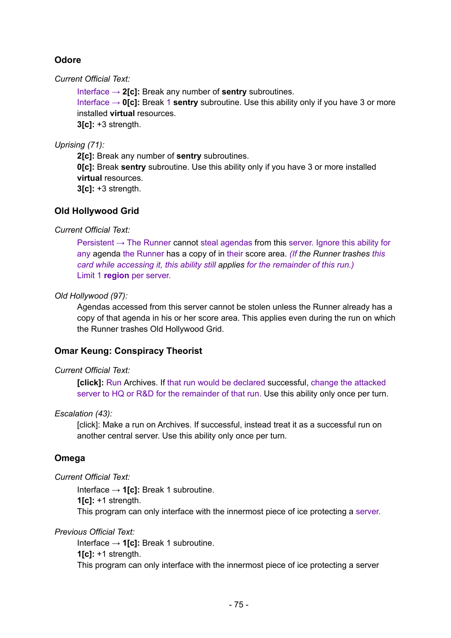# **Odore**

*Current Official Text:*

Interface → **2[c]:** Break any number of **sentry** subroutines. Interface → **0[c]:** Break 1 **sentry** subroutine. Use this ability only if you have 3 or more installed **virtual** resources. **3[c]:** +3 strength.

*Uprising (71):*

**2[c]:** Break any number of **sentry** subroutines. **0[c]:** Break **sentry** subroutine. Use this ability only if you have 3 or more installed **virtual** resources. **3[c]:** +3 strength.

**Old Hollywood Grid**

*Current Official Text:*

Persistent  $\rightarrow$  The Runner cannot steal agendas from this server. Ignore this ability for any agenda the Runner has a copy of in their score area. *(If the Runner trashes this card while accessing it, this ability still applies for the remainder of this run.)* Limit 1 **region** per server.

## *Old Hollywood (97):*

Agendas accessed from this server cannot be stolen unless the Runner already has a copy of that agenda in his or her score area. This applies even during the run on which the Runner trashes Old Hollywood Grid.

## **Omar Keung: Conspiracy Theorist**

### *Current Official Text:*

**[click]:** Run Archives. If that run would be declared successful, change the attacked server to HQ or R&D for the remainder of that run. Use this ability only once per turn.

### *Escalation (43):*

[click]: Make a run on Archives. If successful, instead treat it as a successful run on another central server. Use this ability only once per turn.

## **Omega**

*Current Official Text:*

Interface → **1[c]:** Break 1 subroutine. **1[c]:** +1 strength. This program can only interface with the innermost piece of ice protecting a server.

*Previous Official Text:*

Interface → **1[c]:** Break 1 subroutine. **1[c]:** +1 strength. This program can only interface with the innermost piece of ice protecting a server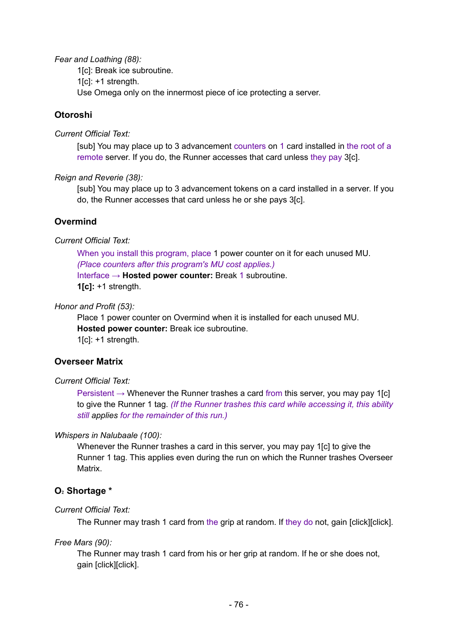*Fear and Loathing (88):*

1[c]: Break ice subroutine.

 $1[c]$ : +1 strength.

Use Omega only on the innermost piece of ice protecting a server.

## **Otoroshi**

*Current Official Text:*

[sub] You may place up to 3 advancement counters on 1 card installed in the root of a remote server. If you do, the Runner accesses that card unless they pay 3[c].

*Reign and Reverie (38):*

[sub] You may place up to 3 advancement tokens on a card installed in a server. If you do, the Runner accesses that card unless he or she pays 3[c].

## **Overmind**

*Current Official Text:*

When you install this program, place 1 power counter on it for each unused MU. *(Place counters after this program's MU cost applies.)* Interface → **Hosted power counter:** Break 1 subroutine. **1[c]:** +1 strength.

#### *Honor and Profit (53):*

Place 1 power counter on Overmind when it is installed for each unused MU. **Hosted power counter:** Break ice subroutine. 1[c]: +1 strength.

### **Overseer Matrix**

#### *Current Official Text:*

Persistent  $\rightarrow$  Whenever the Runner trashes a card from this server, you may pay 1[c] to give the Runner 1 tag. *(If the Runner trashes this card while accessing it, this ability still applies for the remainder of this run.)*

### *Whispers in Nalubaale (100):*

Whenever the Runner trashes a card in this server, you may pay 1[c] to give the Runner 1 tag. This applies even during the run on which the Runner trashes Overseer Matrix.

## **O**₂ **Shortage \***

### *Current Official Text:*

The Runner may trash 1 card from the grip at random. If they do not, gain [click][click].

*Free Mars (90):*

The Runner may trash 1 card from his or her grip at random. If he or she does not, gain [click][click].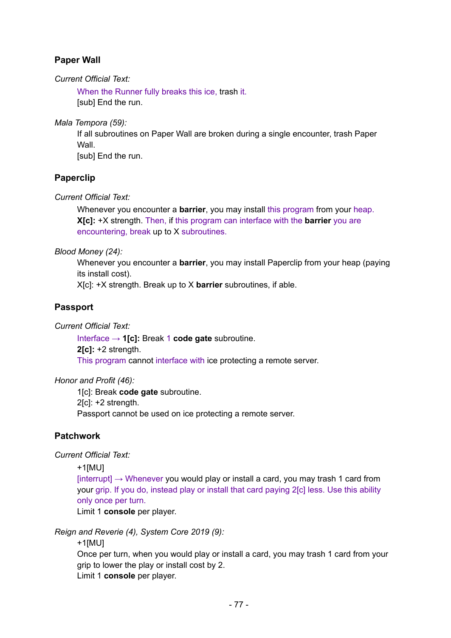# **Paper Wall**

*Current Official Text:*

When the Runner fully breaks this ice, trash it. [sub] End the run.

*Mala Tempora (59):*

If all subroutines on Paper Wall are broken during a single encounter, trash Paper Wall. [sub] End the run.

## **Paperclip**

*Current Official Text:*

Whenever you encounter a **barrier**, you may install this program from your heap. **X[c]:** +X strength. Then, if this program can interface with the **barrier** you are encountering, break up to X subroutines.

*Blood Money (24):*

Whenever you encounter a **barrier**, you may install Paperclip from your heap (paying its install cost).

X[c]: +X strength. Break up to X **barrier** subroutines, if able.

## **Passport**

*Current Official Text:*

Interface → **1[c]:** Break 1 **code gate** subroutine. **2[c]:** +2 strength. This program cannot interface with ice protecting a remote server.

*Honor and Profit (46):*

1[c]: Break **code gate** subroutine. 2[c]: +2 strength. Passport cannot be used on ice protecting a remote server.

## **Patchwork**

*Current Official Text:*

+1[MU]

 $[interrupt] \rightarrow$  Whenever you would play or install a card, you may trash 1 card from your grip. If you do, instead play or install that card paying 2[c] less. Use this ability only once per turn.

Limit 1 **console** per player.

*Reign and Reverie (4), System Core 2019 (9):*

+1[MU]

Once per turn, when you would play or install a card, you may trash 1 card from your grip to lower the play or install cost by 2. Limit 1 **console** per player.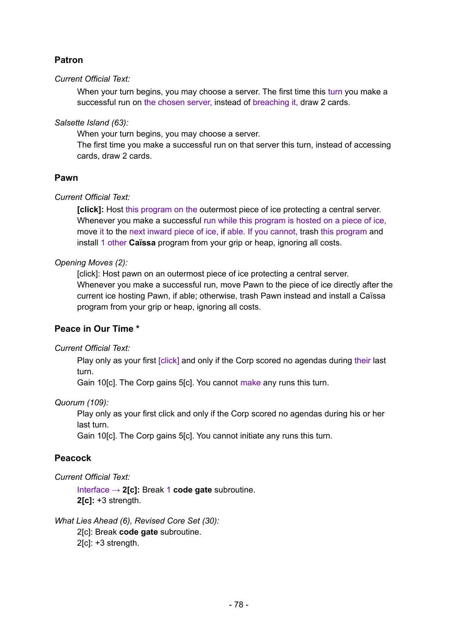# **Patron**

### *Current Official Text:*

When your turn begins, you may choose a server. The first time this turn you make a successful run on the chosen server, instead of breaching it, draw 2 cards.

#### *Salsette Island (63):*

When your turn begins, you may choose a server.

The first time you make a successful run on that server this turn, instead of accessing cards, draw 2 cards.

### **Pawn**

#### *Current Official Text:*

**[click]:** Host this program on the outermost piece of ice protecting a central server. Whenever you make a successful run while this program is hosted on a piece of ice, move it to the next inward piece of ice, if able. If you cannot, trash this program and install 1 other **Caïssa** program from your grip or heap, ignoring all costs.

#### *Opening Moves (2):*

[click]: Host pawn on an outermost piece of ice protecting a central server. Whenever you make a successful run, move Pawn to the piece of ice directly after the current ice hosting Pawn, if able; otherwise, trash Pawn instead and install a Caïssa program from your grip or heap, ignoring all costs.

### **Peace in Our Time \***

#### *Current Official Text:*

Play only as your first [click] and only if the Corp scored no agendas during their last turn.

Gain 10[c]. The Corp gains 5[c]. You cannot make any runs this turn.

#### *Quorum (109):*

Play only as your first click and only if the Corp scored no agendas during his or her last turn.

Gain 10[c]. The Corp gains 5[c]. You cannot initiate any runs this turn.

### **Peacock**

#### *Current Official Text:*

Interface → **2[c]:** Break 1 **code gate** subroutine. **2[c]:** +3 strength.

*What Lies Ahead (6), Revised Core Set (30):*

2[c]: Break **code gate** subroutine.

2[c]: +3 strength.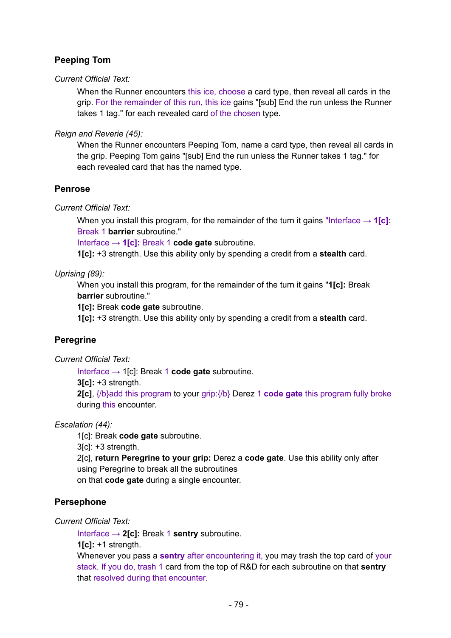# **Peeping Tom**

#### *Current Official Text:*

When the Runner encounters this ice, choose a card type, then reveal all cards in the grip. For the remainder of this run, this ice gains "[sub] End the run unless the Runner takes 1 tag." for each revealed card of the chosen type.

*Reign and Reverie (45):*

When the Runner encounters Peeping Tom, name a card type, then reveal all cards in the grip. Peeping Tom gains "[sub] End the run unless the Runner takes 1 tag." for each revealed card that has the named type.

### **Penrose**

*Current Official Text:*

When you install this program, for the remainder of the turn it gains "Interface  $\rightarrow$  1[c]: Break 1 **barrier** subroutine."

Interface → **1[c]:** Break 1 **code gate** subroutine.

**1[c]:** +3 strength. Use this ability only by spending a credit from a **stealth** card.

### *Uprising (89):*

When you install this program, for the remainder of the turn it gains "**1[c]:** Break **barrier** subroutine."

**1[c]:** Break **code gate** subroutine.

**1[c]:** +3 strength. Use this ability only by spending a credit from a **stealth** card.

## **Peregrine**

*Current Official Text:*

Interface → 1[c]: Break 1 **code gate** subroutine.

**3[c]:** +3 strength.

**2[c]**, {/b}add this program to your grip:{/b} Derez 1 **code gate** this program fully broke during this encounter.

*Escalation (44):*

1[c]: Break **code gate** subroutine.

3[c]: +3 strength.

2[c], **return Peregrine to your grip:** Derez a **code gate**. Use this ability only after using Peregrine to break all the subroutines

on that **code gate** during a single encounter.

## **Persephone**

*Current Official Text:*

Interface → **2[c]:** Break 1 **sentry** subroutine.

**1[c]:** +1 strength.

Whenever you pass a **sentry** after encountering it, you may trash the top card of your stack. If you do, trash 1 card from the top of R&D for each subroutine on that **sentry** that resolved during that encounter.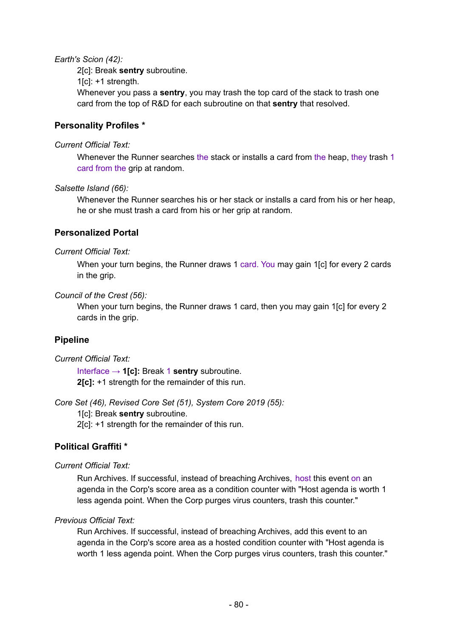#### *Earth's Scion (42):*

2[c]: Break **sentry** subroutine.

 $1[c]$ : +1 strength.

Whenever you pass a **sentry**, you may trash the top card of the stack to trash one card from the top of R&D for each subroutine on that **sentry** that resolved.

## **Personality Profiles \***

#### *Current Official Text:*

Whenever the Runner searches the stack or installs a card from the heap, they trash 1 card from the grip at random.

#### *Salsette Island (66):*

Whenever the Runner searches his or her stack or installs a card from his or her heap, he or she must trash a card from his or her grip at random.

## **Personalized Portal**

#### *Current Official Text:*

When your turn begins, the Runner draws 1 card. You may gain 1[c] for every 2 cards in the grip.

#### *Council of the Crest (56):*

When your turn begins, the Runner draws 1 card, then you may gain 1[c] for every 2 cards in the grip.

### **Pipeline**

#### *Current Official Text:*

Interface → **1[c]:** Break 1 **sentry** subroutine. **2[c]:** +1 strength for the remainder of this run.

*Core Set (46), Revised Core Set (51), System Core 2019 (55):*

1[c]: Break **sentry** subroutine.

2[c]: +1 strength for the remainder of this run.

## **Political Graffiti \***

### *Current Official Text:*

Run Archives. If successful, instead of breaching Archives, host this event on an agenda in the Corp's score area as a condition counter with "Host agenda is worth 1 less agenda point. When the Corp purges virus counters, trash this counter."

### *Previous Official Text:*

Run Archives. If successful, instead of breaching Archives, add this event to an agenda in the Corp's score area as a hosted condition counter with "Host agenda is worth 1 less agenda point. When the Corp purges virus counters, trash this counter."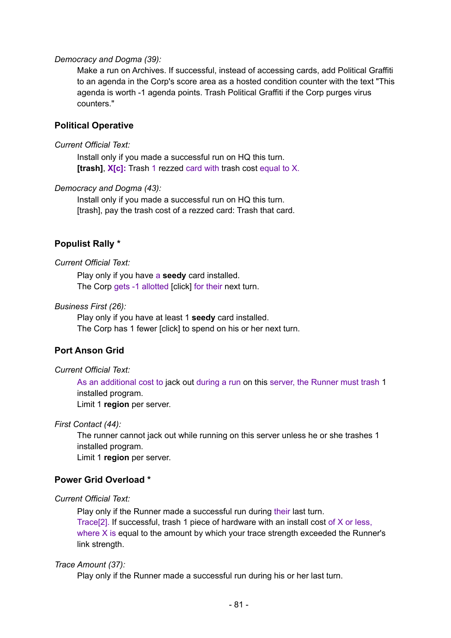#### *Democracy and Dogma (39):*

Make a run on Archives. If successful, instead of accessing cards, add Political Graffiti to an agenda in the Corp's score area as a hosted condition counter with the text "This agenda is worth -1 agenda points. Trash Political Graffiti if the Corp purges virus counters."

#### **Political Operative**

#### *Current Official Text:*

Install only if you made a successful run on HQ this turn. **[trash]**, **X[c]:** Trash 1 rezzed card with trash cost equal to X.

#### *Democracy and Dogma (43):*

Install only if you made a successful run on HQ this turn. [trash], pay the trash cost of a rezzed card: Trash that card.

#### **Populist Rally \***

#### *Current Official Text:*

Play only if you have a **seedy** card installed. The Corp gets -1 allotted [click] for their next turn.

#### *Business First (26):*

Play only if you have at least 1 **seedy** card installed. The Corp has 1 fewer [click] to spend on his or her next turn.

#### **Port Anson Grid**

#### *Current Official Text:*

As an additional cost to jack out during a run on this server, the Runner must trash 1 installed program.

Limit 1 **region** per server.

#### *First Contact (44):*

The runner cannot jack out while running on this server unless he or she trashes 1 installed program.

Limit 1 **region** per server.

#### **Power Grid Overload \***

#### *Current Official Text:*

Play only if the Runner made a successful run during their last turn.

Trace[2]. If successful, trash 1 piece of hardware with an install cost of X or less, where X is equal to the amount by which your trace strength exceeded the Runner's link strength.

#### *Trace Amount (37):*

Play only if the Runner made a successful run during his or her last turn.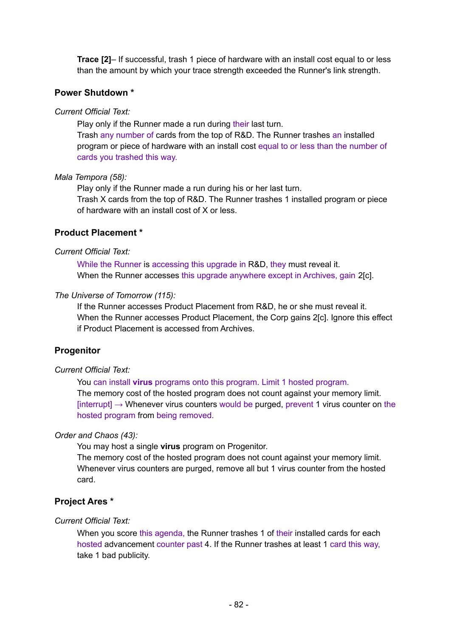**Trace [2]**– If successful, trash 1 piece of hardware with an install cost equal to or less than the amount by which your trace strength exceeded the Runner's link strength.

## **Power Shutdown \***

#### *Current Official Text:*

Play only if the Runner made a run during their last turn.

Trash any number of cards from the top of R&D. The Runner trashes an installed program or piece of hardware with an install cost equal to or less than the number of cards you trashed this way.

#### *Mala Tempora (58):*

Play only if the Runner made a run during his or her last turn.

Trash X cards from the top of R&D. The Runner trashes 1 installed program or piece of hardware with an install cost of X or less.

#### **Product Placement \***

#### *Current Official Text:*

While the Runner is accessing this upgrade in R&D, they must reveal it. When the Runner accesses this upgrade anywhere except in Archives, gain 2[c].

#### *The Universe of Tomorrow (115):*

If the Runner accesses Product Placement from R&D, he or she must reveal it. When the Runner accesses Product Placement, the Corp gains 2[c]. Ignore this effect if Product Placement is accessed from Archives.

### **Progenitor**

#### *Current Official Text:*

You can install **virus** programs onto this program. Limit 1 hosted program.

The memory cost of the hosted program does not count against your memory limit.  $[interrupt] \rightarrow Whenever$  virus counters would be purged, prevent 1 virus counter on the hosted program from being removed.

#### *Order and Chaos (43):*

You may host a single **virus** program on Progenitor.

The memory cost of the hosted program does not count against your memory limit. Whenever virus counters are purged, remove all but 1 virus counter from the hosted card.

### **Project Ares \***

#### *Current Official Text:*

When you score this agenda, the Runner trashes 1 of their installed cards for each hosted advancement counter past 4. If the Runner trashes at least 1 card this way, take 1 bad publicity.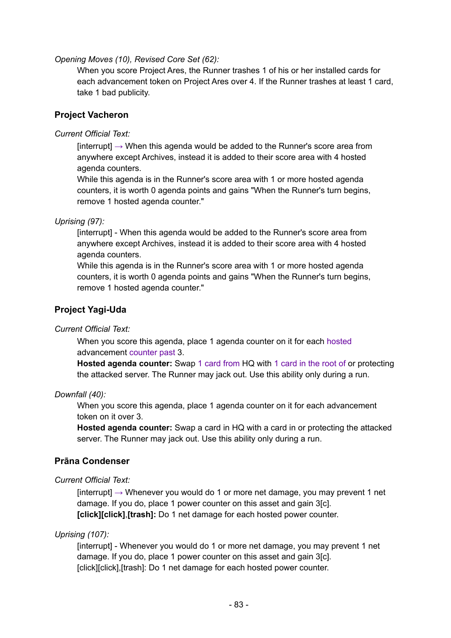*Opening Moves (10), Revised Core Set (62):*

When you score Project Ares, the Runner trashes 1 of his or her installed cards for each advancement token on Project Ares over 4. If the Runner trashes at least 1 card, take 1 bad publicity.

## **Project Vacheron**

#### *Current Official Text:*

 $[interrupt] \rightarrow$  When this agenda would be added to the Runner's score area from anywhere except Archives, instead it is added to their score area with 4 hosted agenda counters.

While this agenda is in the Runner's score area with 1 or more hosted agenda counters, it is worth 0 agenda points and gains "When the Runner's turn begins, remove 1 hosted agenda counter."

#### *Uprising (97):*

[interrupt] - When this agenda would be added to the Runner's score area from anywhere except Archives, instead it is added to their score area with 4 hosted agenda counters.

While this agenda is in the Runner's score area with 1 or more hosted agenda counters, it is worth 0 agenda points and gains "When the Runner's turn begins, remove 1 hosted agenda counter."

### **Project Yagi-Uda**

#### *Current Official Text:*

When you score this agenda, place 1 agenda counter on it for each hosted advancement counter past 3.

**Hosted agenda counter:** Swap 1 card from HQ with 1 card in the root of or protecting the attacked server. The Runner may jack out. Use this ability only during a run.

#### *Downfall (40):*

When you score this agenda, place 1 agenda counter on it for each advancement token on it over 3.

**Hosted agenda counter:** Swap a card in HQ with a card in or protecting the attacked server. The Runner may jack out. Use this ability only during a run.

### **Prāna Condenser**

#### *Current Official Text:*

 $[interrupt] \rightarrow Whenever$  you would do 1 or more net damage, you may prevent 1 net damage. If you do, place 1 power counter on this asset and gain 3[c]. **[click][click]**,**[trash]:** Do 1 net damage for each hosted power counter.

### *Uprising (107):*

[interrupt] - Whenever you would do 1 or more net damage, you may prevent 1 net damage. If you do, place 1 power counter on this asset and gain 3[c]. [click][click],[trash]: Do 1 net damage for each hosted power counter.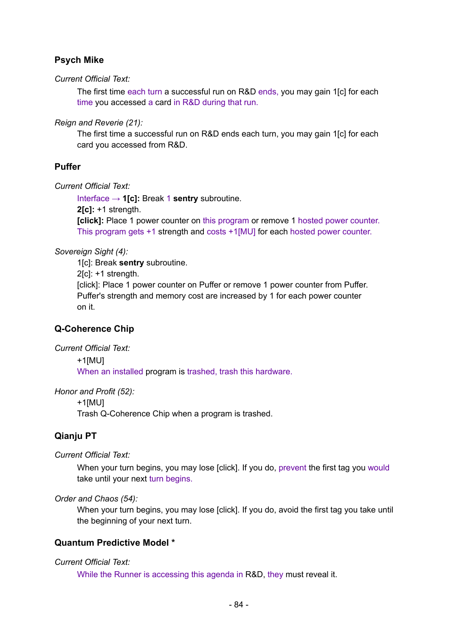# **Psych Mike**

*Current Official Text:*

The first time each turn a successful run on R&D ends, you may gain 1[c] for each time you accessed a card in R&D during that run.

*Reign and Reverie (21):*

The first time a successful run on R&D ends each turn, you may gain 1[c] for each card you accessed from R&D.

## **Puffer**

*Current Official Text:*

Interface → **1[c]:** Break 1 **sentry** subroutine.

**2[c]:** +1 strength.

**[click]:** Place 1 power counter on this program or remove 1 hosted power counter. This program gets +1 strength and costs +1[MU] for each hosted power counter.

*Sovereign Sight (4):*

1[c]: Break **sentry** subroutine. 2[c]: +1 strength. [click]: Place 1 power counter on Puffer or remove 1 power counter from Puffer. Puffer's strength and memory cost are increased by 1 for each power counter on it.

## **Q-Coherence Chip**

*Current Official Text:*

+1[MU]

When an installed program is trashed, trash this hardware.

*Honor and Profit (52):*

+1[MU]

Trash Q-Coherence Chip when a program is trashed.

## **Qianju PT**

*Current Official Text:*

When your turn begins, you may lose [click]. If you do, prevent the first tag you would take until your next turn begins.

*Order and Chaos (54):*

When your turn begins, you may lose [click]. If you do, avoid the first tag you take until the beginning of your next turn.

## **Quantum Predictive Model \***

### *Current Official Text:*

While the Runner is accessing this agenda in R&D, they must reveal it.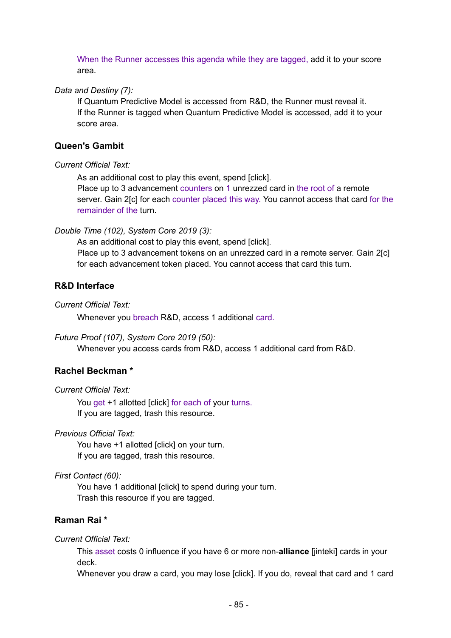When the Runner accesses this agenda while they are tagged, add it to your score area.

#### *Data and Destiny (7):*

If Quantum Predictive Model is accessed from R&D, the Runner must reveal it. If the Runner is tagged when Quantum Predictive Model is accessed, add it to your score area.

### **Queen's Gambit**

#### *Current Official Text:*

As an additional cost to play this event, spend [click].

Place up to 3 advancement counters on 1 unrezzed card in the root of a remote server. Gain 2[c] for each counter placed this way. You cannot access that card for the remainder of the turn.

#### *Double Time (102), System Core 2019 (3):*

As an additional cost to play this event, spend [click]. Place up to 3 advancement tokens on an unrezzed card in a remote server. Gain 2[c] for each advancement token placed. You cannot access that card this turn.

### **R&D Interface**

*Current Official Text:*

Whenever you breach R&D, access 1 additional card.

#### *Future Proof (107), System Core 2019 (50):*

Whenever you access cards from R&D, access 1 additional card from R&D.

#### **Rachel Beckman \***

*Current Official Text:*

You get +1 allotted [click] for each of your turns. If you are tagged, trash this resource.

*Previous Official Text:*

You have +1 allotted [click] on your turn. If you are tagged, trash this resource.

*First Contact (60):*

You have 1 additional [click] to spend during your turn. Trash this resource if you are tagged.

### **Raman Rai \***

*Current Official Text:*

This asset costs 0 influence if you have 6 or more non-**alliance** [jinteki] cards in your deck.

Whenever you draw a card, you may lose [click]. If you do, reveal that card and 1 card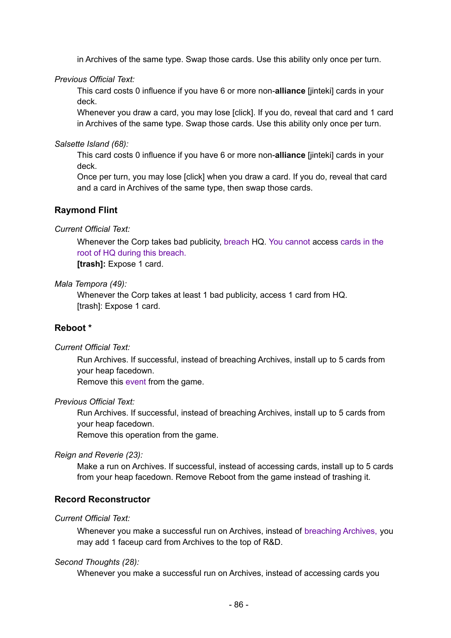in Archives of the same type. Swap those cards. Use this ability only once per turn.

*Previous Official Text:*

This card costs 0 influence if you have 6 or more non-**alliance** [jinteki] cards in your deck.

Whenever you draw a card, you may lose [click]. If you do, reveal that card and 1 card in Archives of the same type. Swap those cards. Use this ability only once per turn.

*Salsette Island (68):*

This card costs 0 influence if you have 6 or more non-**alliance** [jinteki] cards in your deck.

Once per turn, you may lose [click] when you draw a card. If you do, reveal that card and a card in Archives of the same type, then swap those cards.

#### **Raymond Flint**

*Current Official Text:*

Whenever the Corp takes bad publicity, breach HQ. You cannot access cards in the root of HQ during this breach. **[trash]:** Expose 1 card.

*Mala Tempora (49):*

Whenever the Corp takes at least 1 bad publicity, access 1 card from HQ. [trash]: Expose 1 card.

### **Reboot \***

*Current Official Text:*

Run Archives. If successful, instead of breaching Archives, install up to 5 cards from your heap facedown.

Remove this event from the game.

#### *Previous Official Text:*

Run Archives. If successful, instead of breaching Archives, install up to 5 cards from your heap facedown.

Remove this operation from the game.

#### *Reign and Reverie (23):*

Make a run on Archives. If successful, instead of accessing cards, install up to 5 cards from your heap facedown. Remove Reboot from the game instead of trashing it.

#### **Record Reconstructor**

#### *Current Official Text:*

Whenever you make a successful run on Archives, instead of breaching Archives, you may add 1 faceup card from Archives to the top of R&D.

#### *Second Thoughts (28):*

Whenever you make a successful run on Archives, instead of accessing cards you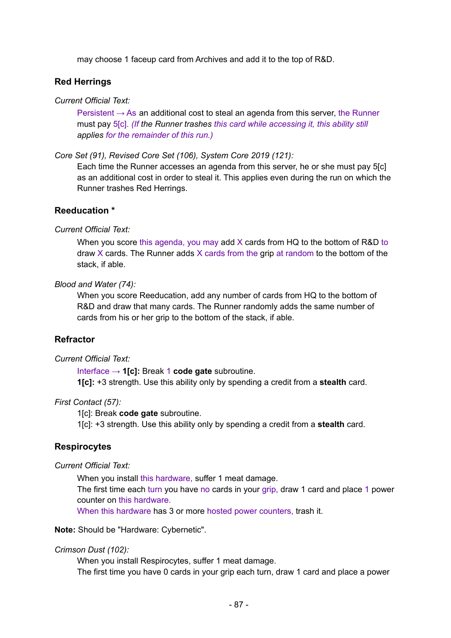may choose 1 faceup card from Archives and add it to the top of R&D.

#### **Red Herrings**

#### *Current Official Text:*

Persistent  $\rightarrow$  As an additional cost to steal an agenda from this server, the Runner must pay 5[c]. *(If the Runner trashes this card while accessing it, this ability still applies for the remainder of this run.)*

*Core Set (91), Revised Core Set (106), System Core 2019 (121):*

Each time the Runner accesses an agenda from this server, he or she must pay 5[c] as an additional cost in order to steal it. This applies even during the run on which the Runner trashes Red Herrings.

#### **Reeducation \***

#### *Current Official Text:*

When you score this agenda, you may add X cards from HQ to the bottom of R&D to draw X cards. The Runner adds X cards from the grip at random to the bottom of the stack, if able.

#### *Blood and Water (74):*

When you score Reeducation, add any number of cards from HQ to the bottom of R&D and draw that many cards. The Runner randomly adds the same number of cards from his or her grip to the bottom of the stack, if able.

#### **Refractor**

#### *Current Official Text:*

Interface → **1[c]:** Break 1 **code gate** subroutine. **1[c]:** +3 strength. Use this ability only by spending a credit from a **stealth** card.

#### *First Contact (57):*

1[c]: Break **code gate** subroutine.

1[c]: +3 strength. Use this ability only by spending a credit from a **stealth** card.

#### **Respirocytes**

#### *Current Official Text:*

When you install this hardware, suffer 1 meat damage.

The first time each turn you have no cards in your grip, draw 1 card and place 1 power counter on this hardware.

When this hardware has 3 or more hosted power counters, trash it.

**Note:** Should be "Hardware: Cybernetic".

#### *Crimson Dust (102):*

When you install Respirocytes, suffer 1 meat damage. The first time you have 0 cards in your grip each turn, draw 1 card and place a power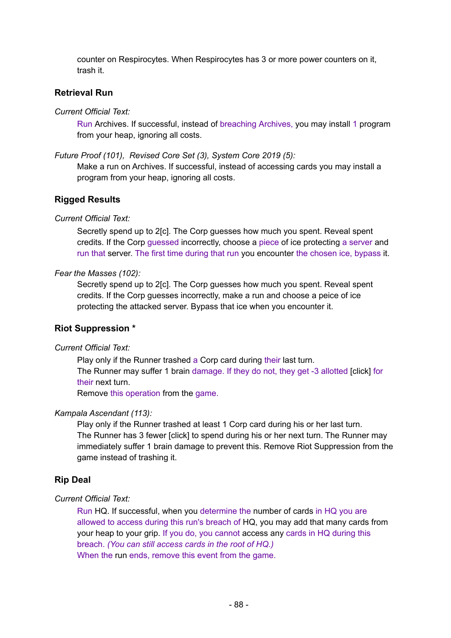counter on Respirocytes. When Respirocytes has 3 or more power counters on it, trash it.

### **Retrieval Run**

*Current Official Text:*

Run Archives. If successful, instead of breaching Archives, you may install 1 program from your heap, ignoring all costs.

*Future Proof (101), Revised Core Set (3), System Core 2019 (5):*

Make a run on Archives. If successful, instead of accessing cards you may install a program from your heap, ignoring all costs.

#### **Rigged Results**

#### *Current Official Text:*

Secretly spend up to 2[c]. The Corp guesses how much you spent. Reveal spent credits. If the Corp guessed incorrectly, choose a piece of ice protecting a server and run that server. The first time during that run you encounter the chosen ice, bypass it.

#### *Fear the Masses (102):*

Secretly spend up to 2[c]. The Corp guesses how much you spent. Reveal spent credits. If the Corp guesses incorrectly, make a run and choose a peice of ice protecting the attacked server. Bypass that ice when you encounter it.

#### **Riot Suppression \***

#### *Current Official Text:*

Play only if the Runner trashed a Corp card during their last turn. The Runner may suffer 1 brain damage. If they do not, they get -3 allotted [click] for their next turn.

Remove this operation from the game.

#### *Kampala Ascendant (113):*

Play only if the Runner trashed at least 1 Corp card during his or her last turn. The Runner has 3 fewer [click] to spend during his or her next turn. The Runner may immediately suffer 1 brain damage to prevent this. Remove Riot Suppression from the game instead of trashing it.

#### **Rip Deal**

#### *Current Official Text:*

Run HQ. If successful, when you determine the number of cards in HQ you are allowed to access during this run's breach of HQ, you may add that many cards from your heap to your grip. If you do, you cannot access any cards in HQ during this breach. *(You can still access cards in the root of HQ.)* When the run ends, remove this event from the game.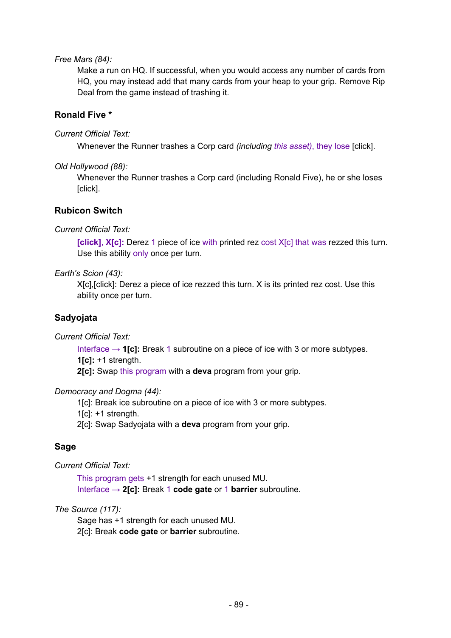#### *Free Mars (84):*

Make a run on HQ. If successful, when you would access any number of cards from HQ, you may instead add that many cards from your heap to your grip. Remove Rip Deal from the game instead of trashing it.

### **Ronald Five \***

#### *Current Official Text:*

Whenever the Runner trashes a Corp card *(including this asset)*, they lose [click].

#### *Old Hollywood (88):*

Whenever the Runner trashes a Corp card (including Ronald Five), he or she loses [click].

### **Rubicon Switch**

### *Current Official Text:*

**[click]**, **X[c]:** Derez 1 piece of ice with printed rez cost X[c] that was rezzed this turn. Use this ability only once per turn.

#### *Earth's Scion (43):*

X[c],[click]: Derez a piece of ice rezzed this turn. X is its printed rez cost. Use this ability once per turn.

## **Sadyojata**

*Current Official Text:*

Interface → **1[c]:** Break 1 subroutine on a piece of ice with 3 or more subtypes. **1[c]:** +1 strength.

**2[c]:** Swap this program with a **deva** program from your grip.

#### *Democracy and Dogma (44):*

1[c]: Break ice subroutine on a piece of ice with 3 or more subtypes.

 $1[c]$ : +1 strength.

2[c]: Swap Sadyojata with a **deva** program from your grip.

## **Sage**

*Current Official Text:*

This program gets +1 strength for each unused MU. Interface → **2[c]:** Break 1 **code gate** or 1 **barrier** subroutine.

### *The Source (117):*

Sage has +1 strength for each unused MU. 2[c]: Break **code gate** or **barrier** subroutine.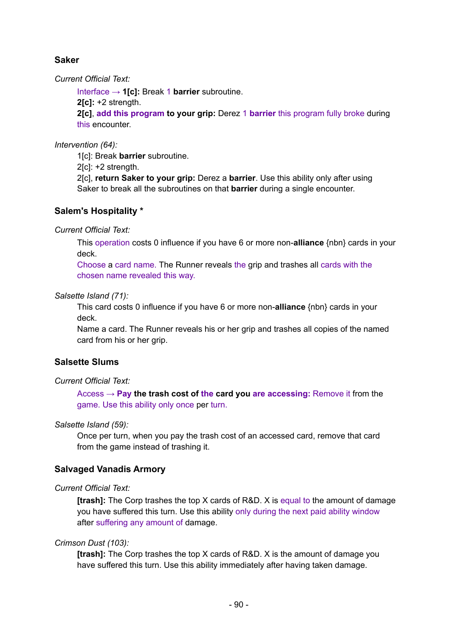## **Saker**

*Current Official Text:*

Interface → **1[c]:** Break 1 **barrier** subroutine.

**2[c]:** +2 strength.

**2[c]**, **add this program to your grip:** Derez 1 **barrier** this program fully broke during this encounter.

*Intervention (64):*

1[c]: Break **barrier** subroutine.

2[c]: +2 strength.

2[c], **return Saker to your grip:** Derez a **barrier**. Use this ability only after using Saker to break all the subroutines on that **barrier** during a single encounter.

## **Salem's Hospitality \***

*Current Official Text:*

This operation costs 0 influence if you have 6 or more non-**alliance** {nbn} cards in your deck.

Choose a card name. The Runner reveals the grip and trashes all cards with the chosen name revealed this way.

### *Salsette Island (71):*

This card costs 0 influence if you have 6 or more non-**alliance** {nbn} cards in your deck.

Name a card. The Runner reveals his or her grip and trashes all copies of the named card from his or her grip.

## **Salsette Slums**

### *Current Official Text:*

Access → **Pay the trash cost of the card you are accessing:** Remove it from the game. Use this ability only once per turn.

### *Salsette Island (59):*

Once per turn, when you pay the trash cost of an accessed card, remove that card from the game instead of trashing it.

### **Salvaged Vanadis Armory**

### *Current Official Text:*

**[trash]:** The Corp trashes the top X cards of R&D. X is equal to the amount of damage you have suffered this turn. Use this ability only during the next paid ability window after suffering any amount of damage.

### *Crimson Dust (103):*

**[trash]:** The Corp trashes the top X cards of R&D. X is the amount of damage you have suffered this turn. Use this ability immediately after having taken damage.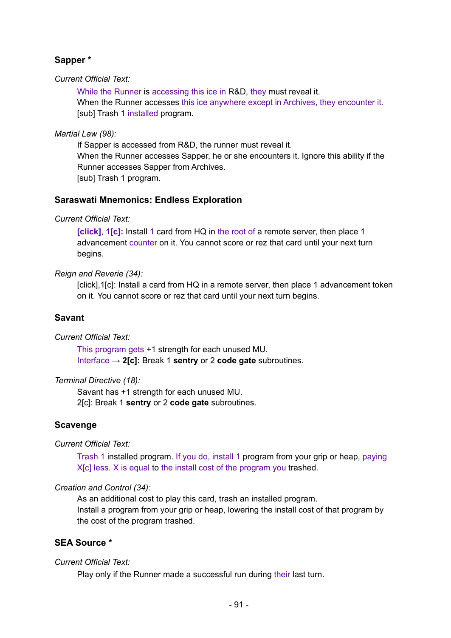# **Sapper \***

#### *Current Official Text:*

While the Runner is accessing this ice in R&D, they must reveal it. When the Runner accesses this ice anywhere except in Archives, they encounter it. [sub] Trash 1 installed program.

#### *Martial Law (98):*

If Sapper is accessed from R&D, the runner must reveal it. When the Runner accesses Sapper, he or she encounters it. Ignore this ability if the Runner accesses Sapper from Archives. [sub] Trash 1 program.

### **Saraswati Mnemonics: Endless Exploration**

#### *Current Official Text:*

**[click]**, **1[c]:** Install 1 card from HQ in the root of a remote server, then place 1 advancement counter on it. You cannot score or rez that card until your next turn begins.

### *Reign and Reverie (34):*

[click],1[c]: Install a card from HQ in a remote server, then place 1 advancement token on it. You cannot score or rez that card until your next turn begins.

### **Savant**

### *Current Official Text:*

This program gets +1 strength for each unused MU. Interface → **2[c]:** Break 1 **sentry** or 2 **code gate** subroutines.

#### *Terminal Directive (18):*

Savant has +1 strength for each unused MU. 2[c]: Break 1 **sentry** or 2 **code gate** subroutines.

### **Scavenge**

### *Current Official Text:*

Trash 1 installed program. If you do, install 1 program from your grip or heap, paying X[c] less. X is equal to the install cost of the program you trashed.

### *Creation and Control (34):*

As an additional cost to play this card, trash an installed program. Install a program from your grip or heap, lowering the install cost of that program by the cost of the program trashed.

## **SEA Source \***

### *Current Official Text:*

Play only if the Runner made a successful run during their last turn.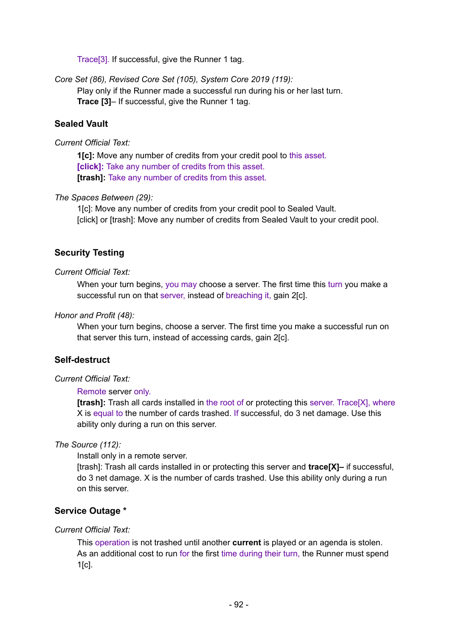Trace[3]. If successful, give the Runner 1 tag.

*Core Set (86), Revised Core Set (105), System Core 2019 (119):* Play only if the Runner made a successful run during his or her last turn. **Trace [3]**– If successful, give the Runner 1 tag.

## **Sealed Vault**

#### *Current Official Text:*

**1[c]:** Move any number of credits from your credit pool to this asset. **[click]:** Take any number of credits from this asset. **[trash]:** Take any number of credits from this asset.

#### *The Spaces Between (29):*

1[c]: Move any number of credits from your credit pool to Sealed Vault. [click] or [trash]: Move any number of credits from Sealed Vault to your credit pool.

### **Security Testing**

#### *Current Official Text:*

When your turn begins, you may choose a server. The first time this turn you make a successful run on that server, instead of breaching it, gain 2[c].

#### *Honor and Profit (48):*

When your turn begins, choose a server. The first time you make a successful run on that server this turn, instead of accessing cards, gain 2[c].

#### **Self-destruct**

#### *Current Official Text:*

#### Remote server only.

**[trash]:** Trash all cards installed in the root of or protecting this server. Trace[X], where X is equal to the number of cards trashed. If successful, do 3 net damage. Use this ability only during a run on this server.

#### *The Source (112):*

Install only in a remote server.

[trash]: Trash all cards installed in or protecting this server and **trace[X]–** if successful, do 3 net damage. X is the number of cards trashed. Use this ability only during a run on this server.

### **Service Outage \***

#### *Current Official Text:*

This operation is not trashed until another **current** is played or an agenda is stolen. As an additional cost to run for the first time during their turn, the Runner must spend 1[c].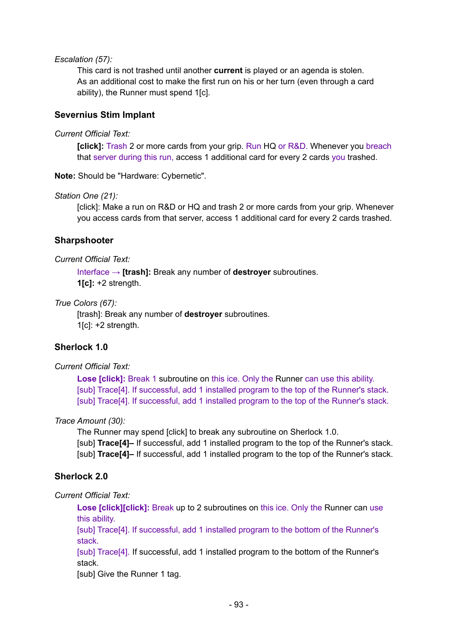#### *Escalation (57):*

This card is not trashed until another **current** is played or an agenda is stolen. As an additional cost to make the first run on his or her turn (even through a card ability), the Runner must spend 1[c].

### **Severnius Stim Implant**

#### *Current Official Text:*

**[click]:** Trash 2 or more cards from your grip. Run HQ or R&D. Whenever you breach that server during this run, access 1 additional card for every 2 cards you trashed.

**Note:** Should be "Hardware: Cybernetic".

#### *Station One (21):*

[click]: Make a run on R&D or HQ and trash 2 or more cards from your grip. Whenever you access cards from that server, access 1 additional card for every 2 cards trashed.

### **Sharpshooter**

#### *Current Official Text:*

Interface → **[trash]:** Break any number of **destroyer** subroutines. **1[c]:** +2 strength.

### *True Colors (67):*

[trash]: Break any number of **destroyer** subroutines.  $1$ [c]:  $+2$  strength.

## **Sherlock 1.0**

### *Current Official Text:*

**Lose [click]:** Break 1 subroutine on this ice. Only the Runner can use this ability. [sub] Trace[4]. If successful, add 1 installed program to the top of the Runner's stack. [sub] Trace[4]. If successful, add 1 installed program to the top of the Runner's stack.

### *Trace Amount (30):*

The Runner may spend [click] to break any subroutine on Sherlock 1.0. [sub] **Trace[4]–** If successful, add 1 installed program to the top of the Runner's stack. [sub] **Trace[4]–** If successful, add 1 installed program to the top of the Runner's stack.

### **Sherlock 2.0**

*Current Official Text:*

**Lose [click][click]:** Break up to 2 subroutines on this ice. Only the Runner can use this ability.

[sub] Trace[4]. If successful, add 1 installed program to the bottom of the Runner's stack.

[sub] Trace[4]. If successful, add 1 installed program to the bottom of the Runner's stack.

[sub] Give the Runner 1 tag.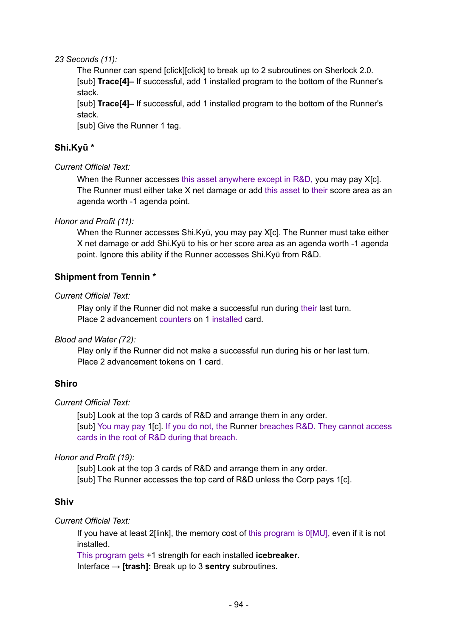#### *23 Seconds (11):*

The Runner can spend [click][click] to break up to 2 subroutines on Sherlock 2.0. [sub] **Trace[4]–** If successful, add 1 installed program to the bottom of the Runner's stack.

[sub] **Trace[4]–** If successful, add 1 installed program to the bottom of the Runner's stack.

[sub] Give the Runner 1 tag.

# **Shi.Kyū \***

### *Current Official Text:*

When the Runner accesses this asset anywhere except in R&D, you may pay X[c]. The Runner must either take X net damage or add this asset to their score area as an agenda worth -1 agenda point.

### *Honor and Profit (11):*

When the Runner accesses Shi.Kyū, you may pay X[c]. The Runner must take either X net damage or add Shi.Kyū to his or her score area as an agenda worth -1 agenda point. Ignore this ability if the Runner accesses Shi.Kyū from R&D.

## **Shipment from Tennin \***

### *Current Official Text:*

Play only if the Runner did not make a successful run during their last turn. Place 2 advancement counters on 1 installed card.

### *Blood and Water (72):*

Play only if the Runner did not make a successful run during his or her last turn. Place 2 advancement tokens on 1 card.

### **Shiro**

### *Current Official Text:*

[sub] Look at the top 3 cards of R&D and arrange them in any order. [sub] You may pay 1[c]. If you do not, the Runner breaches R&D. They cannot access cards in the root of R&D during that breach.

### *Honor and Profit (19):*

[sub] Look at the top 3 cards of R&D and arrange them in any order. [sub] The Runner accesses the top card of R&D unless the Corp pays 1[c].

### **Shiv**

### *Current Official Text:*

If you have at least 2[link], the memory cost of this program is 0[MU], even if it is not installed.

This program gets +1 strength for each installed **icebreaker**.

Interface → **[trash]:** Break up to 3 **sentry** subroutines.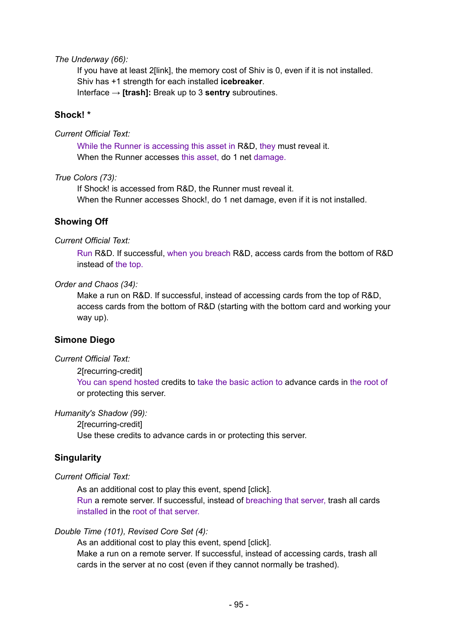#### *The Underway (66):*

If you have at least 2[link], the memory cost of Shiv is 0, even if it is not installed. Shiv has +1 strength for each installed **icebreaker**. Interface → **[trash]:** Break up to 3 **sentry** subroutines.

#### **Shock! \***

#### *Current Official Text:*

While the Runner is accessing this asset in R&D, they must reveal it. When the Runner accesses this asset, do 1 net damage.

*True Colors (73):*

If Shock! is accessed from R&D, the Runner must reveal it. When the Runner accesses Shock!, do 1 net damage, even if it is not installed.

### **Showing Off**

#### *Current Official Text:*

Run R&D. If successful, when you breach R&D, access cards from the bottom of R&D instead of the top.

#### *Order and Chaos (34):*

Make a run on R&D. If successful, instead of accessing cards from the top of R&D, access cards from the bottom of R&D (starting with the bottom card and working your way up).

### **Simone Diego**

#### *Current Official Text:*

#### 2[recurring-credit]

You can spend hosted credits to take the basic action to advance cards in the root of or protecting this server.

#### *Humanity's Shadow (99):*

2[recurring-credit]

Use these credits to advance cards in or protecting this server.

### **Singularity**

#### *Current Official Text:*

As an additional cost to play this event, spend [click]. Run a remote server. If successful, instead of breaching that server, trash all cards installed in the root of that server.

#### *Double Time (101), Revised Core Set (4):*

As an additional cost to play this event, spend [click].

Make a run on a remote server. If successful, instead of accessing cards, trash all cards in the server at no cost (even if they cannot normally be trashed).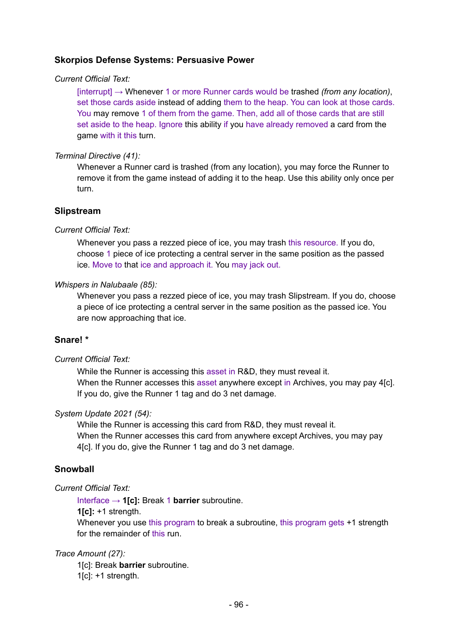## **Skorpios Defense Systems: Persuasive Power**

#### *Current Official Text:*

[interrupt] → Whenever 1 or more Runner cards would be trashed *(from any location)*, set those cards aside instead of adding them to the heap. You can look at those cards. You may remove 1 of them from the game. Then, add all of those cards that are still set aside to the heap. Ignore this ability if you have already removed a card from the game with it this turn.

#### *Terminal Directive (41):*

Whenever a Runner card is trashed (from any location), you may force the Runner to remove it from the game instead of adding it to the heap. Use this ability only once per turn.

#### **Slipstream**

#### *Current Official Text:*

Whenever you pass a rezzed piece of ice, you may trash this resource. If you do, choose 1 piece of ice protecting a central server in the same position as the passed ice. Move to that ice and approach it. You may jack out.

#### *Whispers in Nalubaale (85):*

Whenever you pass a rezzed piece of ice, you may trash Slipstream. If you do, choose a piece of ice protecting a central server in the same position as the passed ice. You are now approaching that ice.

### **Snare! \***

#### *Current Official Text:*

While the Runner is accessing this asset in R&D, they must reveal it. When the Runner accesses this asset anywhere except in Archives, you may pay 4[c]. If you do, give the Runner 1 tag and do 3 net damage.

#### *System Update 2021 (54):*

While the Runner is accessing this card from R&D, they must reveal it. When the Runner accesses this card from anywhere except Archives, you may pay 4[c]. If you do, give the Runner 1 tag and do 3 net damage.

### **Snowball**

#### *Current Official Text:*

Interface → **1[c]:** Break 1 **barrier** subroutine.

**1[c]:** +1 strength.

Whenever you use this program to break a subroutine, this program gets  $+1$  strength for the remainder of this run.

#### *Trace Amount (27):*

1[c]: Break **barrier** subroutine.  $1$ [c]:  $+1$  strength.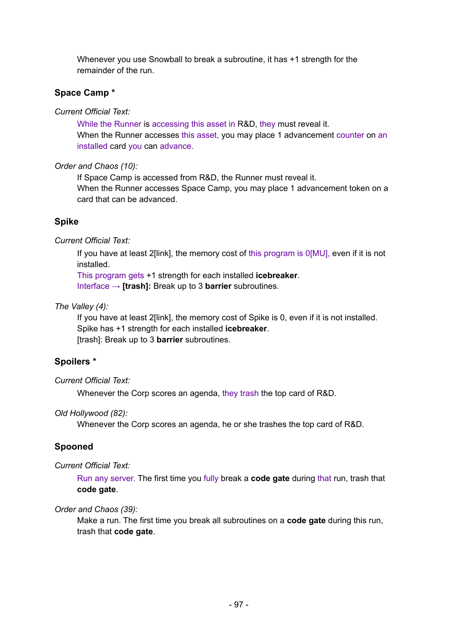Whenever you use Snowball to break a subroutine, it has +1 strength for the remainder of the run.

# **Space Camp \***

*Current Official Text:*

While the Runner is accessing this asset in R&D, they must reveal it. When the Runner accesses this asset, you may place 1 advancement counter on an installed card you can advance.

## *Order and Chaos (10):*

If Space Camp is accessed from R&D, the Runner must reveal it. When the Runner accesses Space Camp, you may place 1 advancement token on a card that can be advanced.

# **Spike**

*Current Official Text:*

If you have at least 2[link], the memory cost of this program is 0[MU], even if it is not installed.

This program gets +1 strength for each installed **icebreaker**.

Interface → **[trash]:** Break up to 3 **barrier** subroutines.

## *The Valley (4):*

If you have at least 2[link], the memory cost of Spike is 0, even if it is not installed. Spike has +1 strength for each installed **icebreaker**. [trash]: Break up to 3 **barrier** subroutines.

# **Spoilers \***

## *Current Official Text:*

Whenever the Corp scores an agenda, they trash the top card of R&D.

## *Old Hollywood (82):*

Whenever the Corp scores an agenda, he or she trashes the top card of R&D.

# **Spooned**

### *Current Official Text:*

Run any server. The first time you fully break a **code gate** during that run, trash that **code gate**.

## *Order and Chaos (39):*

Make a run. The first time you break all subroutines on a **code gate** during this run, trash that **code gate**.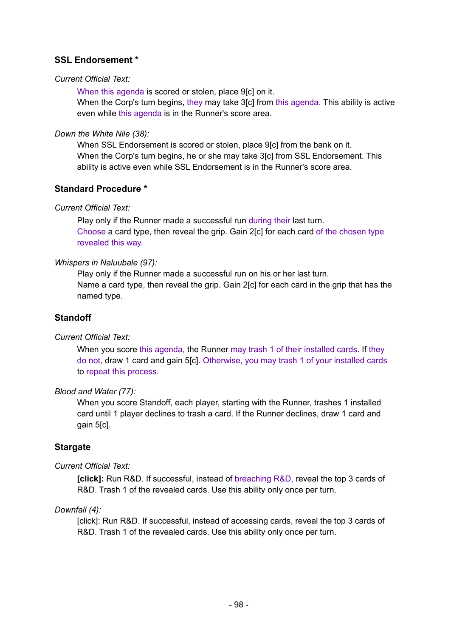## **SSL Endorsement \***

#### *Current Official Text:*

When this agenda is scored or stolen, place 9[c] on it. When the Corp's turn begins, they may take 3[c] from this agenda. This ability is active even while this agenda is in the Runner's score area.

#### *Down the White Nile (38):*

When SSL Endorsement is scored or stolen, place 9[c] from the bank on it. When the Corp's turn begins, he or she may take 3[c] from SSL Endorsement. This ability is active even while SSL Endorsement is in the Runner's score area.

### **Standard Procedure \***

### *Current Official Text:*

Play only if the Runner made a successful run during their last turn. Choose a card type, then reveal the grip. Gain 2[c] for each card of the chosen type revealed this way.

#### *Whispers in Naluubale (97):*

Play only if the Runner made a successful run on his or her last turn. Name a card type, then reveal the grip. Gain 2[c] for each card in the grip that has the named type.

### **Standoff**

### *Current Official Text:*

When you score this agenda, the Runner may trash 1 of their installed cards. If they do not, draw 1 card and gain 5[c]. Otherwise, you may trash 1 of your installed cards to repeat this process.

#### *Blood and Water (77):*

When you score Standoff, each player, starting with the Runner, trashes 1 installed card until 1 player declines to trash a card. If the Runner declines, draw 1 card and gain 5[c].

### **Stargate**

### *Current Official Text:*

**[click]:** Run R&D. If successful, instead of breaching R&D, reveal the top 3 cards of R&D. Trash 1 of the revealed cards. Use this ability only once per turn.

### *Downfall (4):*

[click]: Run R&D. If successful, instead of accessing cards, reveal the top 3 cards of R&D. Trash 1 of the revealed cards. Use this ability only once per turn.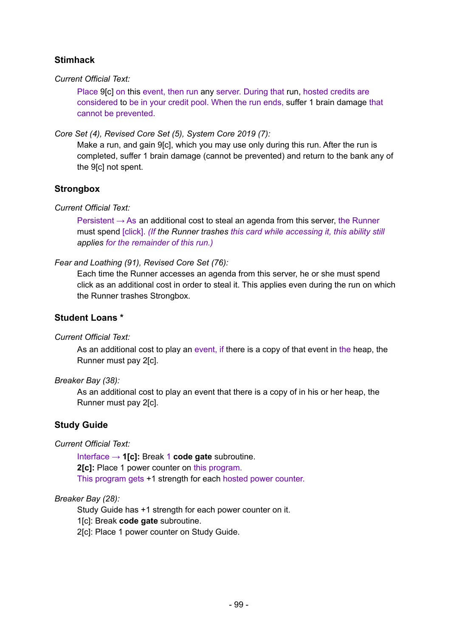## **Stimhack**

#### *Current Official Text:*

Place 9[c] on this event, then run any server. During that run, hosted credits are considered to be in your credit pool. When the run ends, suffer 1 brain damage that cannot be prevented.

*Core Set (4), Revised Core Set (5), System Core 2019 (7):*

Make a run, and gain 9[c], which you may use only during this run. After the run is completed, suffer 1 brain damage (cannot be prevented) and return to the bank any of the 9[c] not spent.

## **Strongbox**

### *Current Official Text:*

Persistent  $\rightarrow$  As an additional cost to steal an agenda from this server, the Runner must spend [click]. *(If the Runner trashes this card while accessing it, this ability still applies for the remainder of this run.)*

### *Fear and Loathing (91), Revised Core Set (76):*

Each time the Runner accesses an agenda from this server, he or she must spend click as an additional cost in order to steal it. This applies even during the run on which the Runner trashes Strongbox.

### **Student Loans \***

### *Current Official Text:*

As an additional cost to play an event, if there is a copy of that event in the heap, the Runner must pay 2[c].

### *Breaker Bay (38):*

As an additional cost to play an event that there is a copy of in his or her heap, the Runner must pay 2[c].

### **Study Guide**

### *Current Official Text:*

Interface → **1[c]:** Break 1 **code gate** subroutine. **2[c]:** Place 1 power counter on this program. This program gets +1 strength for each hosted power counter.

### *Breaker Bay (28):*

Study Guide has +1 strength for each power counter on it.

1[c]: Break **code gate** subroutine.

2[c]: Place 1 power counter on Study Guide.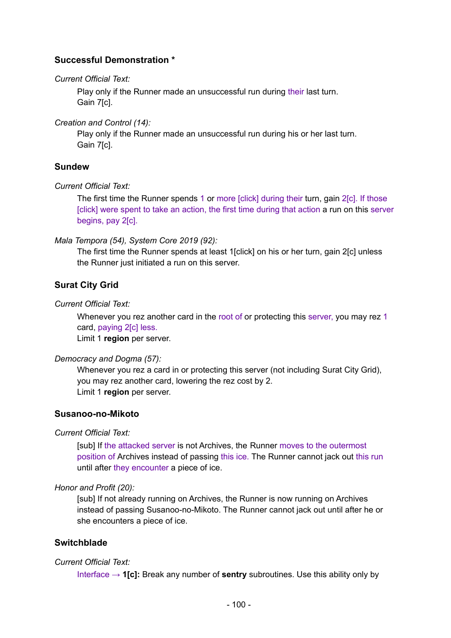## **Successful Demonstration \***

#### *Current Official Text:*

Play only if the Runner made an unsuccessful run during their last turn. Gain 7[c].

*Creation and Control (14):*

Play only if the Runner made an unsuccessful run during his or her last turn. Gain 7[c].

## **Sundew**

#### *Current Official Text:*

The first time the Runner spends 1 or more [click] during their turn, gain 2[c]. If those [click] were spent to take an action, the first time during that action a run on this server begins, pay 2[c].

*Mala Tempora (54), System Core 2019 (92):*

The first time the Runner spends at least 1[click] on his or her turn, gain 2[c] unless the Runner just initiated a run on this server.

## **Surat City Grid**

#### *Current Official Text:*

Whenever you rez another card in the root of or protecting this server, you may rez 1 card, paying 2[c] less.

Limit 1 **region** per server.

### *Democracy and Dogma (57):*

Whenever you rez a card in or protecting this server (not including Surat City Grid), you may rez another card, lowering the rez cost by 2. Limit 1 **region** per server.

### **Susanoo-no-Mikoto**

*Current Official Text:*

[sub] If the attacked server is not Archives, the Runner moves to the outermost position of Archives instead of passing this ice. The Runner cannot jack out this run until after they encounter a piece of ice.

### *Honor and Profit (20):*

[sub] If not already running on Archives, the Runner is now running on Archives instead of passing Susanoo-no-Mikoto. The Runner cannot jack out until after he or she encounters a piece of ice.

### **Switchblade**

### *Current Official Text:*

Interface → **1[c]:** Break any number of **sentry** subroutines. Use this ability only by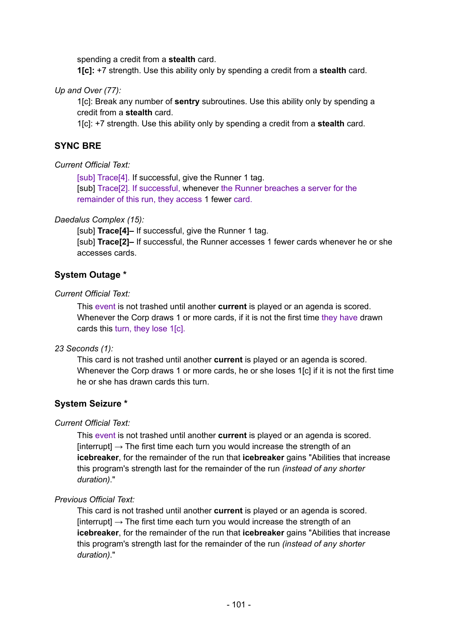spending a credit from a **stealth** card.

**1[c]:** +7 strength. Use this ability only by spending a credit from a **stealth** card.

#### *Up and Over (77):*

1[c]: Break any number of **sentry** subroutines. Use this ability only by spending a credit from a **stealth** card.

1[c]: +7 strength. Use this ability only by spending a credit from a **stealth** card.

### **SYNC BRE**

#### *Current Official Text:*

[sub] Trace<sup>[4]</sup>. If successful, give the Runner 1 tag. [sub] Trace[2]. If successful, whenever the Runner breaches a server for the remainder of this run, they access 1 fewer card.

#### *Daedalus Complex (15):*

[sub] **Trace[4]–** If successful, give the Runner 1 tag. [sub] **Trace[2]–** If successful, the Runner accesses 1 fewer cards whenever he or she accesses cards.

## **System Outage \***

#### *Current Official Text:*

This event is not trashed until another **current** is played or an agenda is scored. Whenever the Corp draws 1 or more cards, if it is not the first time they have drawn cards this turn, they lose 1[c].

#### *23 Seconds (1):*

This card is not trashed until another **current** is played or an agenda is scored. Whenever the Corp draws 1 or more cards, he or she loses 1[c] if it is not the first time he or she has drawn cards this turn.

### **System Seizure \***

### *Current Official Text:*

This event is not trashed until another **current** is played or an agenda is scored.  $[interrupt] \rightarrow$  The first time each turn you would increase the strength of an **icebreaker**, for the remainder of the run that **icebreaker** gains "Abilities that increase this program's strength last for the remainder of the run *(instead of any shorter duration)*."

#### *Previous Official Text:*

This card is not trashed until another **current** is played or an agenda is scored.  $[interrupt] \rightarrow$  The first time each turn you would increase the strength of an **icebreaker**, for the remainder of the run that **icebreaker** gains "Abilities that increase this program's strength last for the remainder of the run *(instead of any shorter duration)*."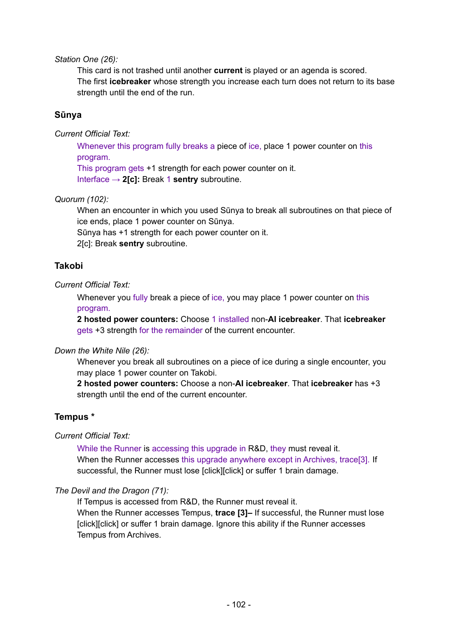*Station One (26):*

This card is not trashed until another **current** is played or an agenda is scored. The first **icebreaker** whose strength you increase each turn does not return to its base strength until the end of the run.

## **Sūnya**

*Current Official Text:*

Whenever this program fully breaks a piece of ice, place 1 power counter on this program.

This program gets +1 strength for each power counter on it.

Interface → **2[c]:** Break 1 **sentry** subroutine.

*Quorum (102):*

When an encounter in which you used Sūnya to break all subroutines on that piece of ice ends, place 1 power counter on Sūnya.

Sūnya has +1 strength for each power counter on it.

2[c]: Break **sentry** subroutine.

## **Takobi**

### *Current Official Text:*

Whenever you fully break a piece of ice, you may place 1 power counter on this program.

**2 hosted power counters:** Choose 1 installed non-**AI icebreaker**. That **icebreaker** gets +3 strength for the remainder of the current encounter.

### *Down the White Nile (26):*

Whenever you break all subroutines on a piece of ice during a single encounter, you may place 1 power counter on Takobi.

**2 hosted power counters:** Choose a non-**AI icebreaker**. That **icebreaker** has +3 strength until the end of the current encounter.

## **Tempus \***

*Current Official Text:*

While the Runner is accessing this upgrade in R&D, they must reveal it. When the Runner accesses this upgrade anywhere except in Archives, trace<sup>[3]</sup>. If successful, the Runner must lose [click][click] or suffer 1 brain damage.

### *The Devil and the Dragon (71):*

If Tempus is accessed from R&D, the Runner must reveal it.

When the Runner accesses Tempus, **trace [3]–** If successful, the Runner must lose [click][click] or suffer 1 brain damage. Ignore this ability if the Runner accesses Tempus from Archives.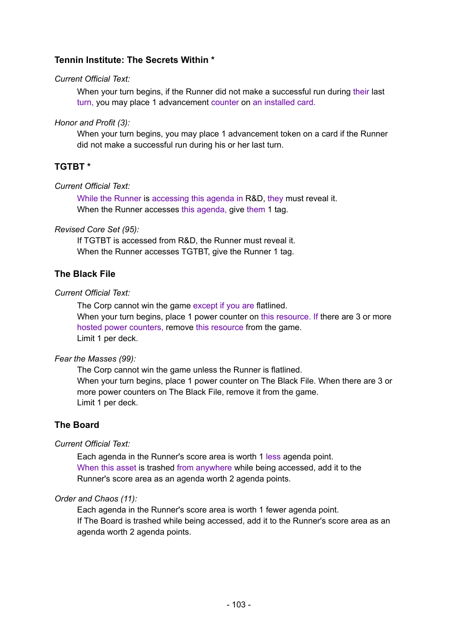## **Tennin Institute: The Secrets Within \***

#### *Current Official Text:*

When your turn begins, if the Runner did not make a successful run during their last turn, you may place 1 advancement counter on an installed card.

#### *Honor and Profit (3):*

When your turn begins, you may place 1 advancement token on a card if the Runner did not make a successful run during his or her last turn.

## **TGTBT \***

#### *Current Official Text:*

While the Runner is accessing this agenda in R&D, they must reveal it. When the Runner accesses this agenda, give them 1 tag.

#### *Revised Core Set (95):*

If TGTBT is accessed from R&D, the Runner must reveal it. When the Runner accesses TGTBT, give the Runner 1 tag.

## **The Black File**

#### *Current Official Text:*

The Corp cannot win the game except if you are flatlined. When your turn begins, place 1 power counter on this resource. If there are 3 or more hosted power counters, remove this resource from the game. Limit 1 per deck.

#### *Fear the Masses (99):*

The Corp cannot win the game unless the Runner is flatlined. When your turn begins, place 1 power counter on The Black File. When there are 3 or more power counters on The Black File, remove it from the game. Limit 1 per deck.

## **The Board**

### *Current Official Text:*

Each agenda in the Runner's score area is worth 1 less agenda point. When this asset is trashed from anywhere while being accessed, add it to the Runner's score area as an agenda worth 2 agenda points.

#### *Order and Chaos (11):*

Each agenda in the Runner's score area is worth 1 fewer agenda point. If The Board is trashed while being accessed, add it to the Runner's score area as an agenda worth 2 agenda points.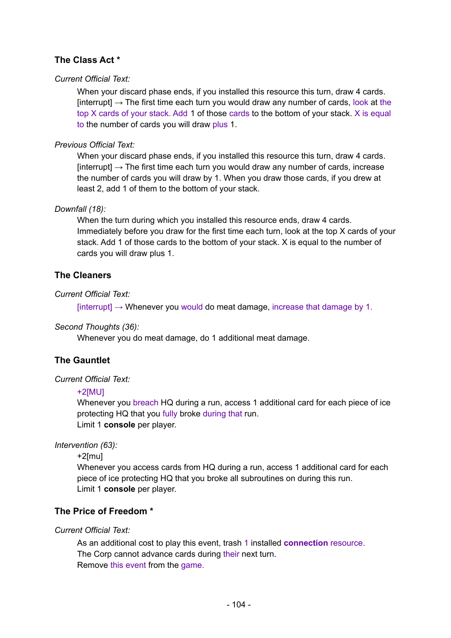# **The Class Act \***

### *Current Official Text:*

When your discard phase ends, if you installed this resource this turn, draw 4 cards. [interrupt]  $\rightarrow$  The first time each turn you would draw any number of cards, look at the top X cards of your stack. Add 1 of those cards to the bottom of your stack. X is equal to the number of cards you will draw plus 1.

## *Previous Official Text:*

When your discard phase ends, if you installed this resource this turn, draw 4 cards.  $[interrupt] \rightarrow$  The first time each turn you would draw any number of cards, increase the number of cards you will draw by 1. When you draw those cards, if you drew at least 2, add 1 of them to the bottom of your stack.

### *Downfall (18):*

When the turn during which you installed this resource ends, draw 4 cards. Immediately before you draw for the first time each turn, look at the top X cards of your stack. Add 1 of those cards to the bottom of your stack. X is equal to the number of cards you will draw plus 1.

## **The Cleaners**

## *Current Official Text:*

 $[interrupt] \rightarrow$  Whenever you would do meat damage, increase that damage by 1.

### *Second Thoughts (36):*

Whenever you do meat damage, do 1 additional meat damage.

## **The Gauntlet**

### *Current Official Text:*

#### +2[MU]

Whenever you breach HQ during a run, access 1 additional card for each piece of ice protecting HQ that you fully broke during that run. Limit 1 **console** per player.

### *Intervention (63):*

```
+2[mu]
```
Whenever you access cards from HQ during a run, access 1 additional card for each piece of ice protecting HQ that you broke all subroutines on during this run. Limit 1 **console** per player.

## **The Price of Freedom \***

### *Current Official Text:*

As an additional cost to play this event, trash 1 installed **connection** resource. The Corp cannot advance cards during their next turn. Remove this event from the game.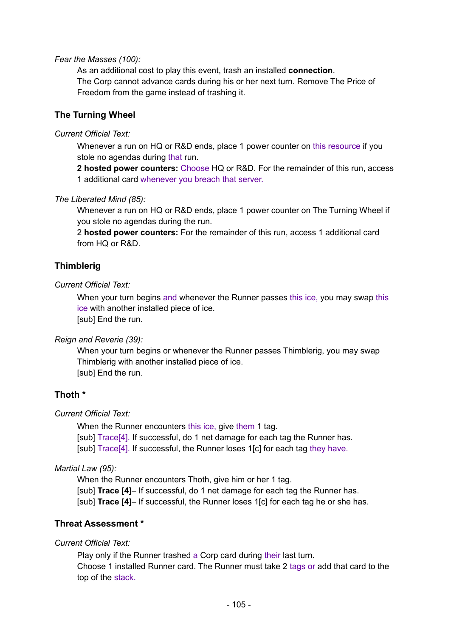#### *Fear the Masses (100):*

As an additional cost to play this event, trash an installed **connection**. The Corp cannot advance cards during his or her next turn. Remove The Price of Freedom from the game instead of trashing it.

### **The Turning Wheel**

#### *Current Official Text:*

Whenever a run on HQ or R&D ends, place 1 power counter on this resource if you stole no agendas during that run.

**2 hosted power counters:** Choose HQ or R&D. For the remainder of this run, access 1 additional card whenever you breach that server.

#### *The Liberated Mind (85):*

Whenever a run on HQ or R&D ends, place 1 power counter on The Turning Wheel if you stole no agendas during the run.

2 **hosted power counters:** For the remainder of this run, access 1 additional card from HQ or R&D.

#### **Thimblerig**

#### *Current Official Text:*

When your turn begins and whenever the Runner passes this ice, you may swap this ice with another installed piece of ice. [sub] End the run.

*Reign and Reverie (39):*

When your turn begins or whenever the Runner passes Thimblerig, you may swap Thimblerig with another installed piece of ice. [sub] End the run.

### **Thoth \***

#### *Current Official Text:*

When the Runner encounters this ice, give them 1 tag. [sub] Trace<sup>[4]</sup>. If successful, do 1 net damage for each tag the Runner has. [sub] Trace<sup>[4]</sup>. If successful, the Runner loses 1<sup>[c]</sup> for each tag they have.

#### *Martial Law (95):*

When the Runner encounters Thoth, give him or her 1 tag. [sub] **Trace [4]**– If successful, do 1 net damage for each tag the Runner has. [sub] **Trace [4]**– If successful, the Runner loses 1[c] for each tag he or she has.

#### **Threat Assessment \***

*Current Official Text:*

Play only if the Runner trashed a Corp card during their last turn. Choose 1 installed Runner card. The Runner must take 2 tags or add that card to the top of the stack.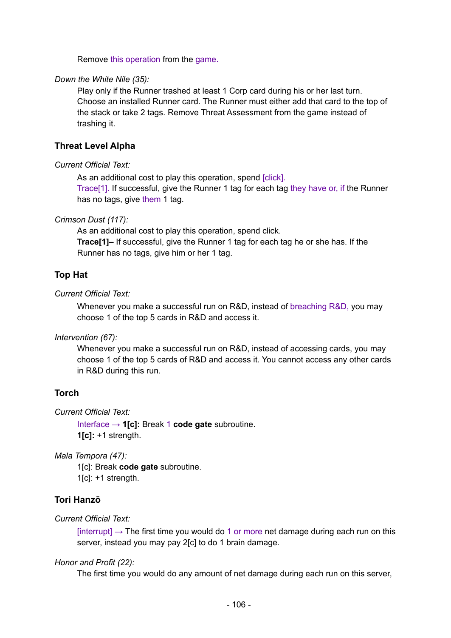Remove this operation from the game.

#### *Down the White Nile (35):*

Play only if the Runner trashed at least 1 Corp card during his or her last turn. Choose an installed Runner card. The Runner must either add that card to the top of the stack or take 2 tags. Remove Threat Assessment from the game instead of trashing it.

#### **Threat Level Alpha**

#### *Current Official Text:*

As an additional cost to play this operation, spend [click].

Trace[1]. If successful, give the Runner 1 tag for each tag they have or, if the Runner has no tags, give them 1 tag.

#### *Crimson Dust (117):*

As an additional cost to play this operation, spend click.

**Trace[1]–** If successful, give the Runner 1 tag for each tag he or she has. If the Runner has no tags, give him or her 1 tag.

#### **Top Hat**

*Current Official Text:*

Whenever you make a successful run on R&D, instead of breaching R&D, you may choose 1 of the top 5 cards in R&D and access it.

*Intervention (67):*

Whenever you make a successful run on R&D, instead of accessing cards, you may choose 1 of the top 5 cards of R&D and access it. You cannot access any other cards in R&D during this run.

#### **Torch**

*Current Official Text:*

Interface → **1[c]:** Break 1 **code gate** subroutine. **1[c]:** +1 strength.

*Mala Tempora (47):*

1[c]: Break **code gate** subroutine. 1[c]: +1 strength.

#### **Tori Hanzō**

#### *Current Official Text:*

[interrupt]  $\rightarrow$  The first time you would do 1 or more net damage during each run on this server, instead you may pay 2[c] to do 1 brain damage.

#### *Honor and Profit (22):*

The first time you would do any amount of net damage during each run on this server,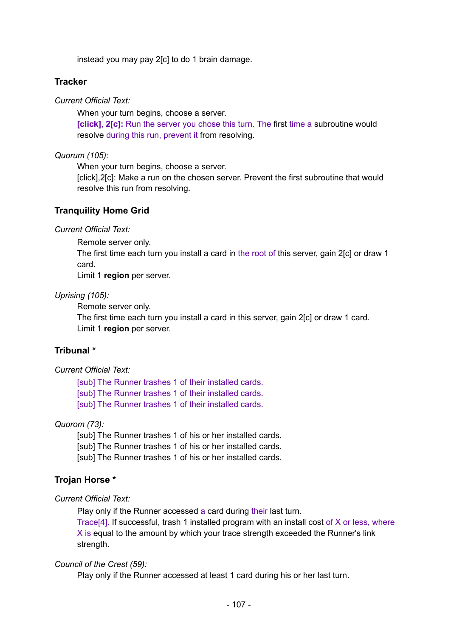instead you may pay 2[c] to do 1 brain damage.

#### **Tracker**

*Current Official Text:*

When your turn begins, choose a server.

**[click]**, **2[c]:** Run the server you chose this turn. The first time a subroutine would resolve during this run, prevent it from resolving.

*Quorum (105):*

When your turn begins, choose a server.

[click],2[c]: Make a run on the chosen server. Prevent the first subroutine that would resolve this run from resolving.

#### **Tranquility Home Grid**

*Current Official Text:*

Remote server only.

The first time each turn you install a card in the root of this server, gain 2[c] or draw 1 card.

Limit 1 **region** per server.

#### *Uprising (105):*

Remote server only.

The first time each turn you install a card in this server, gain 2[c] or draw 1 card. Limit 1 **region** per server.

### **Tribunal \***

#### *Current Official Text:*

[sub] The Runner trashes 1 of their installed cards. [sub] The Runner trashes 1 of their installed cards. [sub] The Runner trashes 1 of their installed cards.

#### *Quorom (73):*

[sub] The Runner trashes 1 of his or her installed cards. [sub] The Runner trashes 1 of his or her installed cards. [sub] The Runner trashes 1 of his or her installed cards.

### **Trojan Horse \***

### *Current Official Text:*

Play only if the Runner accessed a card during their last turn.

Trace[4]. If successful, trash 1 installed program with an install cost of X or less, where X is equal to the amount by which your trace strength exceeded the Runner's link strength.

#### *Council of the Crest (59):*

Play only if the Runner accessed at least 1 card during his or her last turn.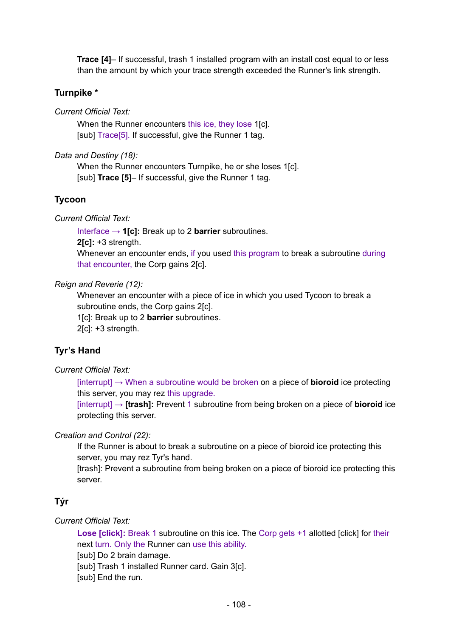**Trace [4]**– If successful, trash 1 installed program with an install cost equal to or less than the amount by which your trace strength exceeded the Runner's link strength.

#### **Turnpike \***

*Current Official Text:*

When the Runner encounters this ice, they lose 1[c]. [sub] Trace[5]. If successful, give the Runner 1 tag.

*Data and Destiny (18):*

When the Runner encounters Turnpike, he or she loses 1[c]. [sub] **Trace [5]**– If successful, give the Runner 1 tag.

#### **Tycoon**

*Current Official Text:*

Interface → **1[c]:** Break up to 2 **barrier** subroutines. **2[c]:** +3 strength. Whenever an encounter ends, if you used this program to break a subroutine during that encounter, the Corp gains 2[c].

#### *Reign and Reverie (12):*

Whenever an encounter with a piece of ice in which you used Tycoon to break a subroutine ends, the Corp gains 2[c].

1[c]: Break up to 2 **barrier** subroutines.

2[c]: +3 strength.

### **Tyr's Hand**

*Current Official Text:*

[interrupt] → When a subroutine would be broken on a piece of **bioroid** ice protecting this server, you may rez this upgrade.

[interrupt] → **[trash]:** Prevent 1 subroutine from being broken on a piece of **bioroid** ice protecting this server.

#### *Creation and Control (22):*

If the Runner is about to break a subroutine on a piece of bioroid ice protecting this server, you may rez Tyr's hand.

[trash]: Prevent a subroutine from being broken on a piece of bioroid ice protecting this server.

### **Týr**

*Current Official Text:*

**Lose [click]:** Break 1 subroutine on this ice. The Corp gets +1 allotted [click] for their next turn. Only the Runner can use this ability.

[sub] Do 2 brain damage.

[sub] Trash 1 installed Runner card. Gain 3[c].

[sub] End the run.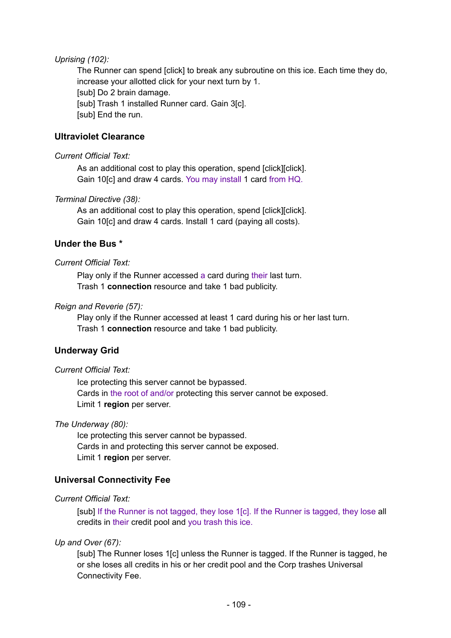#### *Uprising (102):*

The Runner can spend [click] to break any subroutine on this ice. Each time they do, increase your allotted click for your next turn by 1. [sub] Do 2 brain damage. [sub] Trash 1 installed Runner card. Gain 3[c]. [sub] End the run.

## **Ultraviolet Clearance**

#### *Current Official Text:*

As an additional cost to play this operation, spend [click][click]. Gain 10[c] and draw 4 cards. You may install 1 card from HQ.

#### *Terminal Directive (38):*

As an additional cost to play this operation, spend [click][click]. Gain 10[c] and draw 4 cards. Install 1 card (paying all costs).

## **Under the Bus \***

#### *Current Official Text:*

Play only if the Runner accessed a card during their last turn. Trash 1 **connection** resource and take 1 bad publicity.

#### *Reign and Reverie (57):*

Play only if the Runner accessed at least 1 card during his or her last turn. Trash 1 **connection** resource and take 1 bad publicity.

## **Underway Grid**

#### *Current Official Text:*

Ice protecting this server cannot be bypassed. Cards in the root of and/or protecting this server cannot be exposed. Limit 1 **region** per server.

#### *The Underway (80):*

Ice protecting this server cannot be bypassed. Cards in and protecting this server cannot be exposed. Limit 1 **region** per server.

## **Universal Connectivity Fee**

#### *Current Official Text:*

[sub] If the Runner is not tagged, they lose 1[c]. If the Runner is tagged, they lose all credits in their credit pool and you trash this ice.

#### *Up and Over (67):*

[sub] The Runner loses 1[c] unless the Runner is tagged. If the Runner is tagged, he or she loses all credits in his or her credit pool and the Corp trashes Universal Connectivity Fee.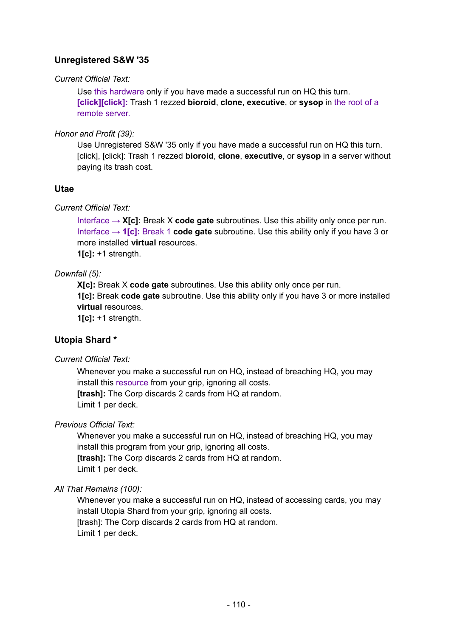# **Unregistered S&W '35**

#### *Current Official Text:*

Use this hardware only if you have made a successful run on HQ this turn. **[click][click]:** Trash 1 rezzed **bioroid**, **clone**, **executive**, or **sysop** in the root of a remote server.

#### *Honor and Profit (39):*

Use Unregistered S&W '35 only if you have made a successful run on HQ this turn. [click], [click]: Trash 1 rezzed **bioroid**, **clone**, **executive**, or **sysop** in a server without paying its trash cost.

## **Utae**

## *Current Official Text:*

Interface → **X[c]:** Break X **code gate** subroutines. Use this ability only once per run. Interface → **1[c]:** Break 1 **code gate** subroutine. Use this ability only if you have 3 or more installed **virtual** resources. **1[c]:** +1 strength.

## *Downfall (5):*

**X[c]:** Break X **code gate** subroutines. Use this ability only once per run. **1[c]:** Break **code gate** subroutine. Use this ability only if you have 3 or more installed **virtual** resources.

**1[c]:** +1 strength.

## **Utopia Shard \***

*Current Official Text:*

Whenever you make a successful run on HQ, instead of breaching HQ, you may install this resource from your grip, ignoring all costs. **[trash]:** The Corp discards 2 cards from HQ at random. Limit 1 per deck.

## *Previous Official Text:*

Whenever you make a successful run on HQ, instead of breaching HQ, you may install this program from your grip, ignoring all costs. **[trash]:** The Corp discards 2 cards from HQ at random. Limit 1 per deck.

## *All That Remains (100):*

Whenever you make a successful run on HQ, instead of accessing cards, you may install Utopia Shard from your grip, ignoring all costs. [trash]: The Corp discards 2 cards from HQ at random. Limit 1 per deck.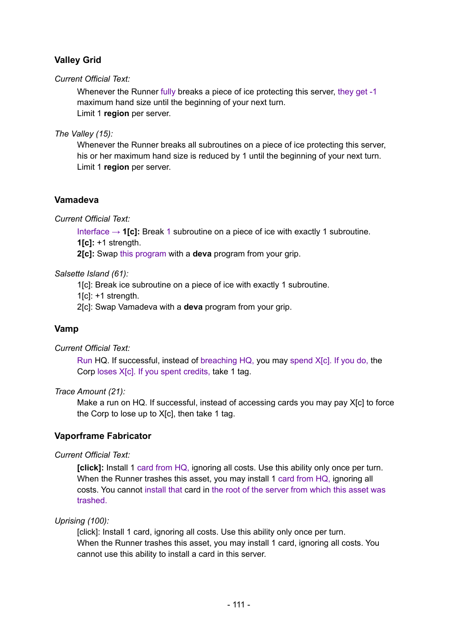# **Valley Grid**

## *Current Official Text:*

Whenever the Runner fully breaks a piece of ice protecting this server, they get -1 maximum hand size until the beginning of your next turn. Limit 1 **region** per server.

*The Valley (15):*

Whenever the Runner breaks all subroutines on a piece of ice protecting this server, his or her maximum hand size is reduced by 1 until the beginning of your next turn. Limit 1 **region** per server.

## **Vamadeva**

*Current Official Text:*

Interface → **1[c]:** Break 1 subroutine on a piece of ice with exactly 1 subroutine. **1[c]:** +1 strength.

**2[c]:** Swap this program with a **deva** program from your grip.

#### *Salsette Island (61):*

1[c]: Break ice subroutine on a piece of ice with exactly 1 subroutine.

 $1$ [c]:  $+1$  strength.

2[c]: Swap Vamadeva with a **deva** program from your grip.

## **Vamp**

*Current Official Text:*

Run HQ. If successful, instead of breaching HQ, you may spend X[c]. If you do, the Corp loses X<sub>[c]</sub>. If you spent credits, take 1 tag.

#### *Trace Amount (21):*

Make a run on HQ. If successful, instead of accessing cards you may pay X[c] to force the Corp to lose up to X[c], then take 1 tag.

## **Vaporframe Fabricator**

*Current Official Text:*

**[click]:** Install 1 card from HQ, ignoring all costs. Use this ability only once per turn. When the Runner trashes this asset, you may install 1 card from HQ, ignoring all costs. You cannot install that card in the root of the server from which this asset was trashed.

#### *Uprising (100):*

[click]: Install 1 card, ignoring all costs. Use this ability only once per turn. When the Runner trashes this asset, you may install 1 card, ignoring all costs. You cannot use this ability to install a card in this server.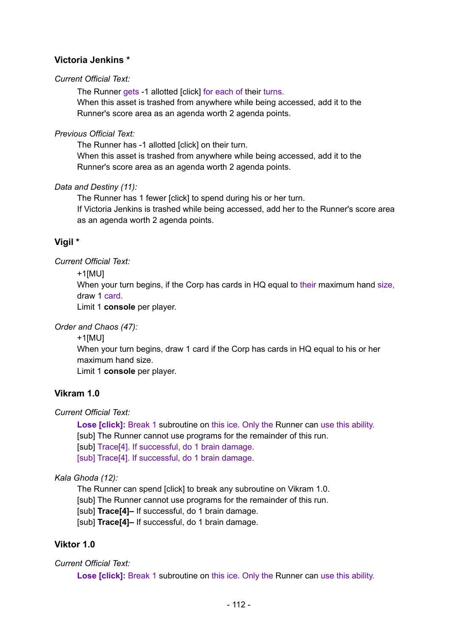# **Victoria Jenkins \***

#### *Current Official Text:*

The Runner gets -1 allotted [click] for each of their turns.

When this asset is trashed from anywhere while being accessed, add it to the Runner's score area as an agenda worth 2 agenda points.

#### *Previous Official Text:*

The Runner has -1 allotted [click] on their turn.

When this asset is trashed from anywhere while being accessed, add it to the Runner's score area as an agenda worth 2 agenda points.

## *Data and Destiny (11):*

The Runner has 1 fewer [click] to spend during his or her turn. If Victoria Jenkins is trashed while being accessed, add her to the Runner's score area as an agenda worth 2 agenda points.

# **Vigil \***

## *Current Official Text:*

+1[MU]

When your turn begins, if the Corp has cards in HQ equal to their maximum hand size, draw 1 card.

Limit 1 **console** per player.

*Order and Chaos (47):*

```
+1[MU]
```
When your turn begins, draw 1 card if the Corp has cards in HQ equal to his or her maximum hand size.

Limit 1 **console** per player.

## **Vikram 1.0**

*Current Official Text:*

**Lose [click]:** Break 1 subroutine on this ice. Only the Runner can use this ability. [sub] The Runner cannot use programs for the remainder of this run. [sub] Trace<sup>[4]</sup>. If successful, do 1 brain damage. [sub] Trace[4]. If successful, do 1 brain damage.

## *Kala Ghoda (12):*

The Runner can spend [click] to break any subroutine on Vikram 1.0. [sub] The Runner cannot use programs for the remainder of this run. [sub] **Trace[4]–** If successful, do 1 brain damage. [sub] **Trace[4]-** If successful, do 1 brain damage.

## **Viktor 1.0**

## *Current Official Text:*

**Lose [click]:** Break 1 subroutine on this ice. Only the Runner can use this ability.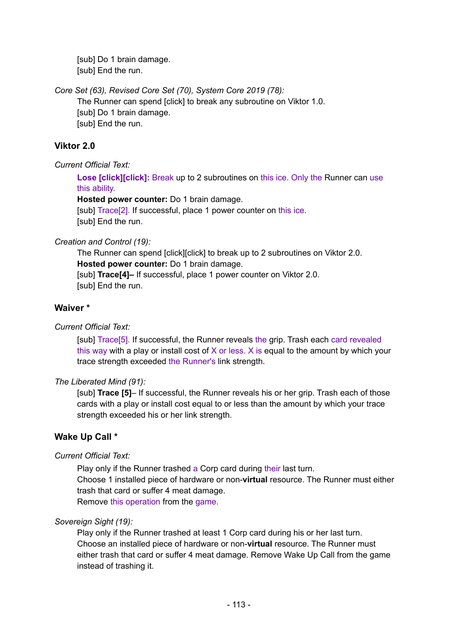[sub] Do 1 brain damage. [sub] End the run.

*Core Set (63), Revised Core Set (70), System Core 2019 (78):*

The Runner can spend [click] to break any subroutine on Viktor 1.0. [sub] Do 1 brain damage. [sub] End the run.

# **Viktor 2.0**

*Current Official Text:*

**Lose [click][click]:** Break up to 2 subroutines on this ice. Only the Runner can use this ability.

**Hosted power counter:** Do 1 brain damage.

[sub] Trace[2]. If successful, place 1 power counter on this ice. [sub] End the run.

## *Creation and Control (19):*

The Runner can spend [click][click] to break up to 2 subroutines on Viktor 2.0. **Hosted power counter:** Do 1 brain damage. [sub] **Trace[4]–** If successful, place 1 power counter on Viktor 2.0. [sub] End the run.

# **Waiver \***

# *Current Official Text:*

[sub] Trace[5]. If successful, the Runner reveals the grip. Trash each card revealed this way with a play or install cost of  $X$  or less.  $X$  is equal to the amount by which your trace strength exceeded the Runner's link strength.

# *The Liberated Mind (91):*

[sub] **Trace [5]**– If successful, the Runner reveals his or her grip. Trash each of those cards with a play or install cost equal to or less than the amount by which your trace strength exceeded his or her link strength.

# **Wake Up Call \***

# *Current Official Text:*

Play only if the Runner trashed a Corp card during their last turn. Choose 1 installed piece of hardware or non-**virtual** resource. The Runner must either trash that card or suffer 4 meat damage. Remove this operation from the game.

# *Sovereign Sight (19):*

Play only if the Runner trashed at least 1 Corp card during his or her last turn. Choose an installed piece of hardware or non-**virtual** resource. The Runner must either trash that card or suffer 4 meat damage. Remove Wake Up Call from the game instead of trashing it.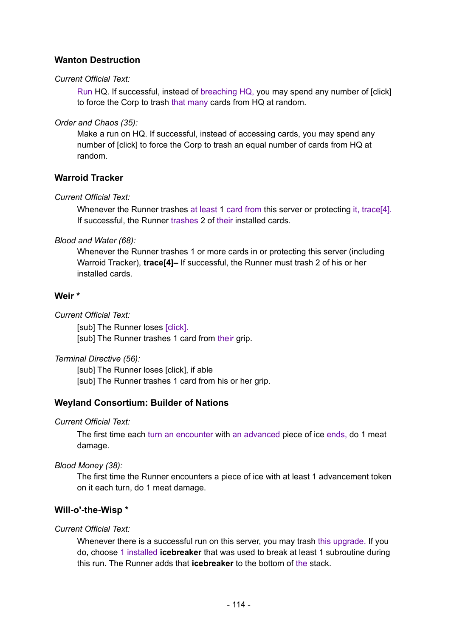# **Wanton Destruction**

#### *Current Official Text:*

Run HQ. If successful, instead of breaching HQ, you may spend any number of [click] to force the Corp to trash that many cards from HQ at random.

*Order and Chaos (35):*

Make a run on HQ. If successful, instead of accessing cards, you may spend any number of [click] to force the Corp to trash an equal number of cards from HQ at random.

## **Warroid Tracker**

## *Current Official Text:*

Whenever the Runner trashes at least 1 card from this server or protecting it, trace[4]. If successful, the Runner trashes 2 of their installed cards.

*Blood and Water (68):*

Whenever the Runner trashes 1 or more cards in or protecting this server (including Warroid Tracker), **trace[4]–** If successful, the Runner must trash 2 of his or her installed cards.

## **Weir \***

*Current Official Text:*

[sub] The Runner loses [click]. [sub] The Runner trashes 1 card from their grip.

*Terminal Directive (56):*

[sub] The Runner loses [click], if able [sub] The Runner trashes 1 card from his or her grip.

## **Weyland Consortium: Builder of Nations**

*Current Official Text:*

The first time each turn an encounter with an advanced piece of ice ends, do 1 meat damage.

*Blood Money (38):*

The first time the Runner encounters a piece of ice with at least 1 advancement token on it each turn, do 1 meat damage.

## **Will-o'-the-Wisp \***

#### *Current Official Text:*

Whenever there is a successful run on this server, you may trash this upgrade. If you do, choose 1 installed **icebreaker** that was used to break at least 1 subroutine during this run. The Runner adds that **icebreaker** to the bottom of the stack.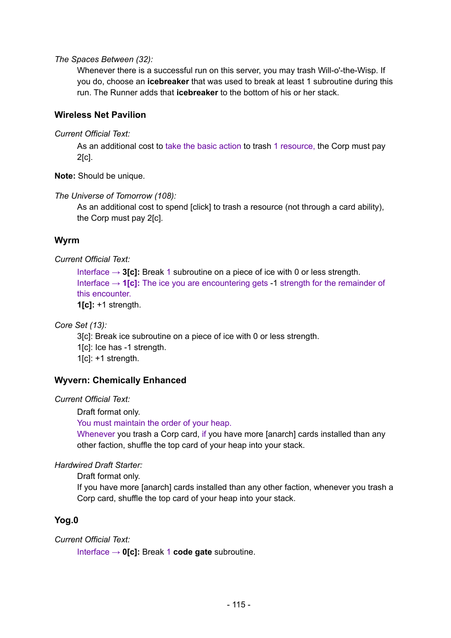*The Spaces Between (32):*

Whenever there is a successful run on this server, you may trash Will-o'-the-Wisp. If you do, choose an **icebreaker** that was used to break at least 1 subroutine during this run. The Runner adds that **icebreaker** to the bottom of his or her stack.

#### **Wireless Net Pavilion**

*Current Official Text:*

As an additional cost to take the basic action to trash 1 resource, the Corp must pay 2[c].

**Note:** Should be unique.

*The Universe of Tomorrow (108):*

As an additional cost to spend [click] to trash a resource (not through a card ability), the Corp must pay 2[c].

## **Wyrm**

#### *Current Official Text:*

Interface → **3[c]:** Break 1 subroutine on a piece of ice with 0 or less strength. Interface  $\rightarrow$  1[c]: The ice you are encountering gets -1 strength for the remainder of this encounter.

**1[c]:** +1 strength.

*Core Set (13):*

3[c]: Break ice subroutine on a piece of ice with 0 or less strength.

1[c]: Ice has -1 strength.

1[c]: +1 strength.

#### **Wyvern: Chemically Enhanced**

*Current Official Text:*

Draft format only.

You must maintain the order of your heap.

Whenever you trash a Corp card, if you have more [anarch] cards installed than any other faction, shuffle the top card of your heap into your stack.

*Hardwired Draft Starter:*

Draft format only.

If you have more [anarch] cards installed than any other faction, whenever you trash a Corp card, shuffle the top card of your heap into your stack.

## **Yog.0**

*Current Official Text:*

Interface → **0[c]:** Break 1 **code gate** subroutine.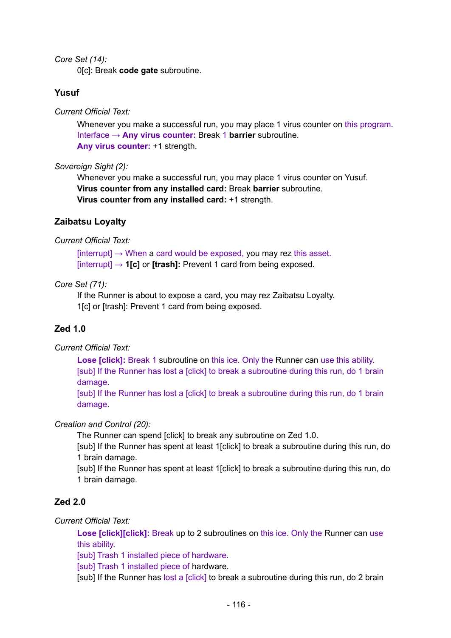*Core Set (14):*

0[c]: Break **code gate** subroutine.

#### **Yusuf**

*Current Official Text:*

Whenever you make a successful run, you may place 1 virus counter on this program. Interface → **Any virus counter:** Break 1 **barrier** subroutine. **Any virus counter:** +1 strength.

#### *Sovereign Sight (2):*

Whenever you make a successful run, you may place 1 virus counter on Yusuf. **Virus counter from any installed card:** Break **barrier** subroutine. **Virus counter from any installed card:** +1 strength.

#### **Zaibatsu Loyalty**

#### *Current Official Text:*

 $[interrupt] \rightarrow$  When a card would be exposed, you may rez this asset. [interrupt] → **1[c]** or **[trash]:** Prevent 1 card from being exposed.

#### *Core Set (71):*

If the Runner is about to expose a card, you may rez Zaibatsu Loyalty. 1[c] or [trash]: Prevent 1 card from being exposed.

## **Zed 1.0**

*Current Official Text:*

**Lose [click]:** Break 1 subroutine on this ice. Only the Runner can use this ability. [sub] If the Runner has lost a [click] to break a subroutine during this run, do 1 brain damage.

[sub] If the Runner has lost a [click] to break a subroutine during this run, do 1 brain damage.

#### *Creation and Control (20):*

The Runner can spend [click] to break any subroutine on Zed 1.0.

[sub] If the Runner has spent at least 1[click] to break a subroutine during this run, do 1 brain damage.

[sub] If the Runner has spent at least 1[click] to break a subroutine during this run, do 1 brain damage.

## **Zed 2.0**

*Current Official Text:*

**Lose [click][click]:** Break up to 2 subroutines on this ice. Only the Runner can use this ability.

[sub] Trash 1 installed piece of hardware.

[sub] Trash 1 installed piece of hardware.

[sub] If the Runner has lost a [click] to break a subroutine during this run, do 2 brain